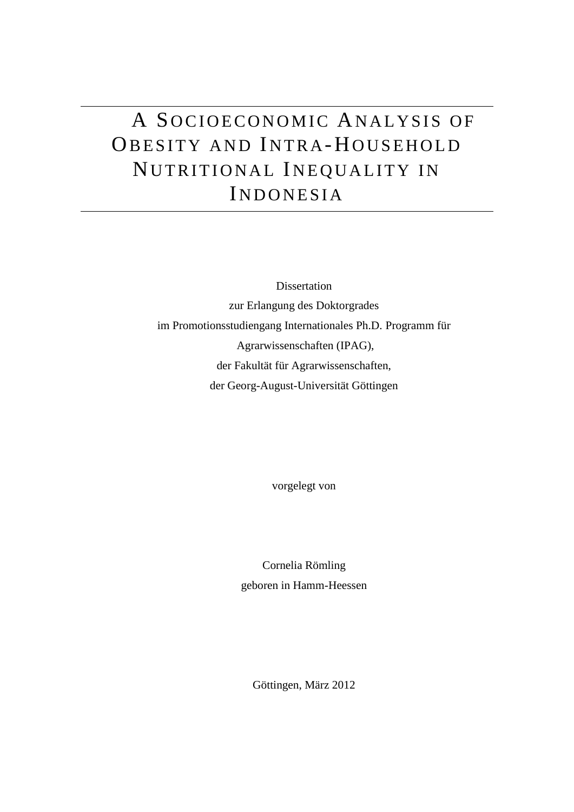# A SOCIOECONOMIC ANALYSIS OF OBESITY AND INTRA-HOUSEHOLD NUTRITIONAL INEQUALITY IN INDONESIA

Dissertation zur Erlangung des Doktorgrades im Promotionsstudiengang Internationales Ph.D. Programm für Agrarwissenschaften (IPAG), der Fakultät für Agrarwissenschaften, der Georg-August-Universität Göttingen

vorgelegt von

Cornelia Römling geboren in Hamm-Heessen

Göttingen, März 2012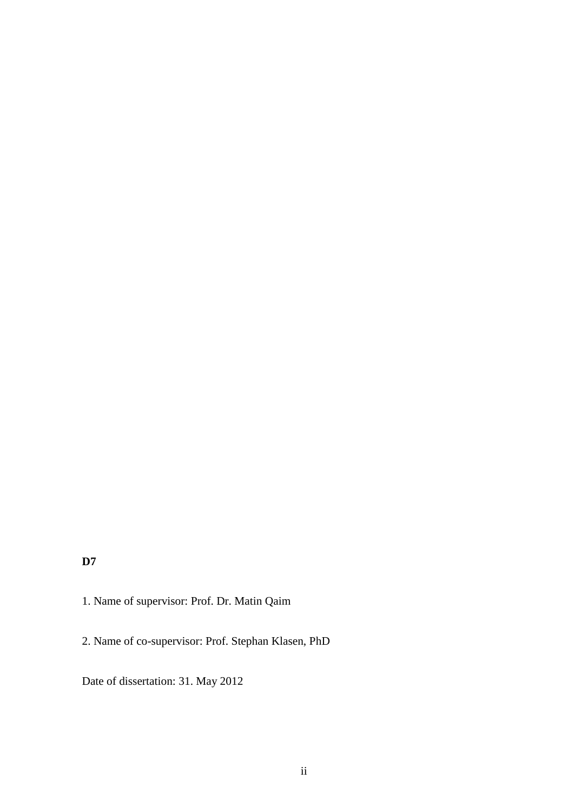## **D7**

- 1. Name of supervisor: Prof. Dr. Matin Qaim
- 2. Name of co-supervisor: Prof. Stephan Klasen, PhD

Date of dissertation: 31. May 2012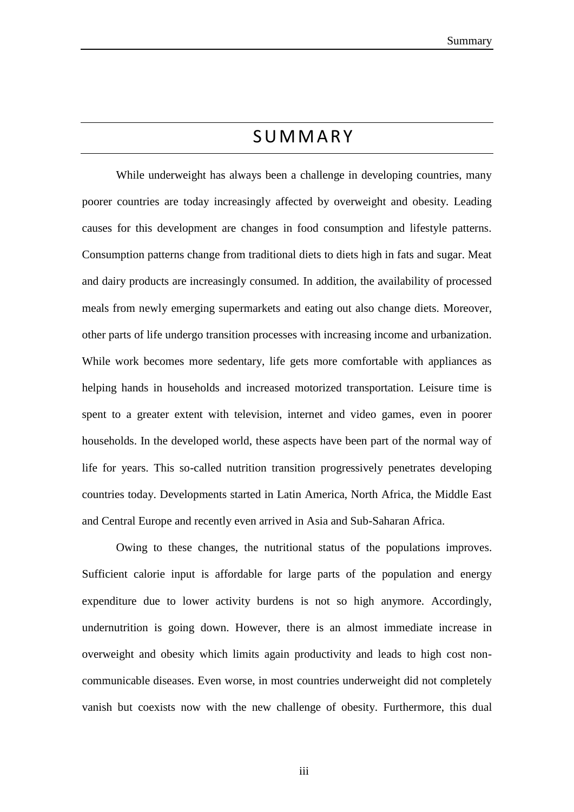# **SUMMARY**

While underweight has always been a challenge in developing countries, many poorer countries are today increasingly affected by overweight and obesity. Leading causes for this development are changes in food consumption and lifestyle patterns. Consumption patterns change from traditional diets to diets high in fats and sugar. Meat and dairy products are increasingly consumed. In addition, the availability of processed meals from newly emerging supermarkets and eating out also change diets. Moreover, other parts of life undergo transition processes with increasing income and urbanization. While work becomes more sedentary, life gets more comfortable with appliances as helping hands in households and increased motorized transportation. Leisure time is spent to a greater extent with television, internet and video games, even in poorer households. In the developed world, these aspects have been part of the normal way of life for years. This so-called nutrition transition progressively penetrates developing countries today. Developments started in Latin America, North Africa, the Middle East and Central Europe and recently even arrived in Asia and Sub-Saharan Africa.

Owing to these changes, the nutritional status of the populations improves. Sufficient calorie input is affordable for large parts of the population and energy expenditure due to lower activity burdens is not so high anymore. Accordingly, undernutrition is going down. However, there is an almost immediate increase in overweight and obesity which limits again productivity and leads to high cost noncommunicable diseases. Even worse, in most countries underweight did not completely vanish but coexists now with the new challenge of obesity. Furthermore, this dual

iii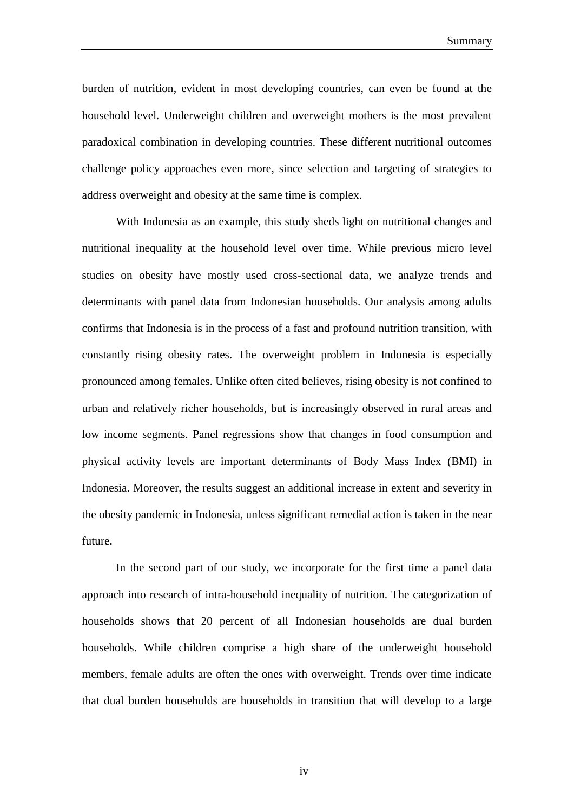burden of nutrition, evident in most developing countries, can even be found at the household level. Underweight children and overweight mothers is the most prevalent paradoxical combination in developing countries. These different nutritional outcomes challenge policy approaches even more, since selection and targeting of strategies to address overweight and obesity at the same time is complex.

With Indonesia as an example, this study sheds light on nutritional changes and nutritional inequality at the household level over time. While previous micro level studies on obesity have mostly used cross-sectional data, we analyze trends and determinants with panel data from Indonesian households. Our analysis among adults confirms that Indonesia is in the process of a fast and profound nutrition transition, with constantly rising obesity rates. The overweight problem in Indonesia is especially pronounced among females. Unlike often cited believes, rising obesity is not confined to urban and relatively richer households, but is increasingly observed in rural areas and low income segments. Panel regressions show that changes in food consumption and physical activity levels are important determinants of Body Mass Index (BMI) in Indonesia. Moreover, the results suggest an additional increase in extent and severity in the obesity pandemic in Indonesia, unless significant remedial action is taken in the near future.

In the second part of our study, we incorporate for the first time a panel data approach into research of intra-household inequality of nutrition. The categorization of households shows that 20 percent of all Indonesian households are dual burden households. While children comprise a high share of the underweight household members, female adults are often the ones with overweight. Trends over time indicate that dual burden households are households in transition that will develop to a large

iv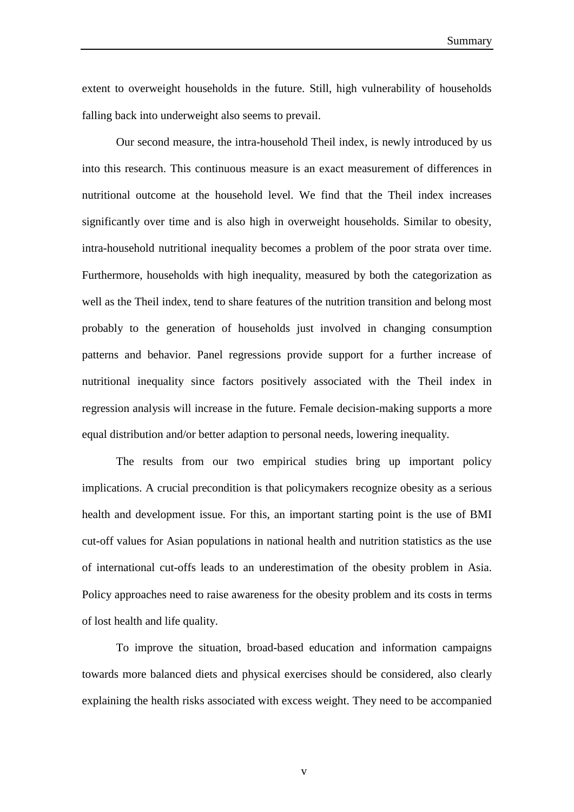Summary

extent to overweight households in the future. Still, high vulnerability of households falling back into underweight also seems to prevail.

Our second measure, the intra-household Theil index, is newly introduced by us into this research. This continuous measure is an exact measurement of differences in nutritional outcome at the household level. We find that the Theil index increases significantly over time and is also high in overweight households. Similar to obesity, intra-household nutritional inequality becomes a problem of the poor strata over time. Furthermore, households with high inequality, measured by both the categorization as well as the Theil index, tend to share features of the nutrition transition and belong most probably to the generation of households just involved in changing consumption patterns and behavior. Panel regressions provide support for a further increase of nutritional inequality since factors positively associated with the Theil index in regression analysis will increase in the future. Female decision-making supports a more equal distribution and/or better adaption to personal needs, lowering inequality.

The results from our two empirical studies bring up important policy implications. A crucial precondition is that policymakers recognize obesity as a serious health and development issue. For this, an important starting point is the use of BMI cut-off values for Asian populations in national health and nutrition statistics as the use of international cut-offs leads to an underestimation of the obesity problem in Asia. Policy approaches need to raise awareness for the obesity problem and its costs in terms of lost health and life quality.

To improve the situation, broad-based education and information campaigns towards more balanced diets and physical exercises should be considered, also clearly explaining the health risks associated with excess weight. They need to be accompanied

v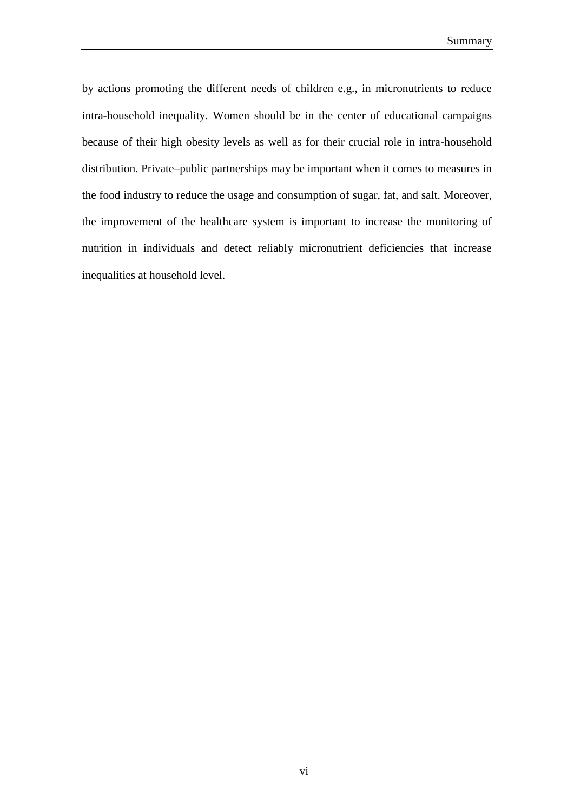by actions promoting the different needs of children e.g., in micronutrients to reduce intra-household inequality. Women should be in the center of educational campaigns because of their high obesity levels as well as for their crucial role in intra-household distribution. Private–public partnerships may be important when it comes to measures in the food industry to reduce the usage and consumption of sugar, fat, and salt. Moreover, the improvement of the healthcare system is important to increase the monitoring of nutrition in individuals and detect reliably micronutrient deficiencies that increase inequalities at household level.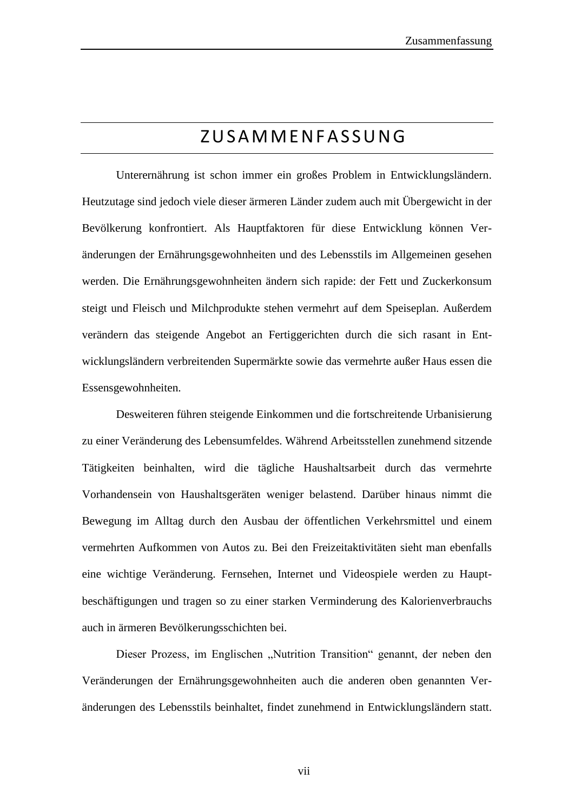# Z U S A M M E N F A S S U N G

Unterernährung ist schon immer ein großes Problem in Entwicklungsländern. Heutzutage sind jedoch viele dieser ärmeren Länder zudem auch mit Übergewicht in der Bevölkerung konfrontiert. Als Hauptfaktoren für diese Entwicklung können Veränderungen der Ernährungsgewohnheiten und des Lebensstils im Allgemeinen gesehen werden. Die Ernährungsgewohnheiten ändern sich rapide: der Fett und Zuckerkonsum steigt und Fleisch und Milchprodukte stehen vermehrt auf dem Speiseplan. Außerdem verändern das steigende Angebot an Fertiggerichten durch die sich rasant in Entwicklungsländern verbreitenden Supermärkte sowie das vermehrte außer Haus essen die Essensgewohnheiten.

Desweiteren führen steigende Einkommen und die fortschreitende Urbanisierung zu einer Veränderung des Lebensumfeldes. Während Arbeitsstellen zunehmend sitzende Tätigkeiten beinhalten, wird die tägliche Haushaltsarbeit durch das vermehrte Vorhandensein von Haushaltsgeräten weniger belastend. Darüber hinaus nimmt die Bewegung im Alltag durch den Ausbau der öffentlichen Verkehrsmittel und einem vermehrten Aufkommen von Autos zu. Bei den Freizeitaktivitäten sieht man ebenfalls eine wichtige Veränderung. Fernsehen, Internet und Videospiele werden zu Hauptbeschäftigungen und tragen so zu einer starken Verminderung des Kalorienverbrauchs auch in ärmeren Bevölkerungsschichten bei.

Dieser Prozess, im Englischen "Nutrition Transition" genannt, der neben den Veränderungen der Ernährungsgewohnheiten auch die anderen oben genannten Veränderungen des Lebensstils beinhaltet, findet zunehmend in Entwicklungsländern statt.

vii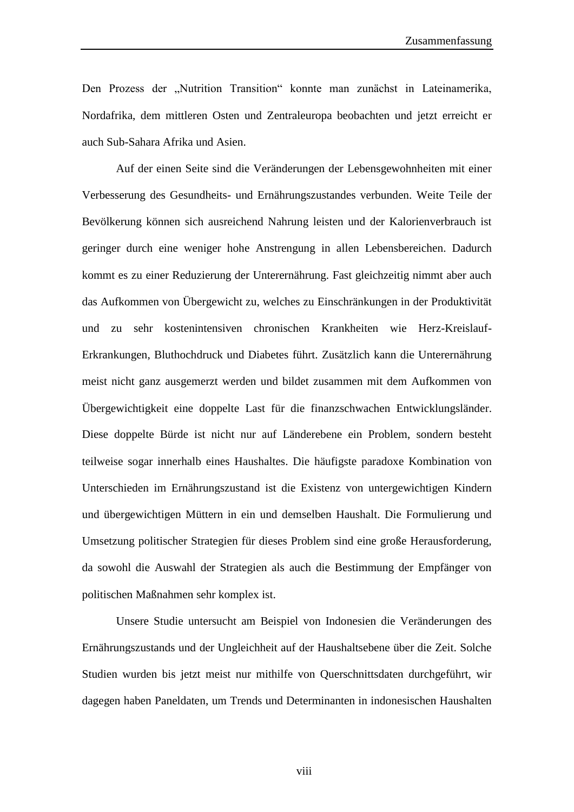Den Prozess der "Nutrition Transition" konnte man zunächst in Lateinamerika, Nordafrika, dem mittleren Osten und Zentraleuropa beobachten und jetzt erreicht er auch Sub-Sahara Afrika und Asien.

Auf der einen Seite sind die Veränderungen der Lebensgewohnheiten mit einer Verbesserung des Gesundheits- und Ernährungszustandes verbunden. Weite Teile der Bevölkerung können sich ausreichend Nahrung leisten und der Kalorienverbrauch ist geringer durch eine weniger hohe Anstrengung in allen Lebensbereichen. Dadurch kommt es zu einer Reduzierung der Unterernährung. Fast gleichzeitig nimmt aber auch das Aufkommen von Übergewicht zu, welches zu Einschränkungen in der Produktivität und zu sehr kostenintensiven chronischen Krankheiten wie Herz-Kreislauf-Erkrankungen, Bluthochdruck und Diabetes führt. Zusätzlich kann die Unterernährung meist nicht ganz ausgemerzt werden und bildet zusammen mit dem Aufkommen von Übergewichtigkeit eine doppelte Last für die finanzschwachen Entwicklungsländer. Diese doppelte Bürde ist nicht nur auf Länderebene ein Problem, sondern besteht teilweise sogar innerhalb eines Haushaltes. Die häufigste paradoxe Kombination von Unterschieden im Ernährungszustand ist die Existenz von untergewichtigen Kindern und übergewichtigen Müttern in ein und demselben Haushalt. Die Formulierung und Umsetzung politischer Strategien für dieses Problem sind eine große Herausforderung, da sowohl die Auswahl der Strategien als auch die Bestimmung der Empfänger von politischen Maßnahmen sehr komplex ist.

Unsere Studie untersucht am Beispiel von Indonesien die Veränderungen des Ernährungszustands und der Ungleichheit auf der Haushaltsebene über die Zeit. Solche Studien wurden bis jetzt meist nur mithilfe von Querschnittsdaten durchgeführt, wir dagegen haben Paneldaten, um Trends und Determinanten in indonesischen Haushalten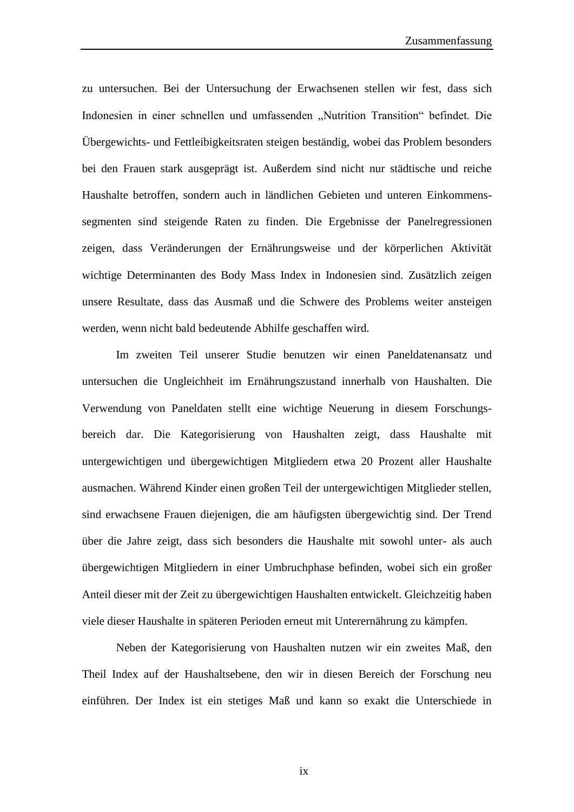zu untersuchen. Bei der Untersuchung der Erwachsenen stellen wir fest, dass sich Indonesien in einer schnellen und umfassenden "Nutrition Transition" befindet. Die Übergewichts- und Fettleibigkeitsraten steigen beständig, wobei das Problem besonders bei den Frauen stark ausgeprägt ist. Außerdem sind nicht nur städtische und reiche Haushalte betroffen, sondern auch in ländlichen Gebieten und unteren Einkommenssegmenten sind steigende Raten zu finden. Die Ergebnisse der Panelregressionen zeigen, dass Veränderungen der Ernährungsweise und der körperlichen Aktivität wichtige Determinanten des Body Mass Index in Indonesien sind. Zusätzlich zeigen unsere Resultate, dass das Ausmaß und die Schwere des Problems weiter ansteigen werden, wenn nicht bald bedeutende Abhilfe geschaffen wird.

Im zweiten Teil unserer Studie benutzen wir einen Paneldatenansatz und untersuchen die Ungleichheit im Ernährungszustand innerhalb von Haushalten. Die Verwendung von Paneldaten stellt eine wichtige Neuerung in diesem Forschungsbereich dar. Die Kategorisierung von Haushalten zeigt, dass Haushalte mit untergewichtigen und übergewichtigen Mitgliedern etwa 20 Prozent aller Haushalte ausmachen. Während Kinder einen großen Teil der untergewichtigen Mitglieder stellen, sind erwachsene Frauen diejenigen, die am häufigsten übergewichtig sind. Der Trend über die Jahre zeigt, dass sich besonders die Haushalte mit sowohl unter- als auch übergewichtigen Mitgliedern in einer Umbruchphase befinden, wobei sich ein großer Anteil dieser mit der Zeit zu übergewichtigen Haushalten entwickelt. Gleichzeitig haben viele dieser Haushalte in späteren Perioden erneut mit Unterernährung zu kämpfen.

Neben der Kategorisierung von Haushalten nutzen wir ein zweites Maß, den Theil Index auf der Haushaltsebene, den wir in diesen Bereich der Forschung neu einführen. Der Index ist ein stetiges Maß und kann so exakt die Unterschiede in

ix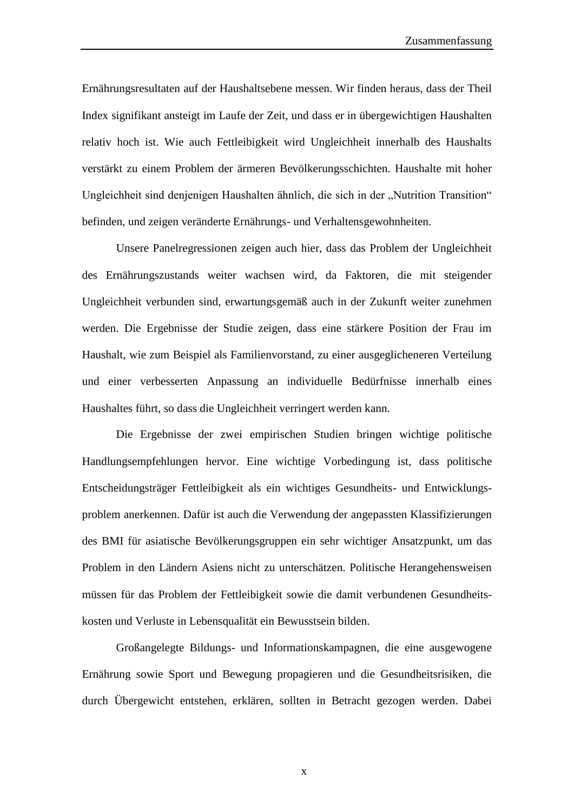Ernährungsresultaten auf der Haushaltsebene messen. Wir finden heraus, dass der Theil Index signifikant ansteigt im Laufe der Zeit, und dass er in übergewichtigen Haushalten relativ hoch ist. Wie auch Fettleibigkeit wird Ungleichheit innerhalb des Haushalts verstärkt zu einem Problem der ärmeren Bevölkerungsschichten. Haushalte mit hoher Ungleichheit sind denjenigen Haushalten ähnlich, die sich in der "Nutrition Transition" befinden, und zeigen veränderte Ernährungs- und Verhaltensgewohnheiten.

Unsere Panelregressionen zeigen auch hier, dass das Problem der Ungleichheit des Ernährungszustands weiter wachsen wird, da Faktoren, die mit steigender Ungleichheit verbunden sind, erwartungsgemäß auch in der Zukunft weiter zunehmen werden. Die Ergebnisse der Studie zeigen, dass eine stärkere Position der Frau im Haushalt, wie zum Beispiel als Familienvorstand, zu einer ausgeglicheneren Verteilung und einer verbesserten Anpassung an individuelle Bedürfnisse innerhalb eines Haushaltes führt, so dass die Ungleichheit verringert werden kann.

Die Ergebnisse der zwei empirischen Studien bringen wichtige politische Handlungsempfehlungen hervor. Eine wichtige Vorbedingung ist, dass politische Entscheidungsträger Fettleibigkeit als ein wichtiges Gesundheits- und Entwicklungsproblem anerkennen. Dafür ist auch die Verwendung der angepassten Klassifizierungen des BMI für asiatische Bevölkerungsgruppen ein sehr wichtiger Ansatzpunkt, um das Problem in den Ländern Asiens nicht zu unterschätzen. Politische Herangehensweisen müssen für das Problem der Fettleibigkeit sowie die damit verbundenen Gesundheitskosten und Verluste in Lebensqualität ein Bewusstsein bilden.

Großangelegte Bildungs- und Informationskampagnen, die eine ausgewogene Ernährung sowie Sport und Bewegung propagieren und die Gesundheitsrisiken, die durch Übergewicht entstehen, erklären, sollten in Betracht gezogen werden. Dabei

x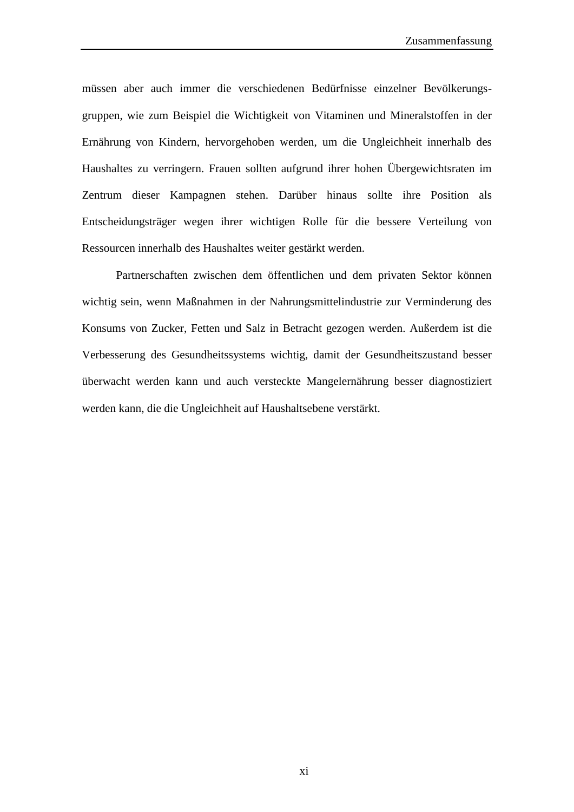müssen aber auch immer die verschiedenen Bedürfnisse einzelner Bevölkerungsgruppen, wie zum Beispiel die Wichtigkeit von Vitaminen und Mineralstoffen in der Ernährung von Kindern, hervorgehoben werden, um die Ungleichheit innerhalb des Haushaltes zu verringern. Frauen sollten aufgrund ihrer hohen Übergewichtsraten im Zentrum dieser Kampagnen stehen. Darüber hinaus sollte ihre Position als Entscheidungsträger wegen ihrer wichtigen Rolle für die bessere Verteilung von Ressourcen innerhalb des Haushaltes weiter gestärkt werden.

Partnerschaften zwischen dem öffentlichen und dem privaten Sektor können wichtig sein, wenn Maßnahmen in der Nahrungsmittelindustrie zur Verminderung des Konsums von Zucker, Fetten und Salz in Betracht gezogen werden. Außerdem ist die Verbesserung des Gesundheitssystems wichtig, damit der Gesundheitszustand besser überwacht werden kann und auch versteckte Mangelernährung besser diagnostiziert werden kann, die die Ungleichheit auf Haushaltsebene verstärkt.

xi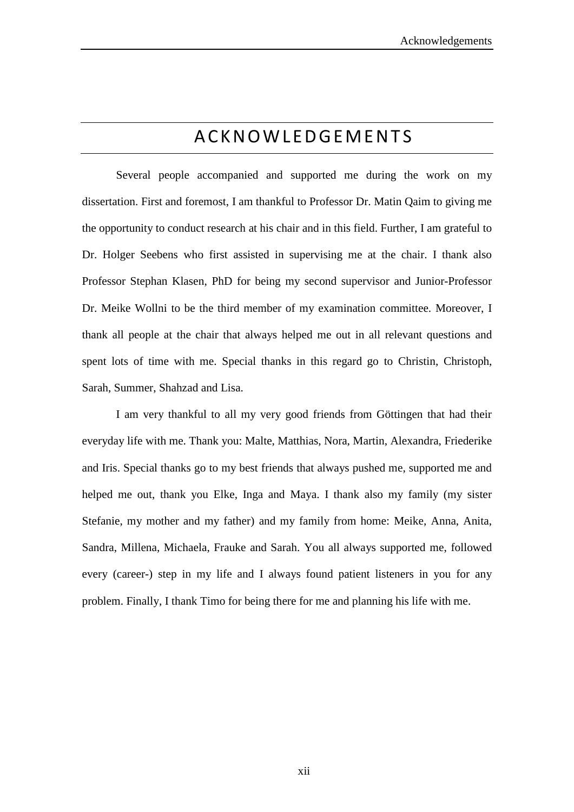# **A C K N O W L E D G E M E N T S**

Several people accompanied and supported me during the work on my dissertation. First and foremost, I am thankful to Professor Dr. Matin Qaim to giving me the opportunity to conduct research at his chair and in this field. Further, I am grateful to Dr. Holger Seebens who first assisted in supervising me at the chair. I thank also Professor Stephan Klasen, PhD for being my second supervisor and Junior-Professor Dr. Meike Wollni to be the third member of my examination committee. Moreover, I thank all people at the chair that always helped me out in all relevant questions and spent lots of time with me. Special thanks in this regard go to Christin, Christoph, Sarah, Summer, Shahzad and Lisa.

I am very thankful to all my very good friends from Göttingen that had their everyday life with me. Thank you: Malte, Matthias, Nora, Martin, Alexandra, Friederike and Iris. Special thanks go to my best friends that always pushed me, supported me and helped me out, thank you Elke, Inga and Maya. I thank also my family (my sister Stefanie, my mother and my father) and my family from home: Meike, Anna, Anita, Sandra, Millena, Michaela, Frauke and Sarah. You all always supported me, followed every (career-) step in my life and I always found patient listeners in you for any problem. Finally, I thank Timo for being there for me and planning his life with me.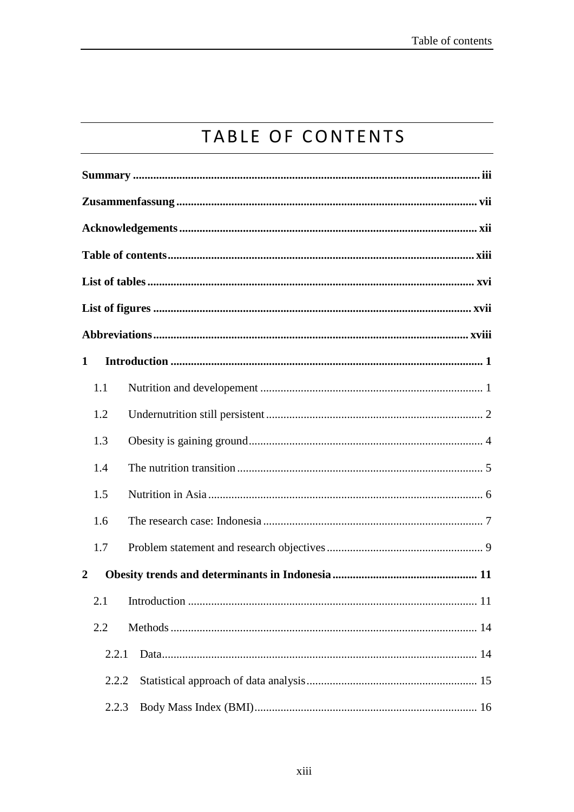# TABLE OF CONTENTS

| 1                |  |  |  |  |  |  |
|------------------|--|--|--|--|--|--|
| 1.1              |  |  |  |  |  |  |
| 1.2              |  |  |  |  |  |  |
| 1.3              |  |  |  |  |  |  |
| 1.4              |  |  |  |  |  |  |
| 1.5              |  |  |  |  |  |  |
| 1.6              |  |  |  |  |  |  |
| 1.7              |  |  |  |  |  |  |
| $\boldsymbol{2}$ |  |  |  |  |  |  |
| 11               |  |  |  |  |  |  |
| 2.2              |  |  |  |  |  |  |
| 2.2.1            |  |  |  |  |  |  |
| 2.2.2            |  |  |  |  |  |  |
| 2.2.3            |  |  |  |  |  |  |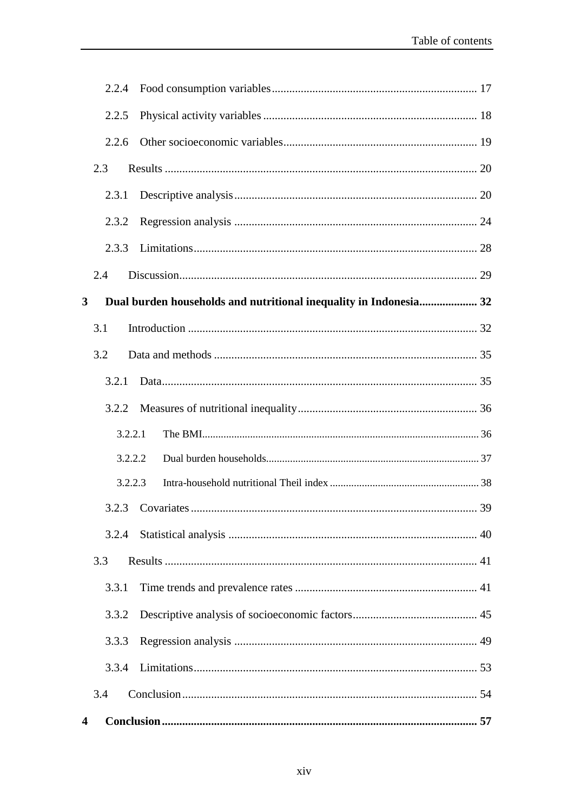|   | 2.2.4   |                                                                   |  |
|---|---------|-------------------------------------------------------------------|--|
|   | 2.2.5   |                                                                   |  |
|   | 2.2.6   |                                                                   |  |
|   | 2.3     |                                                                   |  |
|   | 2.3.1   |                                                                   |  |
|   | 2.3.2   |                                                                   |  |
|   | 2.3.3   |                                                                   |  |
|   | 2.4     |                                                                   |  |
| 3 |         | Dual burden households and nutritional inequality in Indonesia 32 |  |
|   | 3.1     |                                                                   |  |
|   | 3.2     |                                                                   |  |
|   | 3.2.1   |                                                                   |  |
|   | 3.2.2   |                                                                   |  |
|   | 3.2.2.1 |                                                                   |  |
|   | 3.2.2.2 |                                                                   |  |
|   | 3.2.2.3 |                                                                   |  |
|   |         |                                                                   |  |
|   | 3.2.4   |                                                                   |  |
|   | 3.3     |                                                                   |  |
|   | 3.3.1   |                                                                   |  |
|   | 3.3.2   |                                                                   |  |
|   | 3.3.3   |                                                                   |  |
|   | 3.3.4   |                                                                   |  |
|   | 3.4     |                                                                   |  |
| 4 |         |                                                                   |  |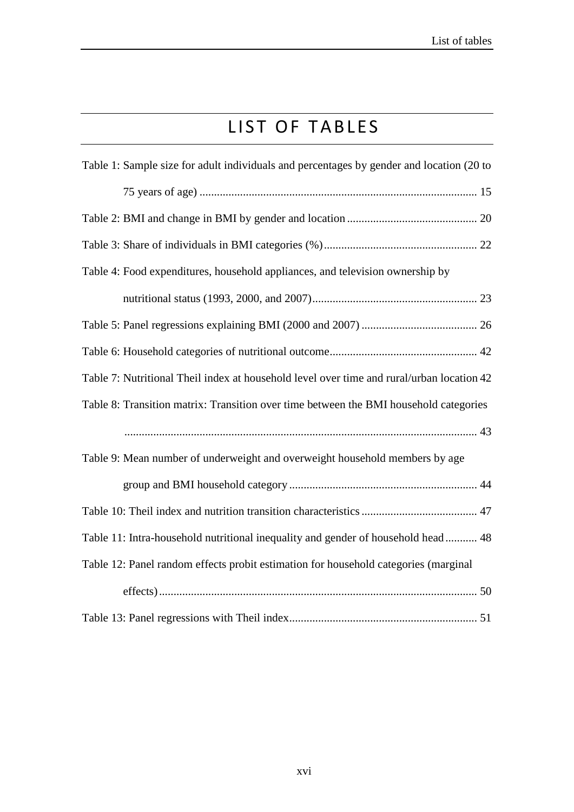# LIST OF TABLES

| Table 1: Sample size for adult individuals and percentages by gender and location (20 to  |
|-------------------------------------------------------------------------------------------|
|                                                                                           |
|                                                                                           |
|                                                                                           |
| Table 4: Food expenditures, household appliances, and television ownership by             |
|                                                                                           |
|                                                                                           |
|                                                                                           |
| Table 7: Nutritional Theil index at household level over time and rural/urban location 42 |
| Table 8: Transition matrix: Transition over time between the BMI household categories     |
|                                                                                           |
| Table 9: Mean number of underweight and overweight household members by age               |
|                                                                                           |
|                                                                                           |
| Table 11: Intra-household nutritional inequality and gender of household head 48          |
|                                                                                           |
| Table 12: Panel random effects probit estimation for household categories (marginal       |
|                                                                                           |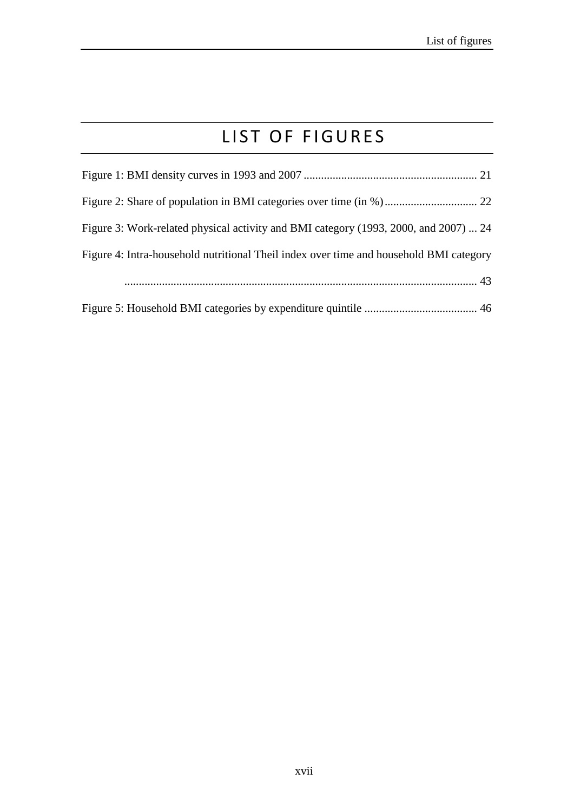# LIST OF FIGURES

| Figure 3: Work-related physical activity and BMI category (1993, 2000, and 2007)  24   |
|----------------------------------------------------------------------------------------|
| Figure 4: Intra-household nutritional Theil index over time and household BMI category |
|                                                                                        |
|                                                                                        |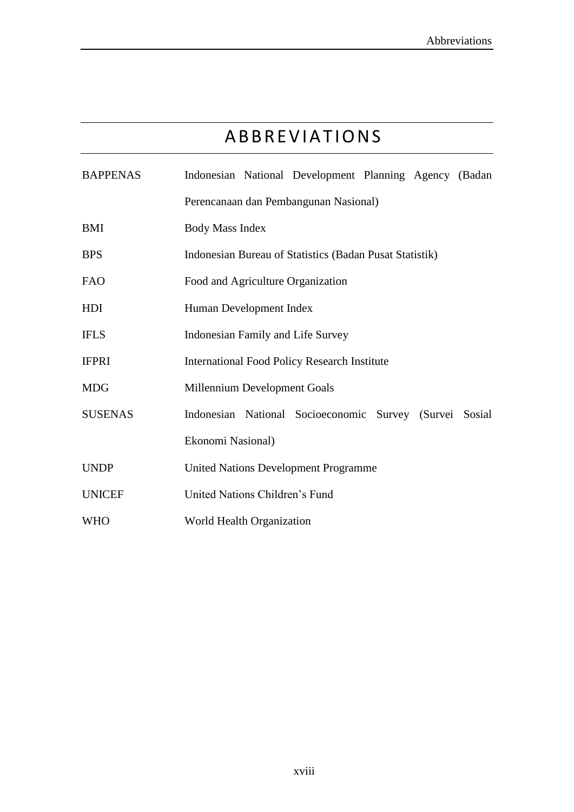# **ABBREVIATIONS**

| <b>BAPPENAS</b>                                            |                                                         |  | Indonesian National Development Planning Agency (Badan  |  |  |  |  |
|------------------------------------------------------------|---------------------------------------------------------|--|---------------------------------------------------------|--|--|--|--|
|                                                            | Perencanaan dan Pembangunan Nasional)                   |  |                                                         |  |  |  |  |
| <b>BMI</b><br><b>Body Mass Index</b>                       |                                                         |  |                                                         |  |  |  |  |
| <b>BPS</b>                                                 | Indonesian Bureau of Statistics (Badan Pusat Statistik) |  |                                                         |  |  |  |  |
| <b>FAO</b>                                                 | Food and Agriculture Organization                       |  |                                                         |  |  |  |  |
| HDI                                                        | Human Development Index                                 |  |                                                         |  |  |  |  |
| <b>IFLS</b>                                                | Indonesian Family and Life Survey                       |  |                                                         |  |  |  |  |
| <b>IFPRI</b>                                               | <b>International Food Policy Research Institute</b>     |  |                                                         |  |  |  |  |
| <b>MDG</b><br>Millennium Development Goals                 |                                                         |  |                                                         |  |  |  |  |
| <b>SUSENAS</b>                                             |                                                         |  | Indonesian National Socioeconomic Survey (Survei Sosial |  |  |  |  |
|                                                            | Ekonomi Nasional)                                       |  |                                                         |  |  |  |  |
| <b>UNDP</b><br><b>United Nations Development Programme</b> |                                                         |  |                                                         |  |  |  |  |
| United Nations Children's Fund<br><b>UNICEF</b>            |                                                         |  |                                                         |  |  |  |  |
| World Health Organization<br><b>WHO</b>                    |                                                         |  |                                                         |  |  |  |  |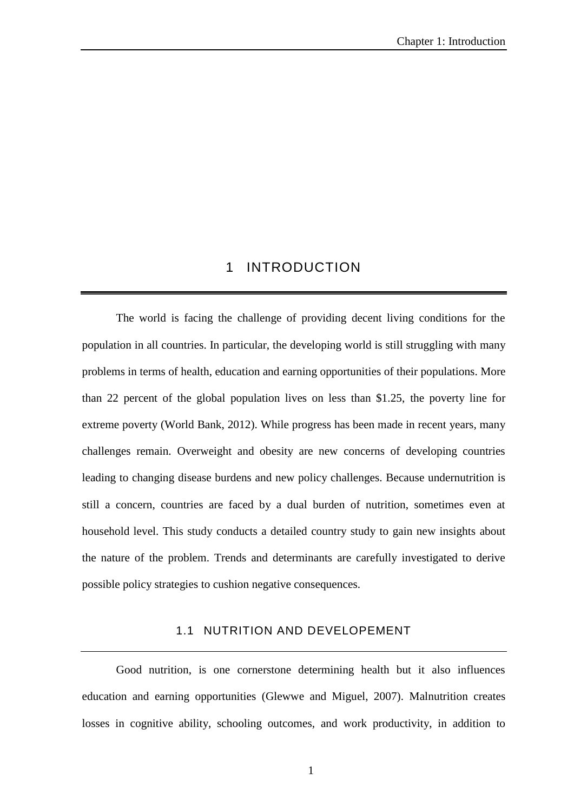## 1 INTRODUCTION

The world is facing the challenge of providing decent living conditions for the population in all countries. In particular, the developing world is still struggling with many problems in terms of health, education and earning opportunities of their populations. More than 22 percent of the global population lives on less than \$1.25, the poverty line for extreme poverty (World Bank, 2012). While progress has been made in recent years, many challenges remain. Overweight and obesity are new concerns of developing countries leading to changing disease burdens and new policy challenges. Because undernutrition is still a concern, countries are faced by a dual burden of nutrition, sometimes even at household level. This study conducts a detailed country study to gain new insights about the nature of the problem. Trends and determinants are carefully investigated to derive possible policy strategies to cushion negative consequences.

### 1.1 NUTRITION AND DEVELOPEMENT

Good nutrition, is one cornerstone determining health but it also influences education and earning opportunities (Glewwe and Miguel, 2007). Malnutrition creates losses in cognitive ability, schooling outcomes, and work productivity, in addition to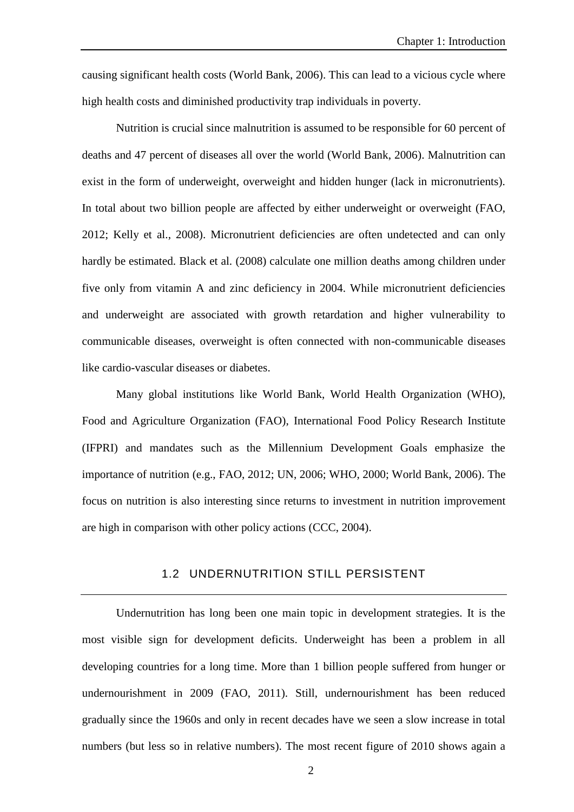causing significant health costs (World Bank, 2006). This can lead to a vicious cycle where high health costs and diminished productivity trap individuals in poverty.

Nutrition is crucial since malnutrition is assumed to be responsible for 60 percent of deaths and 47 percent of diseases all over the world (World Bank, 2006). Malnutrition can exist in the form of underweight, overweight and hidden hunger (lack in micronutrients). In total about two billion people are affected by either underweight or overweight (FAO, 2012; Kelly et al., 2008). Micronutrient deficiencies are often undetected and can only hardly be estimated. Black et al. (2008) calculate one million deaths among children under five only from vitamin A and zinc deficiency in 2004. While micronutrient deficiencies and underweight are associated with growth retardation and higher vulnerability to communicable diseases, overweight is often connected with non-communicable diseases like cardio-vascular diseases or diabetes.

Many global institutions like World Bank, World Health Organization (WHO), Food and Agriculture Organization (FAO), International Food Policy Research Institute (IFPRI) and mandates such as the Millennium Development Goals emphasize the importance of nutrition (e.g., FAO, 2012; UN, 2006; WHO, 2000; World Bank, 2006). The focus on nutrition is also interesting since returns to investment in nutrition improvement are high in comparison with other policy actions (CCC, 2004).

#### 1.2 UNDERNUTRITION STILL PERSISTENT

Undernutrition has long been one main topic in development strategies. It is the most visible sign for development deficits. Underweight has been a problem in all developing countries for a long time. More than 1 billion people suffered from hunger or undernourishment in 2009 (FAO, 2011). Still, undernourishment has been reduced gradually since the 1960s and only in recent decades have we seen a slow increase in total numbers (but less so in relative numbers). The most recent figure of 2010 shows again a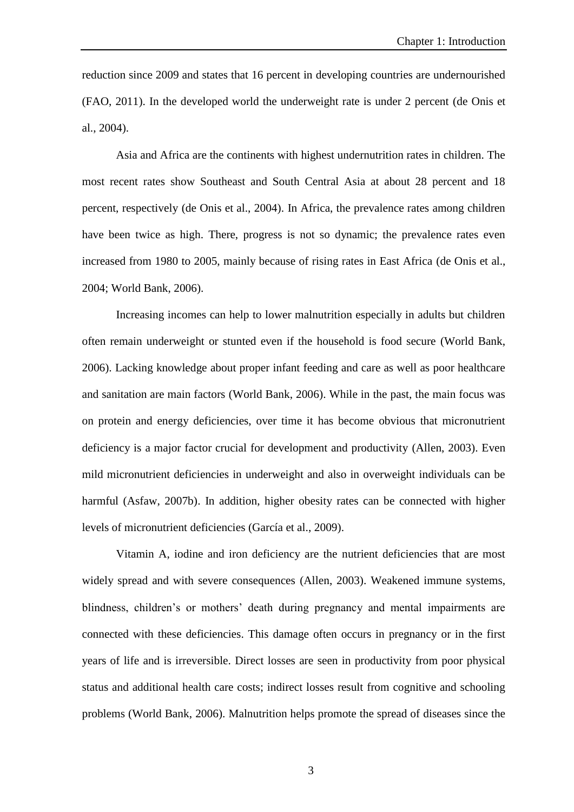reduction since 2009 and states that 16 percent in developing countries are undernourished (FAO, 2011). In the developed world the underweight rate is under 2 percent (de Onis et al., 2004).

Asia and Africa are the continents with highest undernutrition rates in children. The most recent rates show Southeast and South Central Asia at about 28 percent and 18 percent, respectively (de Onis et al., 2004). In Africa, the prevalence rates among children have been twice as high. There, progress is not so dynamic; the prevalence rates even increased from 1980 to 2005, mainly because of rising rates in East Africa (de Onis et al., 2004; World Bank, 2006).

Increasing incomes can help to lower malnutrition especially in adults but children often remain underweight or stunted even if the household is food secure (World Bank, 2006). Lacking knowledge about proper infant feeding and care as well as poor healthcare and sanitation are main factors (World Bank, 2006). While in the past, the main focus was on protein and energy deficiencies, over time it has become obvious that micronutrient deficiency is a major factor crucial for development and productivity (Allen, 2003). Even mild micronutrient deficiencies in underweight and also in overweight individuals can be harmful (Asfaw, 2007b). In addition, higher obesity rates can be connected with higher levels of micronutrient deficiencies (García et al., 2009).

Vitamin A, iodine and iron deficiency are the nutrient deficiencies that are most widely spread and with severe consequences (Allen, 2003). Weakened immune systems, blindness, children's or mothers' death during pregnancy and mental impairments are connected with these deficiencies. This damage often occurs in pregnancy or in the first years of life and is irreversible. Direct losses are seen in productivity from poor physical status and additional health care costs; indirect losses result from cognitive and schooling problems (World Bank, 2006). Malnutrition helps promote the spread of diseases since the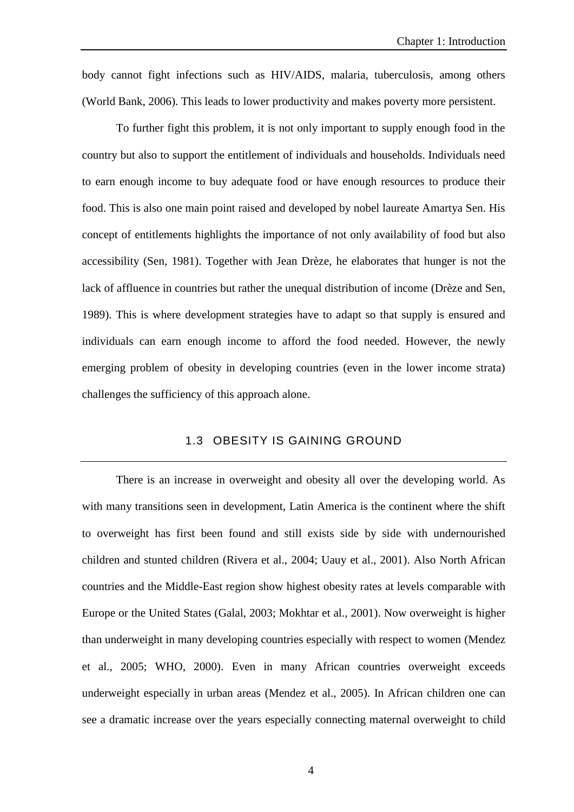body cannot fight infections such as HIV/AIDS, malaria, tuberculosis, among others (World Bank, 2006). This leads to lower productivity and makes poverty more persistent.

To further fight this problem, it is not only important to supply enough food in the country but also to support the entitlement of individuals and households. Individuals need to earn enough income to buy adequate food or have enough resources to produce their food. This is also one main point raised and developed by nobel laureate Amartya Sen. His concept of entitlements highlights the importance of not only availability of food but also accessibility (Sen, 1981). Together with Jean Drèze, he elaborates that hunger is not the lack of affluence in countries but rather the unequal distribution of income (Drèze and Sen, 1989). This is where development strategies have to adapt so that supply is ensured and individuals can earn enough income to afford the food needed. However, the newly emerging problem of obesity in developing countries (even in the lower income strata) challenges the sufficiency of this approach alone.

### 1.3 OBESITY IS GAINING GROUND

There is an increase in overweight and obesity all over the developing world. As with many transitions seen in development, Latin America is the continent where the shift to overweight has first been found and still exists side by side with undernourished children and stunted children (Rivera et al., 2004; Uauy et al., 2001). Also North African countries and the Middle-East region show highest obesity rates at levels comparable with Europe or the United States (Galal, 2003; Mokhtar et al., 2001). Now overweight is higher than underweight in many developing countries especially with respect to women (Mendez et al., 2005; WHO, 2000). Even in many African countries overweight exceeds underweight especially in urban areas (Mendez et al., 2005). In African children one can see a dramatic increase over the years especially connecting maternal overweight to child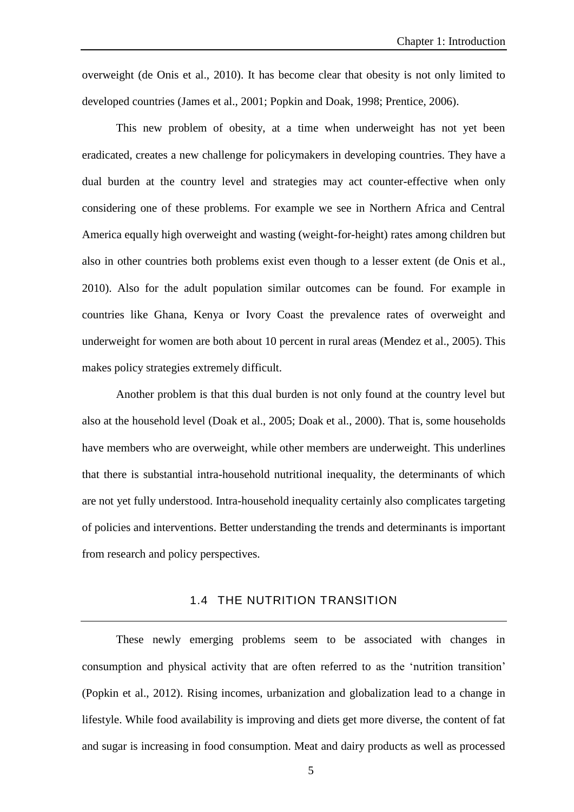overweight (de Onis et al., 2010). It has become clear that obesity is not only limited to developed countries (James et al., 2001; Popkin and Doak, 1998; Prentice, 2006).

This new problem of obesity, at a time when underweight has not yet been eradicated, creates a new challenge for policymakers in developing countries. They have a dual burden at the country level and strategies may act counter-effective when only considering one of these problems. For example we see in Northern Africa and Central America equally high overweight and wasting (weight-for-height) rates among children but also in other countries both problems exist even though to a lesser extent (de Onis et al., 2010). Also for the adult population similar outcomes can be found. For example in countries like Ghana, Kenya or Ivory Coast the prevalence rates of overweight and underweight for women are both about 10 percent in rural areas (Mendez et al., 2005). This makes policy strategies extremely difficult.

Another problem is that this dual burden is not only found at the country level but also at the household level (Doak et al., 2005; Doak et al., 2000). That is, some households have members who are overweight, while other members are underweight. This underlines that there is substantial intra-household nutritional inequality, the determinants of which are not yet fully understood. Intra-household inequality certainly also complicates targeting of policies and interventions. Better understanding the trends and determinants is important from research and policy perspectives.

### 1.4 THE NUTRITION TRANSITION

These newly emerging problems seem to be associated with changes in consumption and physical activity that are often referred to as the 'nutrition transition' (Popkin et al., 2012). Rising incomes, urbanization and globalization lead to a change in lifestyle. While food availability is improving and diets get more diverse, the content of fat and sugar is increasing in food consumption. Meat and dairy products as well as processed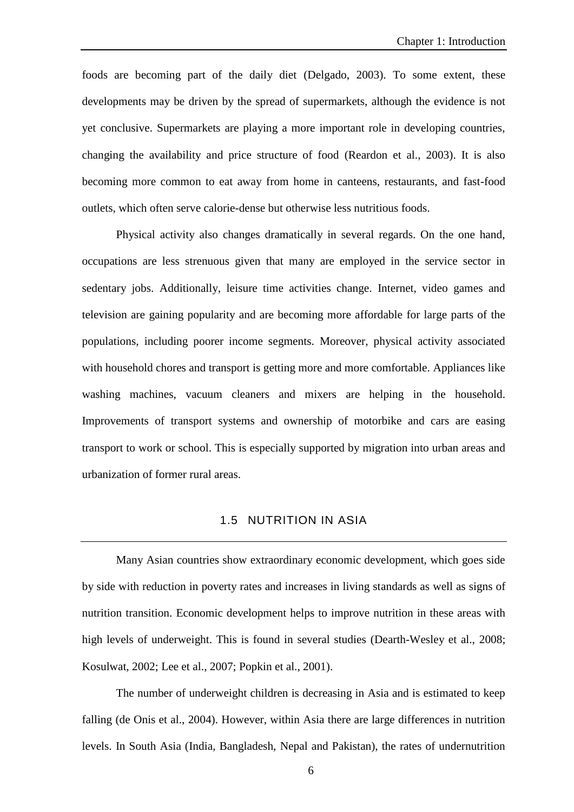foods are becoming part of the daily diet (Delgado, 2003). To some extent, these developments may be driven by the spread of supermarkets, although the evidence is not yet conclusive. Supermarkets are playing a more important role in developing countries, changing the availability and price structure of food (Reardon et al., 2003). It is also becoming more common to eat away from home in canteens, restaurants, and fast-food outlets, which often serve calorie-dense but otherwise less nutritious foods.

Physical activity also changes dramatically in several regards. On the one hand, occupations are less strenuous given that many are employed in the service sector in sedentary jobs. Additionally, leisure time activities change. Internet, video games and television are gaining popularity and are becoming more affordable for large parts of the populations, including poorer income segments. Moreover, physical activity associated with household chores and transport is getting more and more comfortable. Appliances like washing machines, vacuum cleaners and mixers are helping in the household. Improvements of transport systems and ownership of motorbike and cars are easing transport to work or school. This is especially supported by migration into urban areas and urbanization of former rural areas.

#### 1.5 NUTRITION IN ASIA

Many Asian countries show extraordinary economic development, which goes side by side with reduction in poverty rates and increases in living standards as well as signs of nutrition transition. Economic development helps to improve nutrition in these areas with high levels of underweight. This is found in several studies (Dearth-Wesley et al., 2008; Kosulwat, 2002; Lee et al., 2007; Popkin et al., 2001).

The number of underweight children is decreasing in Asia and is estimated to keep falling (de Onis et al., 2004). However, within Asia there are large differences in nutrition levels. In South Asia (India, Bangladesh, Nepal and Pakistan), the rates of undernutrition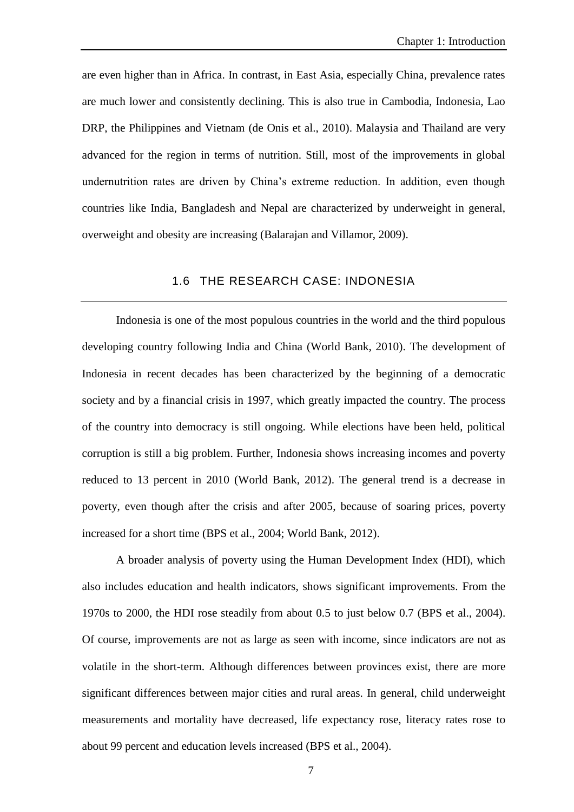are even higher than in Africa. In contrast, in East Asia, especially China, prevalence rates are much lower and consistently declining. This is also true in Cambodia, Indonesia, Lao DRP, the Philippines and Vietnam (de Onis et al., 2010). Malaysia and Thailand are very advanced for the region in terms of nutrition. Still, most of the improvements in global undernutrition rates are driven by China's extreme reduction. In addition, even though countries like India, Bangladesh and Nepal are characterized by underweight in general, overweight and obesity are increasing (Balarajan and Villamor, 2009).

### 1.6 THE RESEARCH CASE: INDONESIA

Indonesia is one of the most populous countries in the world and the third populous developing country following India and China (World Bank, 2010). The development of Indonesia in recent decades has been characterized by the beginning of a democratic society and by a financial crisis in 1997, which greatly impacted the country. The process of the country into democracy is still ongoing. While elections have been held, political corruption is still a big problem. Further, Indonesia shows increasing incomes and poverty reduced to 13 percent in 2010 (World Bank, 2012). The general trend is a decrease in poverty, even though after the crisis and after 2005, because of soaring prices, poverty increased for a short time (BPS et al., 2004; World Bank, 2012).

A broader analysis of poverty using the Human Development Index (HDI), which also includes education and health indicators, shows significant improvements. From the 1970s to 2000, the HDI rose steadily from about 0.5 to just below 0.7 (BPS et al., 2004). Of course, improvements are not as large as seen with income, since indicators are not as volatile in the short-term. Although differences between provinces exist, there are more significant differences between major cities and rural areas. In general, child underweight measurements and mortality have decreased, life expectancy rose, literacy rates rose to about 99 percent and education levels increased (BPS et al., 2004).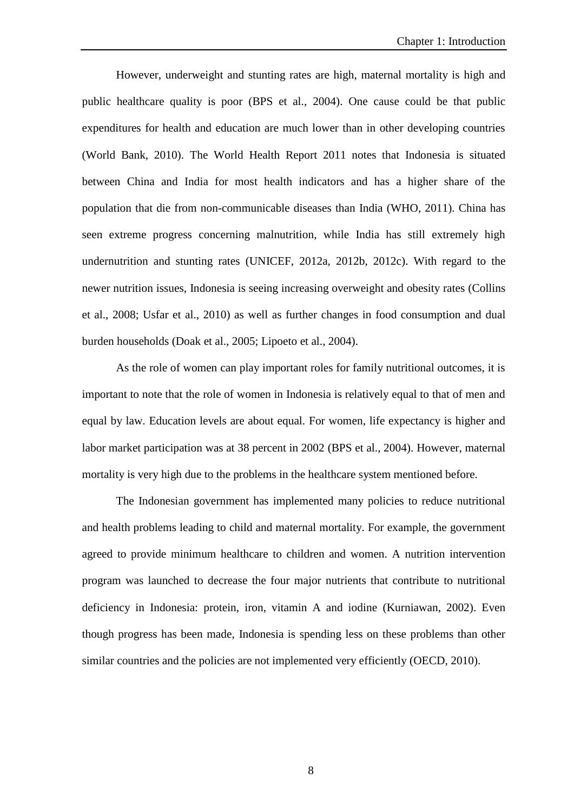However, underweight and stunting rates are high, maternal mortality is high and public healthcare quality is poor (BPS et al., 2004). One cause could be that public expenditures for health and education are much lower than in other developing countries (World Bank, 2010). The World Health Report 2011 notes that Indonesia is situated between China and India for most health indicators and has a higher share of the population that die from non-communicable diseases than India (WHO, 2011). China has seen extreme progress concerning malnutrition, while India has still extremely high undernutrition and stunting rates (UNICEF, 2012a, 2012b, 2012c). With regard to the newer nutrition issues, Indonesia is seeing increasing overweight and obesity rates (Collins et al., 2008; Usfar et al., 2010) as well as further changes in food consumption and dual burden households (Doak et al., 2005; Lipoeto et al., 2004).

As the role of women can play important roles for family nutritional outcomes, it is important to note that the role of women in Indonesia is relatively equal to that of men and equal by law. Education levels are about equal. For women, life expectancy is higher and labor market participation was at 38 percent in 2002 (BPS et al., 2004). However, maternal mortality is very high due to the problems in the healthcare system mentioned before.

The Indonesian government has implemented many policies to reduce nutritional and health problems leading to child and maternal mortality. For example, the government agreed to provide minimum healthcare to children and women. A nutrition intervention program was launched to decrease the four major nutrients that contribute to nutritional deficiency in Indonesia: protein, iron, vitamin A and iodine (Kurniawan, 2002). Even though progress has been made, Indonesia is spending less on these problems than other similar countries and the policies are not implemented very efficiently (OECD, 2010).

8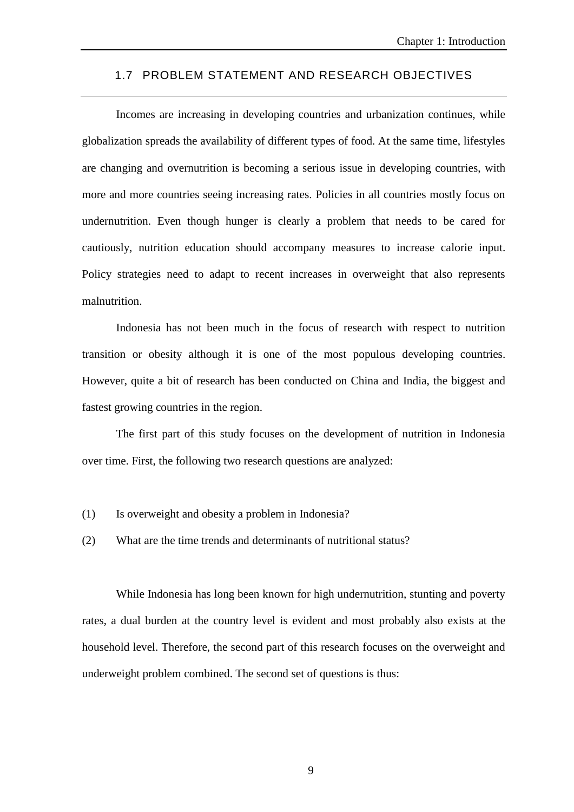### 1.7 PROBLEM STATEMENT AND RESEARCH OBJECTIVES

Incomes are increasing in developing countries and urbanization continues, while globalization spreads the availability of different types of food. At the same time, lifestyles are changing and overnutrition is becoming a serious issue in developing countries, with more and more countries seeing increasing rates. Policies in all countries mostly focus on undernutrition. Even though hunger is clearly a problem that needs to be cared for cautiously, nutrition education should accompany measures to increase calorie input. Policy strategies need to adapt to recent increases in overweight that also represents malnutrition.

Indonesia has not been much in the focus of research with respect to nutrition transition or obesity although it is one of the most populous developing countries. However, quite a bit of research has been conducted on China and India, the biggest and fastest growing countries in the region.

The first part of this study focuses on the development of nutrition in Indonesia over time. First, the following two research questions are analyzed:

- (1) Is overweight and obesity a problem in Indonesia?
- (2) What are the time trends and determinants of nutritional status?

While Indonesia has long been known for high undernutrition, stunting and poverty rates, a dual burden at the country level is evident and most probably also exists at the household level. Therefore, the second part of this research focuses on the overweight and underweight problem combined. The second set of questions is thus:

9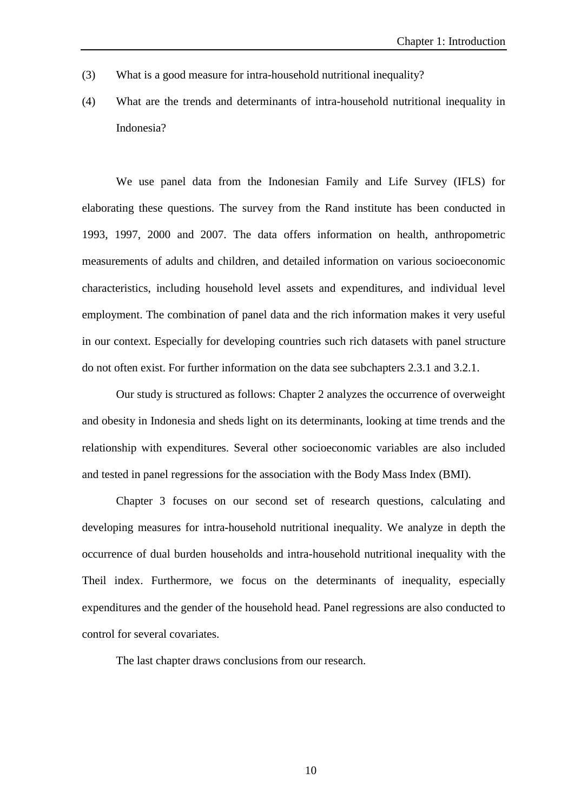- (3) What is a good measure for intra-household nutritional inequality?
- (4) What are the trends and determinants of intra-household nutritional inequality in Indonesia?

We use panel data from the Indonesian Family and Life Survey (IFLS) for elaborating these questions. The survey from the Rand institute has been conducted in 1993, 1997, 2000 and 2007. The data offers information on health, anthropometric measurements of adults and children, and detailed information on various socioeconomic characteristics, including household level assets and expenditures, and individual level employment. The combination of panel data and the rich information makes it very useful in our context. Especially for developing countries such rich datasets with panel structure do not often exist. For further information on the data see subchapters 2.3.1 and 3.2.1.

Our study is structured as follows: Chapter 2 analyzes the occurrence of overweight and obesity in Indonesia and sheds light on its determinants, looking at time trends and the relationship with expenditures. Several other socioeconomic variables are also included and tested in panel regressions for the association with the Body Mass Index (BMI).

Chapter 3 focuses on our second set of research questions, calculating and developing measures for intra-household nutritional inequality. We analyze in depth the occurrence of dual burden households and intra-household nutritional inequality with the Theil index. Furthermore, we focus on the determinants of inequality, especially expenditures and the gender of the household head. Panel regressions are also conducted to control for several covariates.

The last chapter draws conclusions from our research.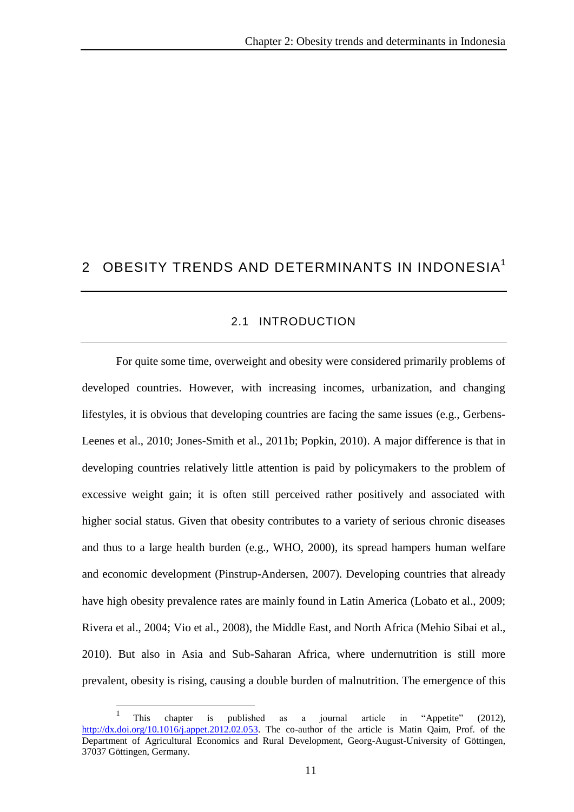## 2 OBESITY TRENDS AND DETERMINANTS IN INDONESIA<sup>1</sup>

### 2.1 INTRODUCTION

For quite some time, overweight and obesity were considered primarily problems of developed countries. However, with increasing incomes, urbanization, and changing lifestyles, it is obvious that developing countries are facing the same issues (e.g., Gerbens-Leenes et al., 2010; Jones-Smith et al., 2011b; Popkin, 2010). A major difference is that in developing countries relatively little attention is paid by policymakers to the problem of excessive weight gain; it is often still perceived rather positively and associated with higher social status. Given that obesity contributes to a variety of serious chronic diseases and thus to a large health burden (e.g., WHO, 2000), its spread hampers human welfare and economic development (Pinstrup-Andersen, 2007). Developing countries that already have high obesity prevalence rates are mainly found in Latin America (Lobato et al., 2009; Rivera et al., 2004; Vio et al., 2008), the Middle East, and North Africa (Mehio Sibai et al., 2010). But also in Asia and Sub-Saharan Africa, where undernutrition is still more prevalent, obesity is rising, causing a double burden of malnutrition. The emergence of this

 $\overline{a}$ 

<sup>1</sup> This chapter is published as a journal article in "Appetite" (2012), [http://dx.doi.org/10.1016/j.appet.2012.02.053.](http://dx.doi.org/10.1016/j.appet.2012.02.053) The co-author of the article is Matin Qaim, Prof. of the Department of Agricultural Economics and Rural Development, Georg-August-University of Göttingen, 37037 Göttingen, Germany.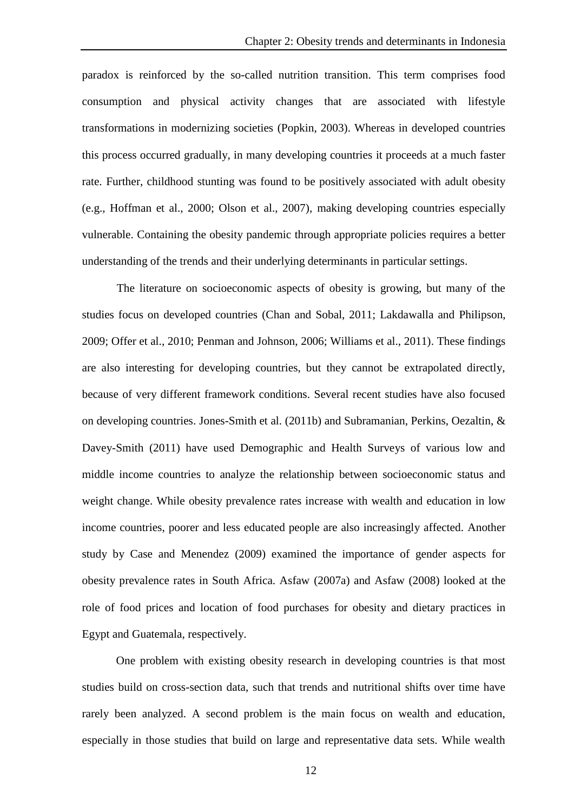paradox is reinforced by the so-called nutrition transition. This term comprises food consumption and physical activity changes that are associated with lifestyle transformations in modernizing societies (Popkin, 2003). Whereas in developed countries this process occurred gradually, in many developing countries it proceeds at a much faster rate. Further, childhood stunting was found to be positively associated with adult obesity (e.g., Hoffman et al., 2000; Olson et al., 2007), making developing countries especially vulnerable. Containing the obesity pandemic through appropriate policies requires a better understanding of the trends and their underlying determinants in particular settings.

The literature on socioeconomic aspects of obesity is growing, but many of the studies focus on developed countries (Chan and Sobal, 2011; Lakdawalla and Philipson, 2009; Offer et al., 2010; Penman and Johnson, 2006; Williams et al., 2011). These findings are also interesting for developing countries, but they cannot be extrapolated directly, because of very different framework conditions. Several recent studies have also focused on developing countries. Jones-Smith et al. (2011b) and Subramanian, Perkins, Oezaltin, & Davey-Smith (2011) have used Demographic and Health Surveys of various low and middle income countries to analyze the relationship between socioeconomic status and weight change. While obesity prevalence rates increase with wealth and education in low income countries, poorer and less educated people are also increasingly affected. Another study by Case and Menendez (2009) examined the importance of gender aspects for obesity prevalence rates in South Africa. Asfaw (2007a) and Asfaw (2008) looked at the role of food prices and location of food purchases for obesity and dietary practices in Egypt and Guatemala, respectively.

One problem with existing obesity research in developing countries is that most studies build on cross-section data, such that trends and nutritional shifts over time have rarely been analyzed. A second problem is the main focus on wealth and education, especially in those studies that build on large and representative data sets. While wealth

12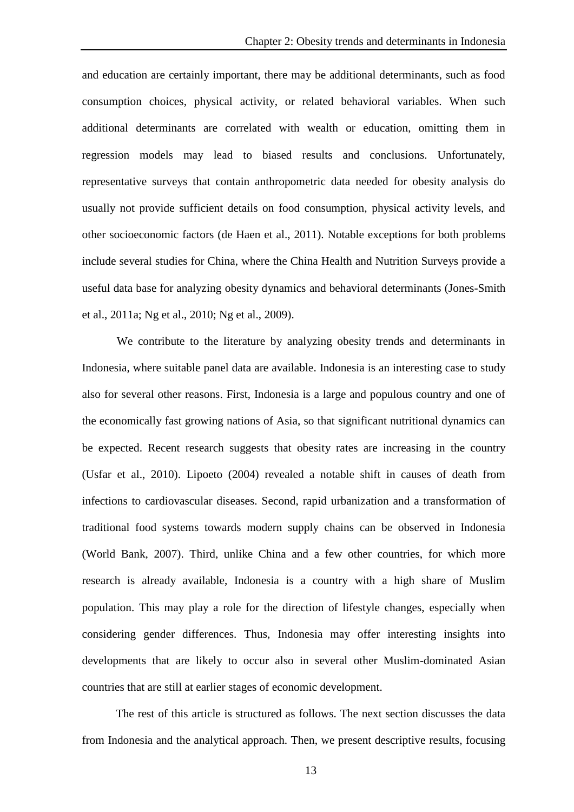and education are certainly important, there may be additional determinants, such as food consumption choices, physical activity, or related behavioral variables. When such additional determinants are correlated with wealth or education, omitting them in regression models may lead to biased results and conclusions. Unfortunately, representative surveys that contain anthropometric data needed for obesity analysis do usually not provide sufficient details on food consumption, physical activity levels, and other socioeconomic factors (de Haen et al., 2011). Notable exceptions for both problems include several studies for China, where the China Health and Nutrition Surveys provide a useful data base for analyzing obesity dynamics and behavioral determinants (Jones-Smith et al., 2011a; Ng et al., 2010; Ng et al., 2009).

We contribute to the literature by analyzing obesity trends and determinants in Indonesia, where suitable panel data are available. Indonesia is an interesting case to study also for several other reasons. First, Indonesia is a large and populous country and one of the economically fast growing nations of Asia, so that significant nutritional dynamics can be expected. Recent research suggests that obesity rates are increasing in the country (Usfar et al., 2010). Lipoeto (2004) revealed a notable shift in causes of death from infections to cardiovascular diseases. Second, rapid urbanization and a transformation of traditional food systems towards modern supply chains can be observed in Indonesia (World Bank, 2007). Third, unlike China and a few other countries, for which more research is already available, Indonesia is a country with a high share of Muslim population. This may play a role for the direction of lifestyle changes, especially when considering gender differences. Thus, Indonesia may offer interesting insights into developments that are likely to occur also in several other Muslim-dominated Asian countries that are still at earlier stages of economic development.

The rest of this article is structured as follows. The next section discusses the data from Indonesia and the analytical approach. Then, we present descriptive results, focusing

13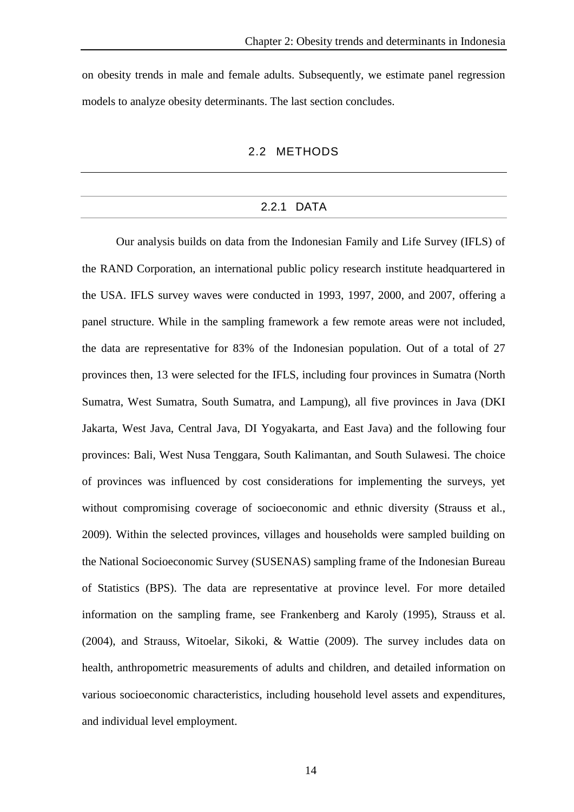on obesity trends in male and female adults. Subsequently, we estimate panel regression models to analyze obesity determinants. The last section concludes.

#### 2.2 METHODS

#### 2.2.1 DATA

Our analysis builds on data from the Indonesian Family and Life Survey (IFLS) of the RAND Corporation, an international public policy research institute headquartered in the USA. IFLS survey waves were conducted in 1993, 1997, 2000, and 2007, offering a panel structure. While in the sampling framework a few remote areas were not included, the data are representative for 83% of the Indonesian population. Out of a total of 27 provinces then, 13 were selected for the IFLS, including four provinces in Sumatra (North Sumatra, West Sumatra, South Sumatra, and Lampung), all five provinces in Java (DKI Jakarta, West Java, Central Java, DI Yogyakarta, and East Java) and the following four provinces: Bali, West Nusa Tenggara, South Kalimantan, and South Sulawesi. The choice of provinces was influenced by cost considerations for implementing the surveys, yet without compromising coverage of socioeconomic and ethnic diversity (Strauss et al., 2009). Within the selected provinces, villages and households were sampled building on the National Socioeconomic Survey (SUSENAS) sampling frame of the Indonesian Bureau of Statistics (BPS). The data are representative at province level. For more detailed information on the sampling frame, see Frankenberg and Karoly (1995), Strauss et al. (2004), and Strauss, Witoelar, Sikoki, & Wattie (2009). The survey includes data on health, anthropometric measurements of adults and children, and detailed information on various socioeconomic characteristics, including household level assets and expenditures, and individual level employment.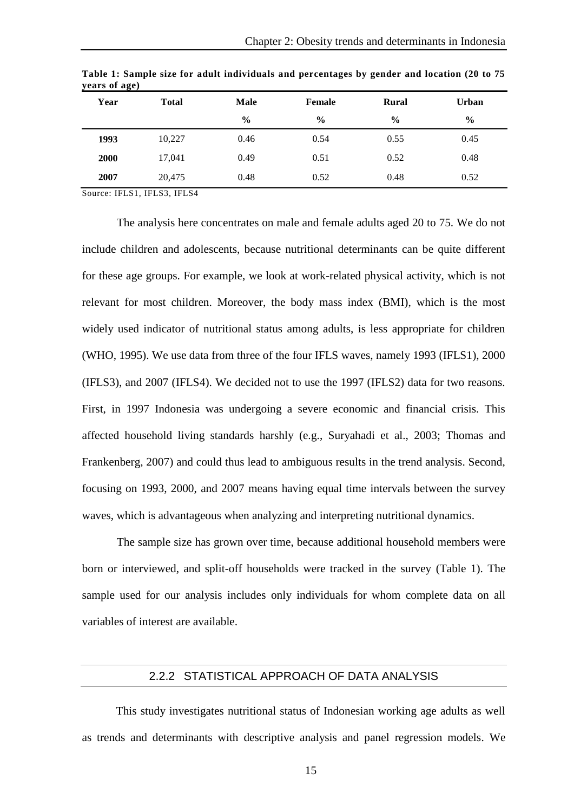| Year | <b>Total</b> | <b>Male</b>   | Female<br><b>Rural</b> |               | <b>Urban</b>  |
|------|--------------|---------------|------------------------|---------------|---------------|
|      |              | $\frac{0}{0}$ | $\frac{6}{9}$          | $\frac{6}{9}$ | $\frac{6}{9}$ |
| 1993 | 10,227       | 0.46          | 0.54                   | 0.55          | 0.45          |
| 2000 | 17,041       | 0.49          | 0.51                   | 0.52          | 0.48          |
| 2007 | 20,475       | 0.48          | 0.52                   | 0.48          | 0.52          |

**Table 1: Sample size for adult individuals and percentages by gender and location (20 to 75 years of age)**

Source: IFLS1, IFLS3, IFLS4

The analysis here concentrates on male and female adults aged 20 to 75. We do not include children and adolescents, because nutritional determinants can be quite different for these age groups. For example, we look at work-related physical activity, which is not relevant for most children. Moreover, the body mass index (BMI), which is the most widely used indicator of nutritional status among adults, is less appropriate for children (WHO, 1995). We use data from three of the four IFLS waves, namely 1993 (IFLS1), 2000 (IFLS3), and 2007 (IFLS4). We decided not to use the 1997 (IFLS2) data for two reasons. First, in 1997 Indonesia was undergoing a severe economic and financial crisis. This affected household living standards harshly (e.g., Suryahadi et al., 2003; Thomas and Frankenberg, 2007) and could thus lead to ambiguous results in the trend analysis. Second, focusing on 1993, 2000, and 2007 means having equal time intervals between the survey waves, which is advantageous when analyzing and interpreting nutritional dynamics.

The sample size has grown over time, because additional household members were born or interviewed, and split-off households were tracked in the survey (Table 1). The sample used for our analysis includes only individuals for whom complete data on all variables of interest are available.

#### 2.2.2 STATISTICAL APPROACH OF DATA ANALYSIS

This study investigates nutritional status of Indonesian working age adults as well as trends and determinants with descriptive analysis and panel regression models. We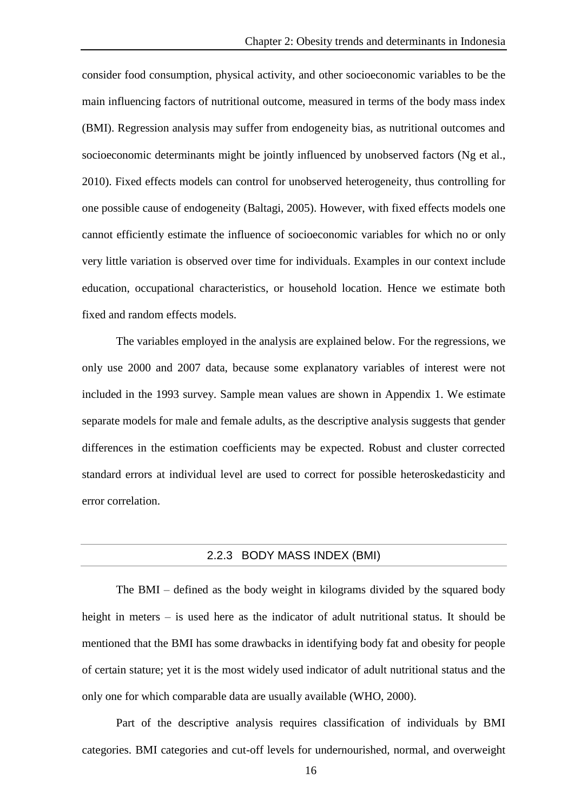consider food consumption, physical activity, and other socioeconomic variables to be the main influencing factors of nutritional outcome, measured in terms of the body mass index (BMI). Regression analysis may suffer from endogeneity bias, as nutritional outcomes and socioeconomic determinants might be jointly influenced by unobserved factors (Ng et al., 2010). Fixed effects models can control for unobserved heterogeneity, thus controlling for one possible cause of endogeneity (Baltagi, 2005). However, with fixed effects models one cannot efficiently estimate the influence of socioeconomic variables for which no or only very little variation is observed over time for individuals. Examples in our context include education, occupational characteristics, or household location. Hence we estimate both fixed and random effects models.

The variables employed in the analysis are explained below. For the regressions, we only use 2000 and 2007 data, because some explanatory variables of interest were not included in the 1993 survey. Sample mean values are shown in Appendix 1. We estimate separate models for male and female adults, as the descriptive analysis suggests that gender differences in the estimation coefficients may be expected. Robust and cluster corrected standard errors at individual level are used to correct for possible heteroskedasticity and error correlation.

#### 2.2.3 BODY MASS INDEX (BMI)

The BMI – defined as the body weight in kilograms divided by the squared body height in meters – is used here as the indicator of adult nutritional status. It should be mentioned that the BMI has some drawbacks in identifying body fat and obesity for people of certain stature; yet it is the most widely used indicator of adult nutritional status and the only one for which comparable data are usually available (WHO, 2000).

Part of the descriptive analysis requires classification of individuals by BMI categories. BMI categories and cut-off levels for undernourished, normal, and overweight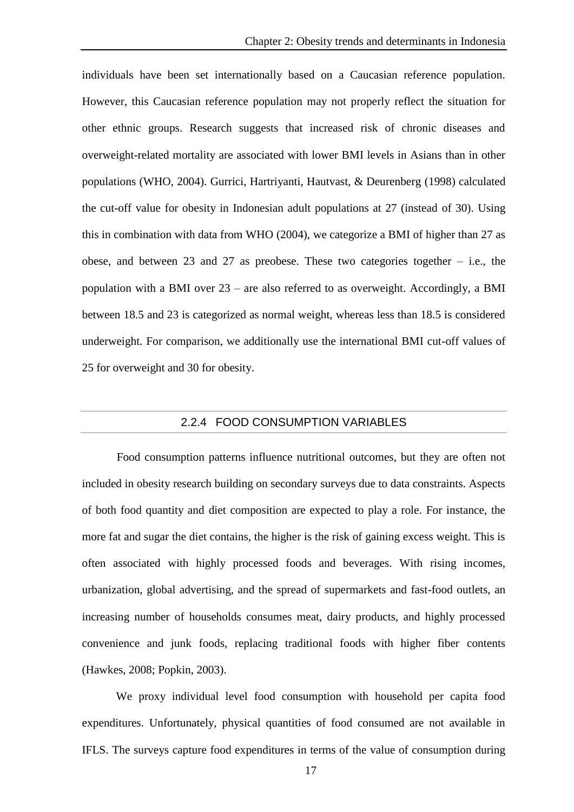individuals have been set internationally based on a Caucasian reference population. However, this Caucasian reference population may not properly reflect the situation for other ethnic groups. Research suggests that increased risk of chronic diseases and overweight-related mortality are associated with lower BMI levels in Asians than in other populations (WHO, 2004). Gurrici, Hartriyanti, Hautvast, & Deurenberg (1998) calculated the cut-off value for obesity in Indonesian adult populations at 27 (instead of 30). Using this in combination with data from WHO (2004), we categorize a BMI of higher than 27 as obese, and between 23 and 27 as preobese. These two categories together  $-$  i.e., the population with a BMI over 23 – are also referred to as overweight. Accordingly, a BMI between 18.5 and 23 is categorized as normal weight, whereas less than 18.5 is considered underweight. For comparison, we additionally use the international BMI cut-off values of 25 for overweight and 30 for obesity.

#### 2.2.4 FOOD CONSUMPTION VARIABLES

Food consumption patterns influence nutritional outcomes, but they are often not included in obesity research building on secondary surveys due to data constraints. Aspects of both food quantity and diet composition are expected to play a role. For instance, the more fat and sugar the diet contains, the higher is the risk of gaining excess weight. This is often associated with highly processed foods and beverages. With rising incomes, urbanization, global advertising, and the spread of supermarkets and fast-food outlets, an increasing number of households consumes meat, dairy products, and highly processed convenience and junk foods, replacing traditional foods with higher fiber contents (Hawkes, 2008; Popkin, 2003).

We proxy individual level food consumption with household per capita food expenditures. Unfortunately, physical quantities of food consumed are not available in IFLS. The surveys capture food expenditures in terms of the value of consumption during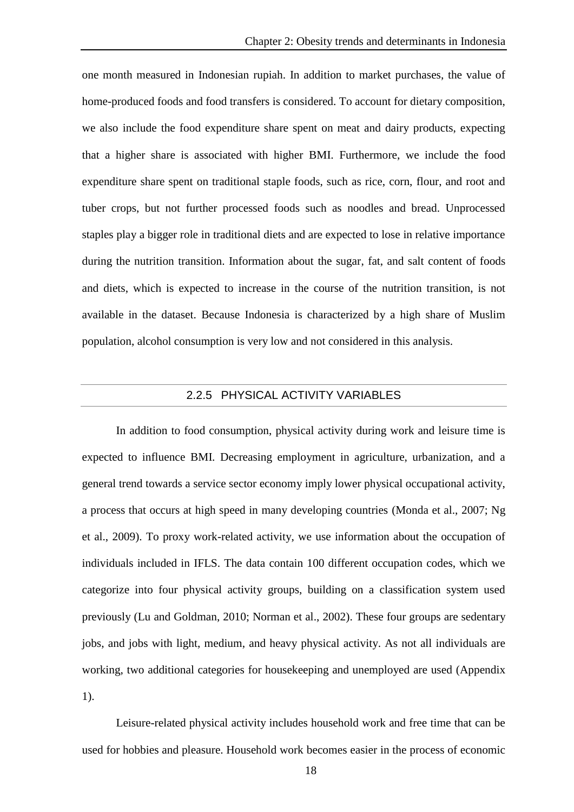one month measured in Indonesian rupiah. In addition to market purchases, the value of home-produced foods and food transfers is considered. To account for dietary composition, we also include the food expenditure share spent on meat and dairy products, expecting that a higher share is associated with higher BMI. Furthermore, we include the food expenditure share spent on traditional staple foods, such as rice, corn, flour, and root and tuber crops, but not further processed foods such as noodles and bread. Unprocessed staples play a bigger role in traditional diets and are expected to lose in relative importance during the nutrition transition. Information about the sugar, fat, and salt content of foods and diets, which is expected to increase in the course of the nutrition transition, is not available in the dataset. Because Indonesia is characterized by a high share of Muslim population, alcohol consumption is very low and not considered in this analysis.

#### 2.2.5 PHYSICAL ACTIVITY VARIABLES

In addition to food consumption, physical activity during work and leisure time is expected to influence BMI. Decreasing employment in agriculture, urbanization, and a general trend towards a service sector economy imply lower physical occupational activity, a process that occurs at high speed in many developing countries (Monda et al., 2007; Ng et al., 2009). To proxy work-related activity, we use information about the occupation of individuals included in IFLS. The data contain 100 different occupation codes, which we categorize into four physical activity groups, building on a classification system used previously (Lu and Goldman, 2010; Norman et al., 2002). These four groups are sedentary jobs, and jobs with light, medium, and heavy physical activity. As not all individuals are working, two additional categories for housekeeping and unemployed are used (Appendix 1).

Leisure-related physical activity includes household work and free time that can be used for hobbies and pleasure. Household work becomes easier in the process of economic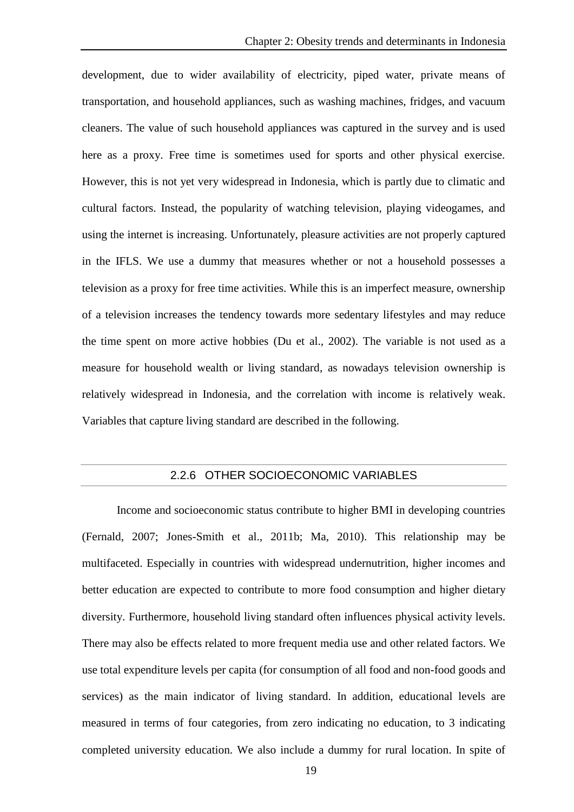development, due to wider availability of electricity, piped water, private means of transportation, and household appliances, such as washing machines, fridges, and vacuum cleaners. The value of such household appliances was captured in the survey and is used here as a proxy. Free time is sometimes used for sports and other physical exercise. However, this is not yet very widespread in Indonesia, which is partly due to climatic and cultural factors. Instead, the popularity of watching television, playing videogames, and using the internet is increasing. Unfortunately, pleasure activities are not properly captured in the IFLS. We use a dummy that measures whether or not a household possesses a television as a proxy for free time activities. While this is an imperfect measure, ownership of a television increases the tendency towards more sedentary lifestyles and may reduce the time spent on more active hobbies (Du et al., 2002). The variable is not used as a measure for household wealth or living standard, as nowadays television ownership is relatively widespread in Indonesia, and the correlation with income is relatively weak. Variables that capture living standard are described in the following.

#### 2.2.6 OTHER SOCIOECONOMIC VARIABLES

Income and socioeconomic status contribute to higher BMI in developing countries (Fernald, 2007; Jones-Smith et al., 2011b; Ma, 2010). This relationship may be multifaceted. Especially in countries with widespread undernutrition, higher incomes and better education are expected to contribute to more food consumption and higher dietary diversity. Furthermore, household living standard often influences physical activity levels. There may also be effects related to more frequent media use and other related factors. We use total expenditure levels per capita (for consumption of all food and non-food goods and services) as the main indicator of living standard. In addition, educational levels are measured in terms of four categories, from zero indicating no education, to 3 indicating completed university education. We also include a dummy for rural location. In spite of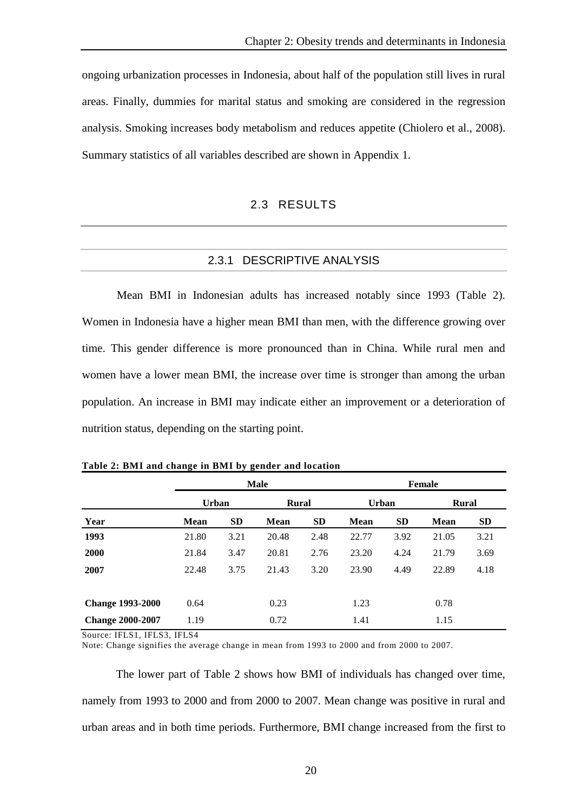ongoing urbanization processes in Indonesia, about half of the population still lives in rural areas. Finally, dummies for marital status and smoking are considered in the regression analysis. Smoking increases body metabolism and reduces appetite (Chiolero et al., 2008). Summary statistics of all variables described are shown in Appendix 1*.*

## 2.3 RESULTS

## 2.3.1 DESCRIPTIVE ANALYSIS

Mean BMI in Indonesian adults has increased notably since 1993 (Table 2). Women in Indonesia have a higher mean BMI than men, with the difference growing over time. This gender difference is more pronounced than in China. While rural men and women have a lower mean BMI, the increase over time is stronger than among the urban population. An increase in BMI may indicate either an improvement or a deterioration of nutrition status, depending on the starting point.

|                         |              |           | <b>Male</b>  |           |              |           | Female       |           |
|-------------------------|--------------|-----------|--------------|-----------|--------------|-----------|--------------|-----------|
|                         | <b>Urban</b> |           | <b>Rural</b> |           | <b>Urban</b> |           | <b>Rural</b> |           |
| Year                    | <b>Mean</b>  | <b>SD</b> | <b>Mean</b>  | <b>SD</b> | Mean         | <b>SD</b> | Mean         | <b>SD</b> |
| 1993                    | 21.80        | 3.21      | 20.48        | 2.48      | 22.77        | 3.92      | 21.05        | 3.21      |
| <b>2000</b>             | 21.84        | 3.47      | 20.81        | 2.76      | 23.20        | 4.24      | 21.79        | 3.69      |
| 2007                    | 22.48        | 3.75      | 21.43        | 3.20      | 23.90        | 4.49      | 22.89        | 4.18      |
| <b>Change 1993-2000</b> | 0.64         |           | 0.23         |           | 1.23         |           | 0.78         |           |
| <b>Change 2000-2007</b> | 1.19         |           | 0.72         |           | 1.41         |           | 1.15         |           |

**Table 2: BMI and change in BMI by gender and location**

Source: IFLS1, IFLS3, IFLS4

Note: Change signifies the average change in mean from 1993 to 2000 and from 2000 to 2007.

The lower part of Table 2 shows how BMI of individuals has changed over time, namely from 1993 to 2000 and from 2000 to 2007. Mean change was positive in rural and urban areas and in both time periods. Furthermore, BMI change increased from the first to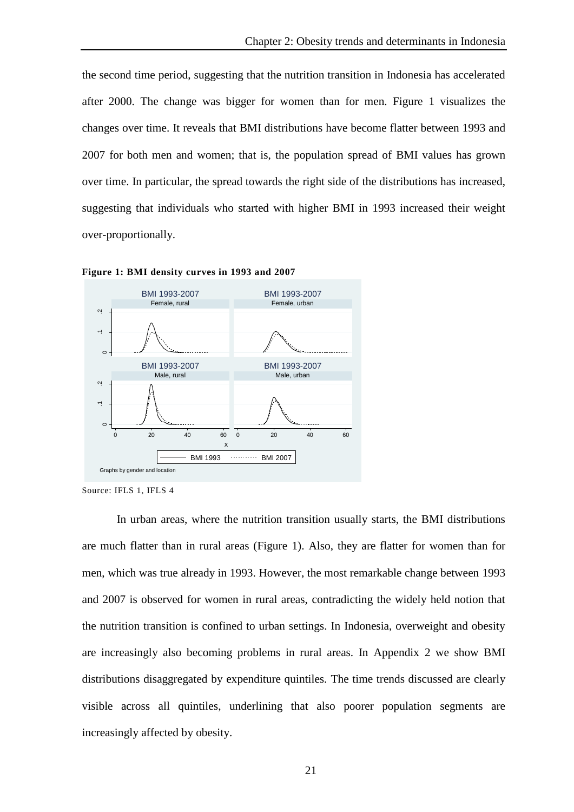the second time period, suggesting that the nutrition transition in Indonesia has accelerated after 2000. The change was bigger for women than for men. Figure 1 visualizes the changes over time. It reveals that BMI distributions have become flatter between 1993 and 2007 for both men and women; that is, the population spread of BMI values has grown over time. In particular, the spread towards the right side of the distributions has increased, suggesting that individuals who started with higher BMI in 1993 increased their weight over-proportionally.



**Figure 1: BMI density curves in 1993 and 2007**

In urban areas, where the nutrition transition usually starts, the BMI distributions are much flatter than in rural areas (Figure 1). Also, they are flatter for women than for men, which was true already in 1993. However, the most remarkable change between 1993 and 2007 is observed for women in rural areas, contradicting the widely held notion that the nutrition transition is confined to urban settings. In Indonesia, overweight and obesity are increasingly also becoming problems in rural areas. In Appendix 2 we show BMI distributions disaggregated by expenditure quintiles. The time trends discussed are clearly visible across all quintiles, underlining that also poorer population segments are increasingly affected by obesity.

Source: IFLS 1, IFLS 4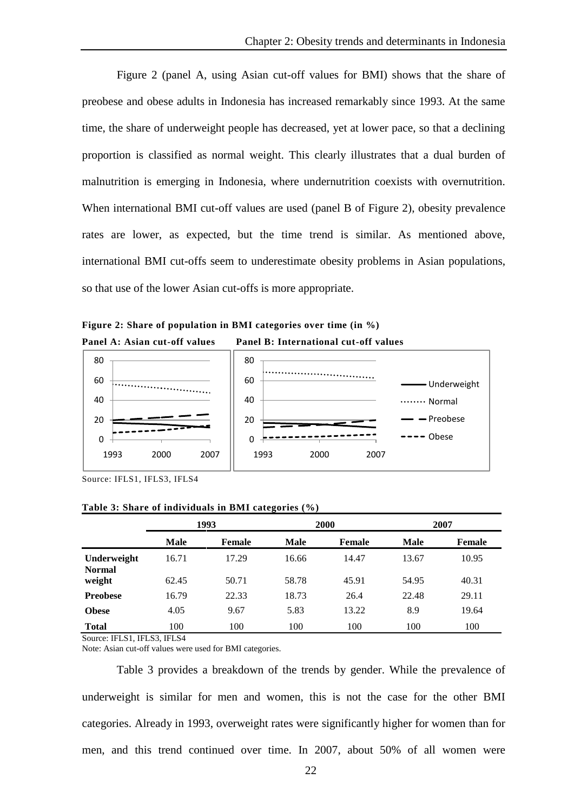Figure 2 (panel A, using Asian cut-off values for BMI) shows that the share of preobese and obese adults in Indonesia has increased remarkably since 1993. At the same time, the share of underweight people has decreased, yet at lower pace, so that a declining proportion is classified as normal weight. This clearly illustrates that a dual burden of malnutrition is emerging in Indonesia, where undernutrition coexists with overnutrition. When international BMI cut-off values are used (panel B of Figure 2), obesity prevalence rates are lower, as expected, but the time trend is similar. As mentioned above, international BMI cut-offs seem to underestimate obesity problems in Asian populations, so that use of the lower Asian cut-offs is more appropriate.

**Figure 2: Share of population in BMI categories over time (in %) Panel A: Asian cut-off values Panel B: International cut-off values**



Source: IFLS1, IFLS3, IFLS4

**Table 3: Share of individuals in BMI categories (%)**

|                              |             | 1993   |       | 2000          |             | 2007   |
|------------------------------|-------------|--------|-------|---------------|-------------|--------|
|                              | <b>Male</b> | Female | Male  | <b>Female</b> | <b>Male</b> | Female |
| Underweight<br><b>Normal</b> | 16.71       | 17.29  | 16.66 | 14.47         | 13.67       | 10.95  |
| weight                       | 62.45       | 50.71  | 58.78 | 45.91         | 54.95       | 40.31  |
| <b>Preobese</b>              | 16.79       | 22.33  | 18.73 | 26.4          | 22.48       | 29.11  |
| <b>Obese</b>                 | 4.05        | 9.67   | 5.83  | 13.22         | 8.9         | 19.64  |
| <b>Total</b>                 | 100         | 100    | 100   | 100           | 100         | 100    |

Source: IFLS1, IFLS3, IFLS4

Note: Asian cut-off values were used for BMI categories.

Table 3 provides a breakdown of the trends by gender. While the prevalence of underweight is similar for men and women, this is not the case for the other BMI categories. Already in 1993, overweight rates were significantly higher for women than for men, and this trend continued over time. In 2007, about 50% of all women were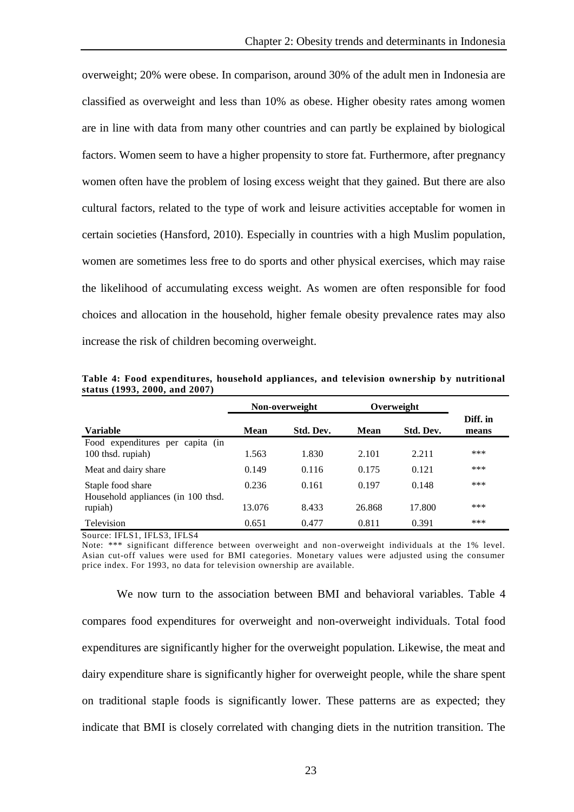overweight; 20% were obese. In comparison, around 30% of the adult men in Indonesia are classified as overweight and less than 10% as obese. Higher obesity rates among women are in line with data from many other countries and can partly be explained by biological factors. Women seem to have a higher propensity to store fat. Furthermore, after pregnancy women often have the problem of losing excess weight that they gained. But there are also cultural factors, related to the type of work and leisure activities acceptable for women in certain societies (Hansford, 2010). Especially in countries with a high Muslim population, women are sometimes less free to do sports and other physical exercises, which may raise the likelihood of accumulating excess weight. As women are often responsible for food choices and allocation in the household, higher female obesity prevalence rates may also increase the risk of children becoming overweight.

|                                                          |             | Non-overweight |        | Overweight |                   |
|----------------------------------------------------------|-------------|----------------|--------|------------|-------------------|
| <b>Variable</b>                                          | <b>Mean</b> | Std. Dev.      | Mean   | Std. Dev.  | Diff. in<br>means |
| Food expenditures per capita (in<br>100 thsd. rupiah)    | 1.563       | 1.830          | 2.101  | 2.211      | ***               |
| Meat and dairy share                                     | 0.149       | 0.116          | 0.175  | 0.121      | ***               |
| Staple food share<br>Household appliances (in 100 thsd.) | 0.236       | 0.161          | 0.197  | 0.148      | ***               |
| rupiah)                                                  | 13.076      | 8.433          | 26.868 | 17.800     | ***               |
| Television                                               | 0.651       | 0.477          | 0.811  | 0.391      | ***               |

**Table 4: Food expenditures, household appliances, and television ownership by nutritional status (1993, 2000, and 2007)**

Source: IFLS1, IFLS3, IFLS4

Note: \*\*\* significant difference between overweight and non -overweight individuals at the 1% level. Asian cut-off values were used for BMI categories. Monetary values were adjusted using the consumer price index. For 1993, no data for television ownership are available.

We now turn to the association between BMI and behavioral variables. Table 4 compares food expenditures for overweight and non-overweight individuals. Total food expenditures are significantly higher for the overweight population. Likewise, the meat and dairy expenditure share is significantly higher for overweight people, while the share spent on traditional staple foods is significantly lower. These patterns are as expected; they indicate that BMI is closely correlated with changing diets in the nutrition transition. The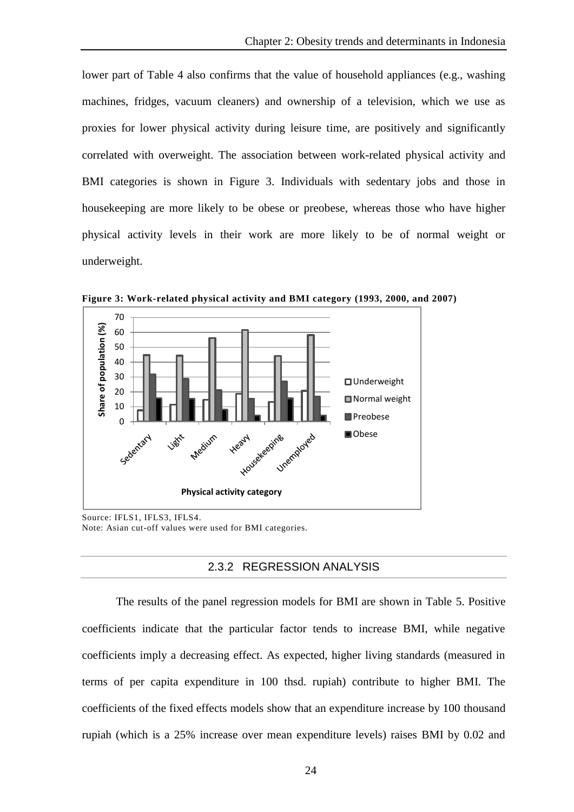lower part of Table 4 also confirms that the value of household appliances (e.g., washing machines, fridges, vacuum cleaners) and ownership of a television, which we use as proxies for lower physical activity during leisure time, are positively and significantly correlated with overweight. The association between work-related physical activity and BMI categories is shown in Figure 3. Individuals with sedentary jobs and those in housekeeping are more likely to be obese or preobese, whereas those who have higher physical activity levels in their work are more likely to be of normal weight or underweight.



**Figure 3: Work-related physical activity and BMI category (1993, 2000, and 2007)**

Source: IFLS1, IFLS3, IFLS4. Note: Asian cut-off values were used for BMI categories.

## 2.3.2 REGRESSION ANALYSIS

The results of the panel regression models for BMI are shown in Table 5. Positive coefficients indicate that the particular factor tends to increase BMI, while negative coefficients imply a decreasing effect. As expected, higher living standards (measured in terms of per capita expenditure in 100 thsd. rupiah) contribute to higher BMI. The coefficients of the fixed effects models show that an expenditure increase by 100 thousand rupiah (which is a 25% increase over mean expenditure levels) raises BMI by 0.02 and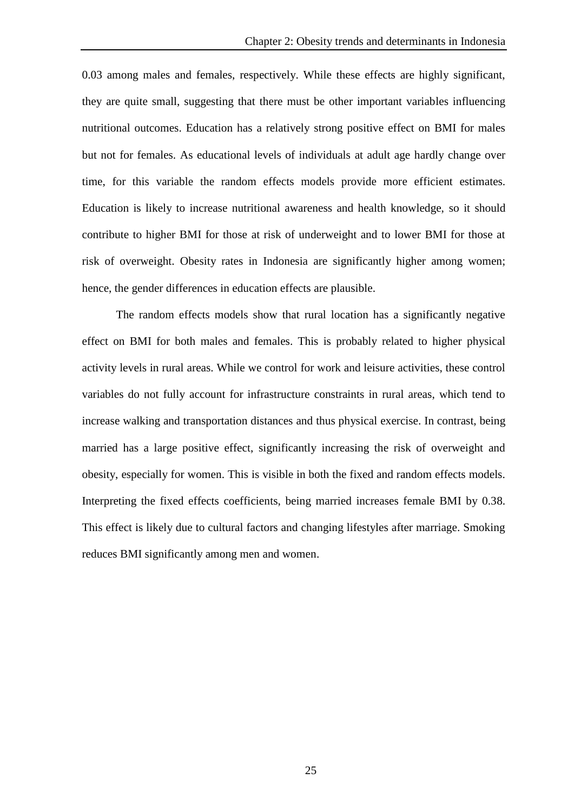0.03 among males and females, respectively. While these effects are highly significant, they are quite small, suggesting that there must be other important variables influencing nutritional outcomes. Education has a relatively strong positive effect on BMI for males but not for females. As educational levels of individuals at adult age hardly change over time, for this variable the random effects models provide more efficient estimates. Education is likely to increase nutritional awareness and health knowledge, so it should contribute to higher BMI for those at risk of underweight and to lower BMI for those at risk of overweight. Obesity rates in Indonesia are significantly higher among women; hence, the gender differences in education effects are plausible.

The random effects models show that rural location has a significantly negative effect on BMI for both males and females. This is probably related to higher physical activity levels in rural areas. While we control for work and leisure activities, these control variables do not fully account for infrastructure constraints in rural areas, which tend to increase walking and transportation distances and thus physical exercise. In contrast, being married has a large positive effect, significantly increasing the risk of overweight and obesity, especially for women. This is visible in both the fixed and random effects models. Interpreting the fixed effects coefficients, being married increases female BMI by 0.38. This effect is likely due to cultural factors and changing lifestyles after marriage. Smoking reduces BMI significantly among men and women.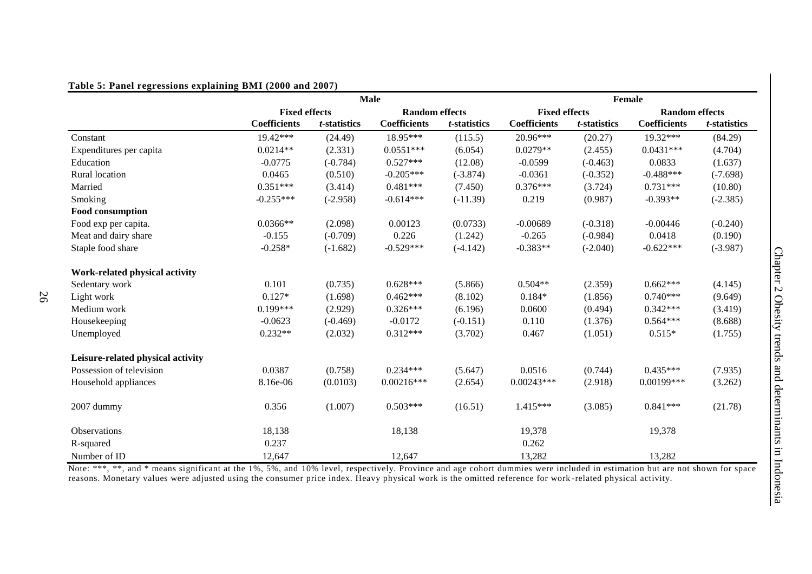#### **Table 5: Panel regressions explaining BMI (2000 and 2007)**

|                                   |                      |              | <b>Male</b>           |                      |                      |                      | Female                |                      |
|-----------------------------------|----------------------|--------------|-----------------------|----------------------|----------------------|----------------------|-----------------------|----------------------|
|                                   | <b>Fixed effects</b> |              | <b>Random effects</b> |                      | <b>Fixed effects</b> |                      | <b>Random effects</b> |                      |
|                                   | <b>Coefficients</b>  | t-statistics | <b>Coefficients</b>   | <i>t</i> -statistics | <b>Coefficients</b>  | <i>t</i> -statistics | <b>Coefficients</b>   | <i>t</i> -statistics |
| Constant                          | 19.42***             | (24.49)      | 18.95***              | (115.5)              | 20.96***             | (20.27)              | 19.32***              | (84.29)              |
| Expenditures per capita           | $0.0214**$           | (2.331)      | $0.0551***$           | (6.054)              | $0.0279**$           | (2.455)              | $0.0431***$           | (4.704)              |
| Education                         | $-0.0775$            | $(-0.784)$   | $0.527***$            | (12.08)              | $-0.0599$            | $(-0.463)$           | 0.0833                | (1.637)              |
| Rural location                    | 0.0465               | (0.510)      | $-0.205***$           | $(-3.874)$           | $-0.0361$            | $(-0.352)$           | $-0.488***$           | $(-7.698)$           |
| Married                           | $0.351***$           | (3.414)      | $0.481***$            | (7.450)              | $0.376***$           | (3.724)              | $0.731***$            | (10.80)              |
| Smoking                           | $-0.255***$          | $(-2.958)$   | $-0.614***$           | $(-11.39)$           | 0.219                | (0.987)              | $-0.393**$            | $(-2.385)$           |
| Food consumption                  |                      |              |                       |                      |                      |                      |                       |                      |
| Food exp per capita.              | $0.0366**$           | (2.098)      | 0.00123               | (0.0733)             | $-0.00689$           | $(-0.318)$           | $-0.00446$            | $(-0.240)$           |
| Meat and dairy share              | $-0.155$             | $(-0.709)$   | 0.226                 | (1.242)              | $-0.265$             | $(-0.984)$           | 0.0418                | (0.190)              |
| Staple food share                 | $-0.258*$            | $(-1.682)$   | $-0.529***$           | $(-4.142)$           | $-0.383**$           | $(-2.040)$           | $-0.622***$           | $(-3.987)$           |
| Work-related physical activity    |                      |              |                       |                      |                      |                      |                       |                      |
| Sedentary work                    | 0.101                | (0.735)      | $0.628***$            | (5.866)              | $0.504**$            | (2.359)              | $0.662***$            | (4.145)              |
| Light work                        | $0.127*$             | (1.698)      | $0.462***$            | (8.102)              | $0.184*$             | (1.856)              | $0.740***$            | (9.649)              |
| Medium work                       | $0.199***$           | (2.929)      | $0.326***$            | (6.196)              | 0.0600               | (0.494)              | $0.342***$            | (3.419)              |
| Housekeeping                      | $-0.0623$            | $(-0.469)$   | $-0.0172$             | $(-0.151)$           | 0.110                | (1.376)              | $0.564***$            | (8.688)              |
| Unemployed                        | $0.232**$            | (2.032)      | $0.312***$            | (3.702)              | 0.467                | (1.051)              | $0.515*$              | (1.755)              |
| Leisure-related physical activity |                      |              |                       |                      |                      |                      |                       |                      |
| Possession of television          | 0.0387               | (0.758)      | $0.234***$            | (5.647)              | 0.0516               | (0.744)              | $0.435***$            | (7.935)              |
| Household appliances              | 8.16e-06             | (0.0103)     | $0.00216***$          | (2.654)              | $0.00243***$         | (2.918)              | 0.00199***            | (3.262)              |
| 2007 dummy                        | 0.356                | (1.007)      | $0.503***$            | (16.51)              | $1.415***$           | (3.085)              | $0.841***$            | (21.78)              |
| Observations                      | 18,138               |              | 18,138                |                      | 19,378               |                      | 19,378                |                      |
| R-squared                         | 0.237                |              |                       |                      | 0.262                |                      |                       |                      |
| Number of ID                      | 12,647               |              | 12,647                |                      | 13,282               |                      | 13,282                |                      |

Note: \*\*\*, \*\*, and \* means significant at the 1%, 5%, and 10% level, respectively. Province and age cohort dummies were included in estimation but are not shown for space reasons. Monetary values were adjusted using the consumer price index. Heavy physical work is the omitted reference for work -related physical activity.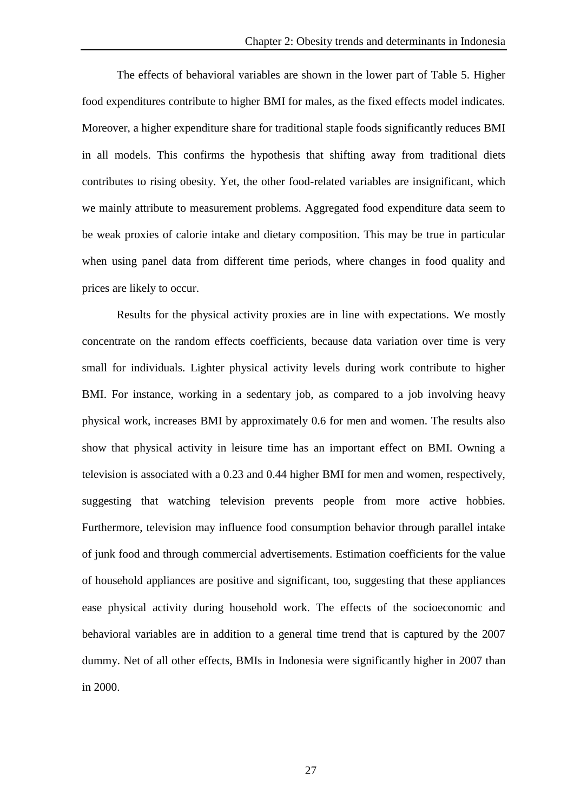The effects of behavioral variables are shown in the lower part of Table 5. Higher food expenditures contribute to higher BMI for males, as the fixed effects model indicates. Moreover, a higher expenditure share for traditional staple foods significantly reduces BMI in all models. This confirms the hypothesis that shifting away from traditional diets contributes to rising obesity. Yet, the other food-related variables are insignificant, which we mainly attribute to measurement problems. Aggregated food expenditure data seem to be weak proxies of calorie intake and dietary composition. This may be true in particular when using panel data from different time periods, where changes in food quality and prices are likely to occur.

Results for the physical activity proxies are in line with expectations. We mostly concentrate on the random effects coefficients, because data variation over time is very small for individuals. Lighter physical activity levels during work contribute to higher BMI. For instance, working in a sedentary job, as compared to a job involving heavy physical work, increases BMI by approximately 0.6 for men and women. The results also show that physical activity in leisure time has an important effect on BMI. Owning a television is associated with a 0.23 and 0.44 higher BMI for men and women, respectively, suggesting that watching television prevents people from more active hobbies. Furthermore, television may influence food consumption behavior through parallel intake of junk food and through commercial advertisements. Estimation coefficients for the value of household appliances are positive and significant, too, suggesting that these appliances ease physical activity during household work. The effects of the socioeconomic and behavioral variables are in addition to a general time trend that is captured by the 2007 dummy. Net of all other effects, BMIs in Indonesia were significantly higher in 2007 than in 2000.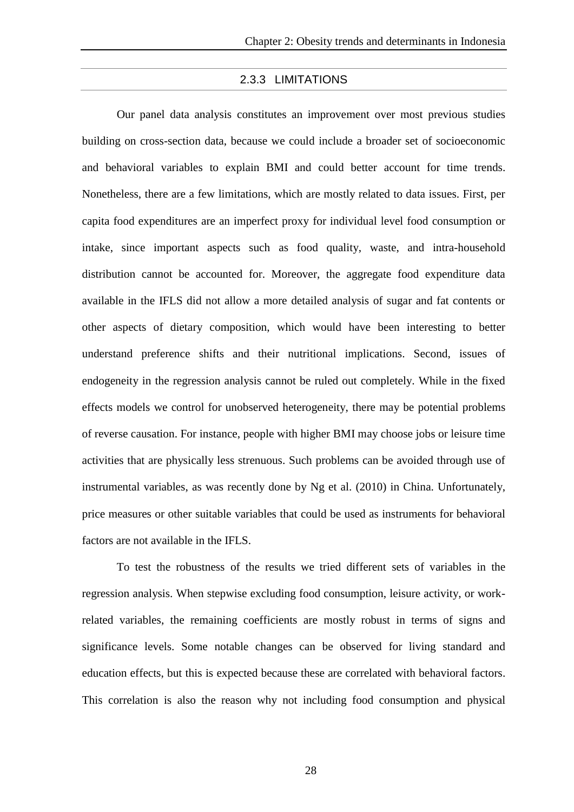### 2.3.3 LIMITATIONS

Our panel data analysis constitutes an improvement over most previous studies building on cross-section data, because we could include a broader set of socioeconomic and behavioral variables to explain BMI and could better account for time trends. Nonetheless, there are a few limitations, which are mostly related to data issues. First, per capita food expenditures are an imperfect proxy for individual level food consumption or intake, since important aspects such as food quality, waste, and intra-household distribution cannot be accounted for. Moreover, the aggregate food expenditure data available in the IFLS did not allow a more detailed analysis of sugar and fat contents or other aspects of dietary composition, which would have been interesting to better understand preference shifts and their nutritional implications. Second, issues of endogeneity in the regression analysis cannot be ruled out completely. While in the fixed effects models we control for unobserved heterogeneity, there may be potential problems of reverse causation. For instance, people with higher BMI may choose jobs or leisure time activities that are physically less strenuous. Such problems can be avoided through use of instrumental variables, as was recently done by Ng et al. (2010) in China. Unfortunately, price measures or other suitable variables that could be used as instruments for behavioral factors are not available in the IFLS.

To test the robustness of the results we tried different sets of variables in the regression analysis. When stepwise excluding food consumption, leisure activity, or workrelated variables, the remaining coefficients are mostly robust in terms of signs and significance levels. Some notable changes can be observed for living standard and education effects, but this is expected because these are correlated with behavioral factors. This correlation is also the reason why not including food consumption and physical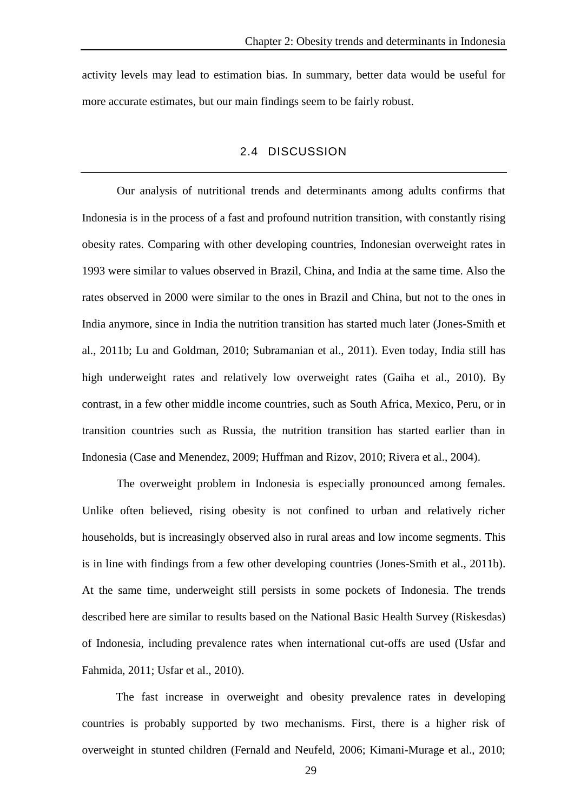activity levels may lead to estimation bias. In summary, better data would be useful for more accurate estimates, but our main findings seem to be fairly robust.

#### 2.4 DISCUSSION

Our analysis of nutritional trends and determinants among adults confirms that Indonesia is in the process of a fast and profound nutrition transition, with constantly rising obesity rates. Comparing with other developing countries, Indonesian overweight rates in 1993 were similar to values observed in Brazil, China, and India at the same time. Also the rates observed in 2000 were similar to the ones in Brazil and China, but not to the ones in India anymore, since in India the nutrition transition has started much later (Jones-Smith et al., 2011b; Lu and Goldman, 2010; Subramanian et al., 2011). Even today, India still has high underweight rates and relatively low overweight rates (Gaiha et al., 2010). By contrast, in a few other middle income countries, such as South Africa, Mexico, Peru, or in transition countries such as Russia, the nutrition transition has started earlier than in Indonesia (Case and Menendez, 2009; Huffman and Rizov, 2010; Rivera et al., 2004).

The overweight problem in Indonesia is especially pronounced among females. Unlike often believed, rising obesity is not confined to urban and relatively richer households, but is increasingly observed also in rural areas and low income segments. This is in line with findings from a few other developing countries (Jones-Smith et al., 2011b). At the same time, underweight still persists in some pockets of Indonesia. The trends described here are similar to results based on the National Basic Health Survey (Riskesdas) of Indonesia, including prevalence rates when international cut-offs are used (Usfar and Fahmida, 2011; Usfar et al., 2010).

The fast increase in overweight and obesity prevalence rates in developing countries is probably supported by two mechanisms. First, there is a higher risk of overweight in stunted children (Fernald and Neufeld, 2006; Kimani-Murage et al., 2010;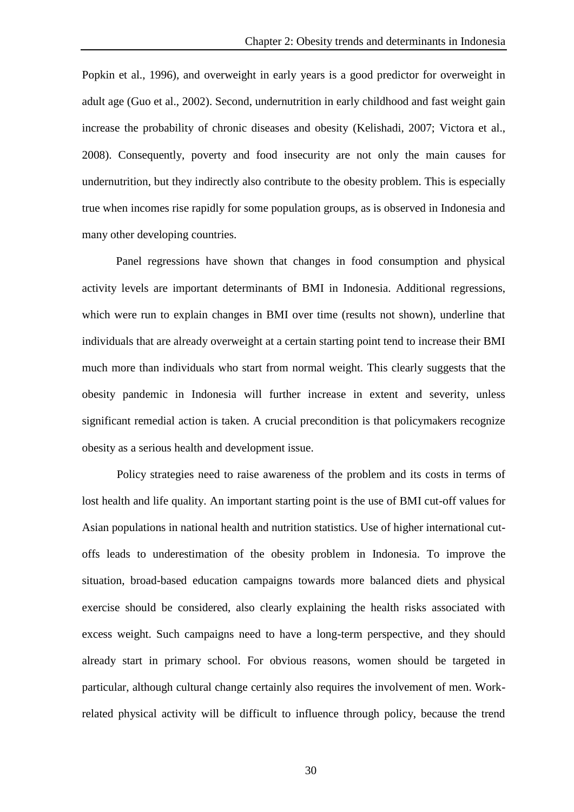Popkin et al., 1996), and overweight in early years is a good predictor for overweight in adult age (Guo et al., 2002). Second, undernutrition in early childhood and fast weight gain increase the probability of chronic diseases and obesity (Kelishadi, 2007; Victora et al., 2008). Consequently, poverty and food insecurity are not only the main causes for undernutrition, but they indirectly also contribute to the obesity problem. This is especially true when incomes rise rapidly for some population groups, as is observed in Indonesia and many other developing countries.

Panel regressions have shown that changes in food consumption and physical activity levels are important determinants of BMI in Indonesia. Additional regressions, which were run to explain changes in BMI over time (results not shown), underline that individuals that are already overweight at a certain starting point tend to increase their BMI much more than individuals who start from normal weight. This clearly suggests that the obesity pandemic in Indonesia will further increase in extent and severity, unless significant remedial action is taken. A crucial precondition is that policymakers recognize obesity as a serious health and development issue.

Policy strategies need to raise awareness of the problem and its costs in terms of lost health and life quality. An important starting point is the use of BMI cut-off values for Asian populations in national health and nutrition statistics. Use of higher international cutoffs leads to underestimation of the obesity problem in Indonesia. To improve the situation, broad-based education campaigns towards more balanced diets and physical exercise should be considered, also clearly explaining the health risks associated with excess weight. Such campaigns need to have a long-term perspective, and they should already start in primary school. For obvious reasons, women should be targeted in particular, although cultural change certainly also requires the involvement of men. Workrelated physical activity will be difficult to influence through policy, because the trend

30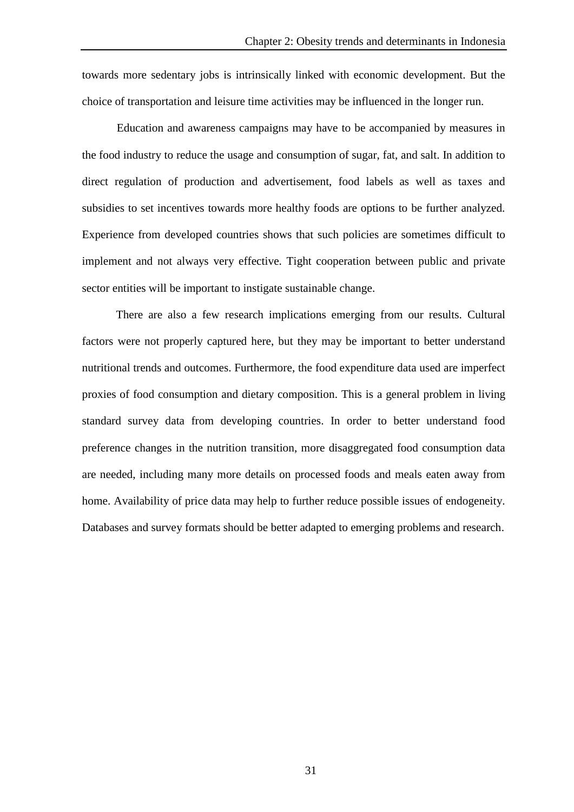towards more sedentary jobs is intrinsically linked with economic development. But the choice of transportation and leisure time activities may be influenced in the longer run.

Education and awareness campaigns may have to be accompanied by measures in the food industry to reduce the usage and consumption of sugar, fat, and salt. In addition to direct regulation of production and advertisement, food labels as well as taxes and subsidies to set incentives towards more healthy foods are options to be further analyzed. Experience from developed countries shows that such policies are sometimes difficult to implement and not always very effective. Tight cooperation between public and private sector entities will be important to instigate sustainable change.

There are also a few research implications emerging from our results. Cultural factors were not properly captured here, but they may be important to better understand nutritional trends and outcomes. Furthermore, the food expenditure data used are imperfect proxies of food consumption and dietary composition. This is a general problem in living standard survey data from developing countries. In order to better understand food preference changes in the nutrition transition, more disaggregated food consumption data are needed, including many more details on processed foods and meals eaten away from home. Availability of price data may help to further reduce possible issues of endogeneity. Databases and survey formats should be better adapted to emerging problems and research.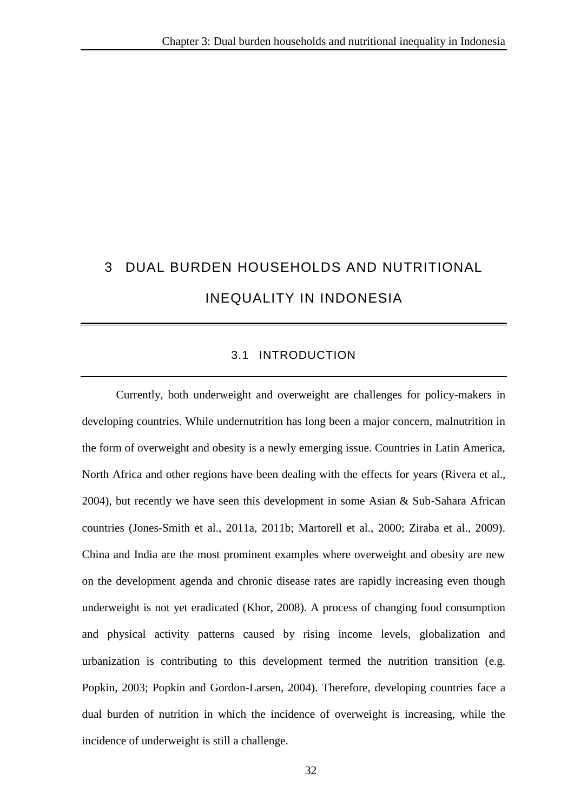# 3 DUAL BURDEN HOUSEHOLDS AND NUTRITIONAL INEQUALITY IN INDONESIA

## 3.1 INTRODUCTION

Currently, both underweight and overweight are challenges for policy-makers in developing countries. While undernutrition has long been a major concern, malnutrition in the form of overweight and obesity is a newly emerging issue. Countries in Latin America, North Africa and other regions have been dealing with the effects for years (Rivera et al., 2004), but recently we have seen this development in some Asian & Sub-Sahara African countries (Jones-Smith et al., 2011a, 2011b; Martorell et al., 2000; Ziraba et al., 2009). China and India are the most prominent examples where overweight and obesity are new on the development agenda and chronic disease rates are rapidly increasing even though underweight is not yet eradicated (Khor, 2008). A process of changing food consumption and physical activity patterns caused by rising income levels, globalization and urbanization is contributing to this development termed the nutrition transition (e.g. Popkin, 2003; Popkin and Gordon-Larsen, 2004). Therefore, developing countries face a dual burden of nutrition in which the incidence of overweight is increasing, while the incidence of underweight is still a challenge.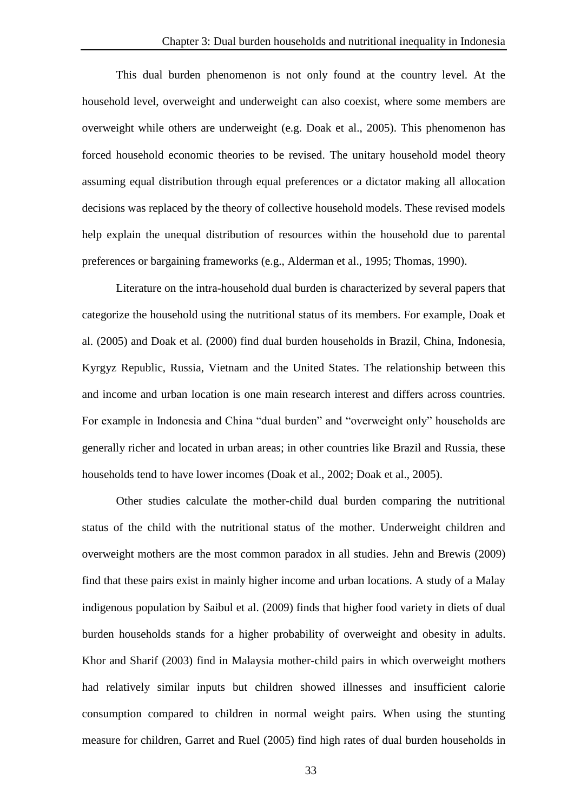This dual burden phenomenon is not only found at the country level. At the household level, overweight and underweight can also coexist, where some members are overweight while others are underweight (e.g. Doak et al., 2005). This phenomenon has forced household economic theories to be revised. The unitary household model theory assuming equal distribution through equal preferences or a dictator making all allocation decisions was replaced by the theory of collective household models. These revised models help explain the unequal distribution of resources within the household due to parental preferences or bargaining frameworks (e.g., Alderman et al., 1995; Thomas, 1990).

Literature on the intra-household dual burden is characterized by several papers that categorize the household using the nutritional status of its members. For example, Doak et al. (2005) and Doak et al. (2000) find dual burden households in Brazil, China, Indonesia, Kyrgyz Republic, Russia, Vietnam and the United States. The relationship between this and income and urban location is one main research interest and differs across countries. For example in Indonesia and China "dual burden" and "overweight only" households are generally richer and located in urban areas; in other countries like Brazil and Russia, these households tend to have lower incomes (Doak et al., 2002; Doak et al., 2005).

Other studies calculate the mother-child dual burden comparing the nutritional status of the child with the nutritional status of the mother. Underweight children and overweight mothers are the most common paradox in all studies. Jehn and Brewis (2009) find that these pairs exist in mainly higher income and urban locations. A study of a Malay indigenous population by Saibul et al. (2009) finds that higher food variety in diets of dual burden households stands for a higher probability of overweight and obesity in adults. Khor and Sharif (2003) find in Malaysia mother-child pairs in which overweight mothers had relatively similar inputs but children showed illnesses and insufficient calorie consumption compared to children in normal weight pairs. When using the stunting measure for children, Garret and Ruel (2005) find high rates of dual burden households in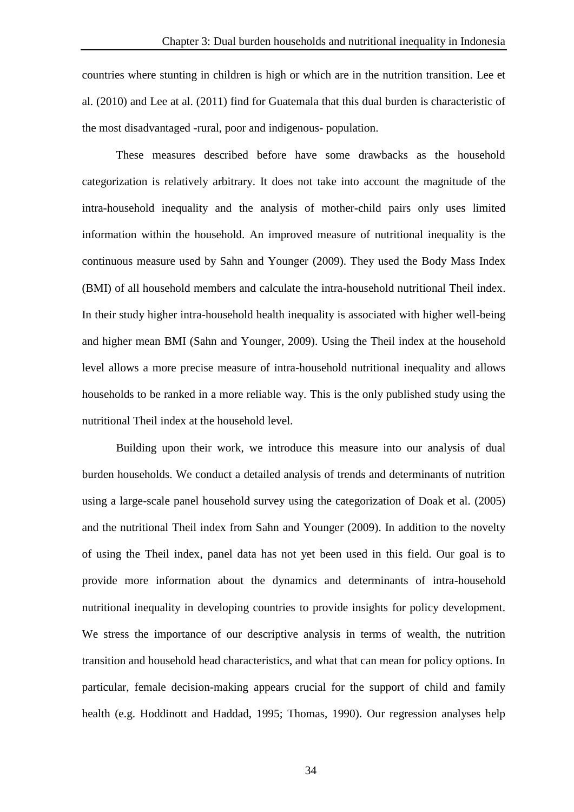countries where stunting in children is high or which are in the nutrition transition. Lee et al. (2010) and Lee at al. (2011) find for Guatemala that this dual burden is characteristic of the most disadvantaged -rural, poor and indigenous- population.

These measures described before have some drawbacks as the household categorization is relatively arbitrary. It does not take into account the magnitude of the intra-household inequality and the analysis of mother-child pairs only uses limited information within the household. An improved measure of nutritional inequality is the continuous measure used by Sahn and Younger (2009). They used the Body Mass Index (BMI) of all household members and calculate the intra-household nutritional Theil index. In their study higher intra-household health inequality is associated with higher well-being and higher mean BMI (Sahn and Younger, 2009). Using the Theil index at the household level allows a more precise measure of intra-household nutritional inequality and allows households to be ranked in a more reliable way. This is the only published study using the nutritional Theil index at the household level.

Building upon their work, we introduce this measure into our analysis of dual burden households. We conduct a detailed analysis of trends and determinants of nutrition using a large-scale panel household survey using the categorization of Doak et al. (2005) and the nutritional Theil index from Sahn and Younger (2009). In addition to the novelty of using the Theil index, panel data has not yet been used in this field. Our goal is to provide more information about the dynamics and determinants of intra-household nutritional inequality in developing countries to provide insights for policy development. We stress the importance of our descriptive analysis in terms of wealth, the nutrition transition and household head characteristics, and what that can mean for policy options. In particular, female decision-making appears crucial for the support of child and family health (e.g. Hoddinott and Haddad, 1995; Thomas, 1990). Our regression analyses help

34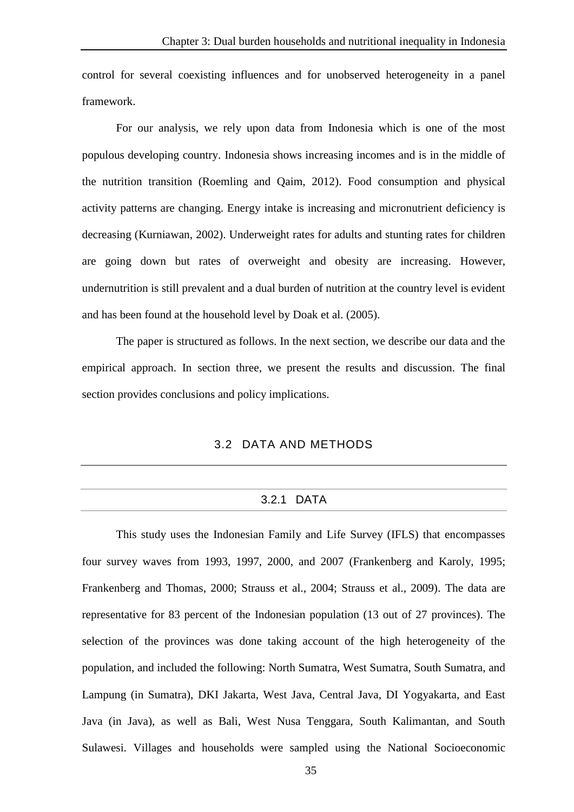control for several coexisting influences and for unobserved heterogeneity in a panel framework.

For our analysis, we rely upon data from Indonesia which is one of the most populous developing country. Indonesia shows increasing incomes and is in the middle of the nutrition transition (Roemling and Qaim, 2012). Food consumption and physical activity patterns are changing. Energy intake is increasing and micronutrient deficiency is decreasing (Kurniawan, 2002). Underweight rates for adults and stunting rates for children are going down but rates of overweight and obesity are increasing. However, undernutrition is still prevalent and a dual burden of nutrition at the country level is evident and has been found at the household level by Doak et al. (2005).

The paper is structured as follows. In the next section, we describe our data and the empirical approach. In section three, we present the results and discussion. The final section provides conclusions and policy implications.

## 3.2 DATA AND METHODS

#### 3.2.1 DATA

This study uses the Indonesian Family and Life Survey (IFLS) that encompasses four survey waves from 1993, 1997, 2000, and 2007 (Frankenberg and Karoly, 1995; Frankenberg and Thomas, 2000; Strauss et al., 2004; Strauss et al., 2009). The data are representative for 83 percent of the Indonesian population (13 out of 27 provinces). The selection of the provinces was done taking account of the high heterogeneity of the population, and included the following: North Sumatra, West Sumatra, South Sumatra, and Lampung (in Sumatra), DKI Jakarta, West Java, Central Java, DI Yogyakarta, and East Java (in Java), as well as Bali, West Nusa Tenggara, South Kalimantan, and South Sulawesi. Villages and households were sampled using the National Socioeconomic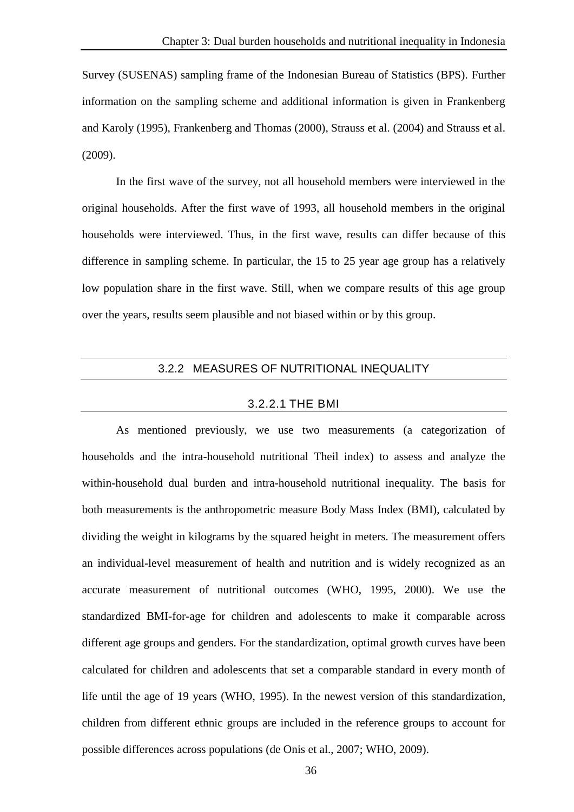Survey (SUSENAS) sampling frame of the Indonesian Bureau of Statistics (BPS). Further information on the sampling scheme and additional information is given in Frankenberg and Karoly (1995), Frankenberg and Thomas (2000), Strauss et al. (2004) and Strauss et al. (2009).

In the first wave of the survey, not all household members were interviewed in the original households. After the first wave of 1993, all household members in the original households were interviewed. Thus, in the first wave, results can differ because of this difference in sampling scheme. In particular, the 15 to 25 year age group has a relatively low population share in the first wave. Still, when we compare results of this age group over the years, results seem plausible and not biased within or by this group.

### 3.2.2 MEASURES OF NUTRITIONAL INEQUALITY

#### 3.2.2.1 THE BMI

As mentioned previously, we use two measurements (a categorization of households and the intra-household nutritional Theil index) to assess and analyze the within-household dual burden and intra-household nutritional inequality. The basis for both measurements is the anthropometric measure Body Mass Index (BMI), calculated by dividing the weight in kilograms by the squared height in meters. The measurement offers an individual-level measurement of health and nutrition and is widely recognized as an accurate measurement of nutritional outcomes (WHO, 1995, 2000). We use the standardized BMI-for-age for children and adolescents to make it comparable across different age groups and genders. For the standardization, optimal growth curves have been calculated for children and adolescents that set a comparable standard in every month of life until the age of 19 years (WHO, 1995). In the newest version of this standardization, children from different ethnic groups are included in the reference groups to account for possible differences across populations (de Onis et al., 2007; WHO, 2009).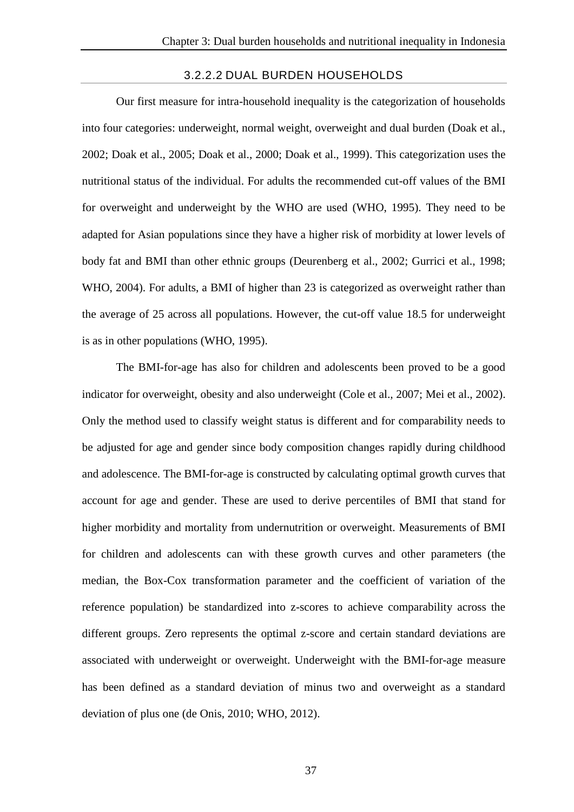#### 3.2.2.2 DUAL BURDEN HOUSEHOLDS

Our first measure for intra-household inequality is the categorization of households into four categories: underweight, normal weight, overweight and dual burden (Doak et al., 2002; Doak et al., 2005; Doak et al., 2000; Doak et al., 1999). This categorization uses the nutritional status of the individual. For adults the recommended cut-off values of the BMI for overweight and underweight by the WHO are used (WHO, 1995). They need to be adapted for Asian populations since they have a higher risk of morbidity at lower levels of body fat and BMI than other ethnic groups (Deurenberg et al., 2002; Gurrici et al., 1998; WHO, 2004). For adults, a BMI of higher than 23 is categorized as overweight rather than the average of 25 across all populations. However, the cut-off value 18.5 for underweight is as in other populations (WHO, 1995).

The BMI-for-age has also for children and adolescents been proved to be a good indicator for overweight, obesity and also underweight (Cole et al., 2007; Mei et al., 2002). Only the method used to classify weight status is different and for comparability needs to be adjusted for age and gender since body composition changes rapidly during childhood and adolescence. The BMI-for-age is constructed by calculating optimal growth curves that account for age and gender. These are used to derive percentiles of BMI that stand for higher morbidity and mortality from undernutrition or overweight. Measurements of BMI for children and adolescents can with these growth curves and other parameters (the median, the Box-Cox transformation parameter and the coefficient of variation of the reference population) be standardized into z-scores to achieve comparability across the different groups. Zero represents the optimal z-score and certain standard deviations are associated with underweight or overweight. Underweight with the BMI-for-age measure has been defined as a standard deviation of minus two and overweight as a standard deviation of plus one (de Onis, 2010; WHO, 2012).

37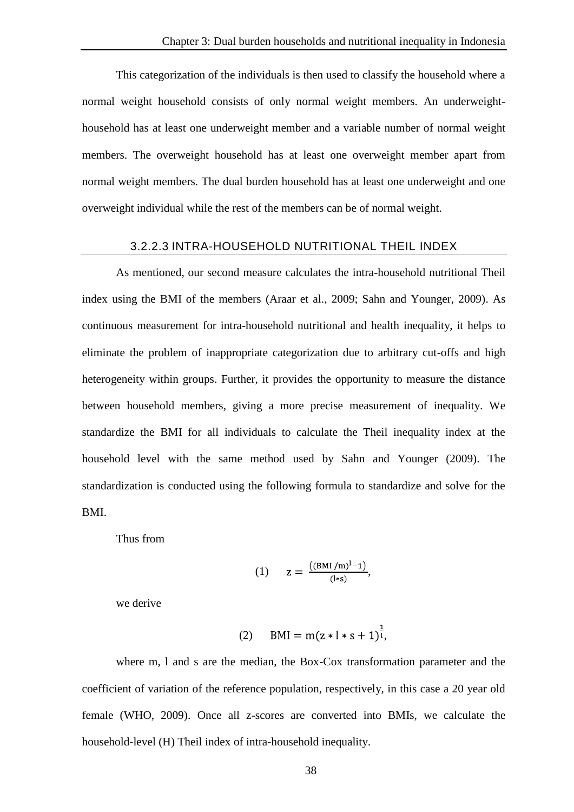This categorization of the individuals is then used to classify the household where a normal weight household consists of only normal weight members. An underweighthousehold has at least one underweight member and a variable number of normal weight members. The overweight household has at least one overweight member apart from normal weight members. The dual burden household has at least one underweight and one overweight individual while the rest of the members can be of normal weight.

#### 3.2.2.3 INTRA-HOUSEHOLD NUTRITIONAL THEIL INDEX

As mentioned, our second measure calculates the intra-household nutritional Theil index using the BMI of the members (Araar et al., 2009; Sahn and Younger, 2009). As continuous measurement for intra-household nutritional and health inequality, it helps to eliminate the problem of inappropriate categorization due to arbitrary cut-offs and high heterogeneity within groups. Further, it provides the opportunity to measure the distance between household members, giving a more precise measurement of inequality. We standardize the BMI for all individuals to calculate the Theil inequality index at the household level with the same method used by Sahn and Younger (2009). The standardization is conducted using the following formula to standardize and solve for the BMI.

Thus from

(1) 
$$
z = \frac{((BMI/m)^{l}-1)}{(l*s)},
$$

we derive

(2) 
$$
BMI = m(z * l * s + 1)^{\frac{1}{l}}
$$

where m, l and s are the median, the Box-Cox transformation parameter and the coefficient of variation of the reference population, respectively, in this case a 20 year old female (WHO, 2009). Once all z-scores are converted into BMIs, we calculate the household-level (H) Theil index of intra-household inequality.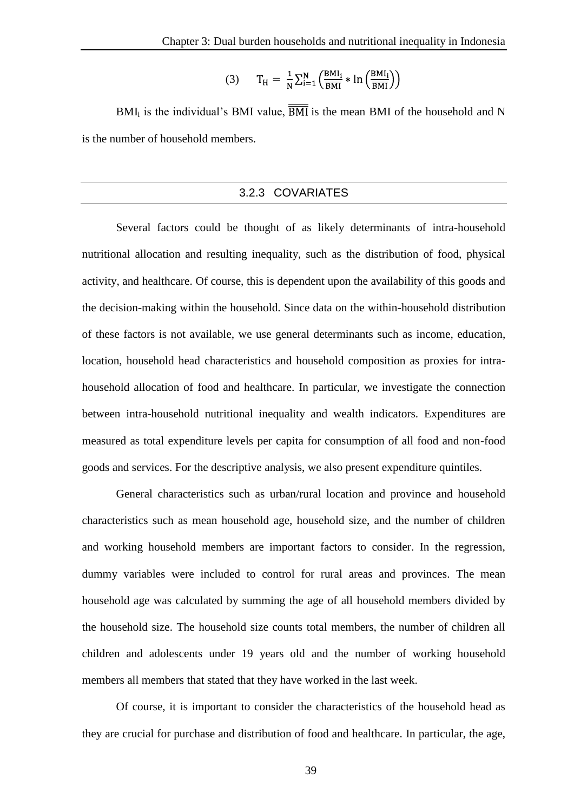$$
(3) \qquad T_H = \frac{1}{N} \sum_{i=1}^{N} \left( \frac{BMI_i}{\overline{BMI}} * \ln \left( \frac{BMI_i}{\overline{BMI}} \right) \right)
$$

BMI<sub>i</sub> is the individual's BMI value,  $\overline{BMI}$  is the mean BMI of the household and N is the number of household members.

#### 3.2.3 COVARIATES

Several factors could be thought of as likely determinants of intra-household nutritional allocation and resulting inequality, such as the distribution of food, physical activity, and healthcare. Of course, this is dependent upon the availability of this goods and the decision-making within the household. Since data on the within-household distribution of these factors is not available, we use general determinants such as income, education, location, household head characteristics and household composition as proxies for intrahousehold allocation of food and healthcare. In particular, we investigate the connection between intra-household nutritional inequality and wealth indicators. Expenditures are measured as total expenditure levels per capita for consumption of all food and non-food goods and services. For the descriptive analysis, we also present expenditure quintiles.

General characteristics such as urban/rural location and province and household characteristics such as mean household age, household size, and the number of children and working household members are important factors to consider. In the regression, dummy variables were included to control for rural areas and provinces. The mean household age was calculated by summing the age of all household members divided by the household size. The household size counts total members, the number of children all children and adolescents under 19 years old and the number of working household members all members that stated that they have worked in the last week.

Of course, it is important to consider the characteristics of the household head as they are crucial for purchase and distribution of food and healthcare. In particular, the age,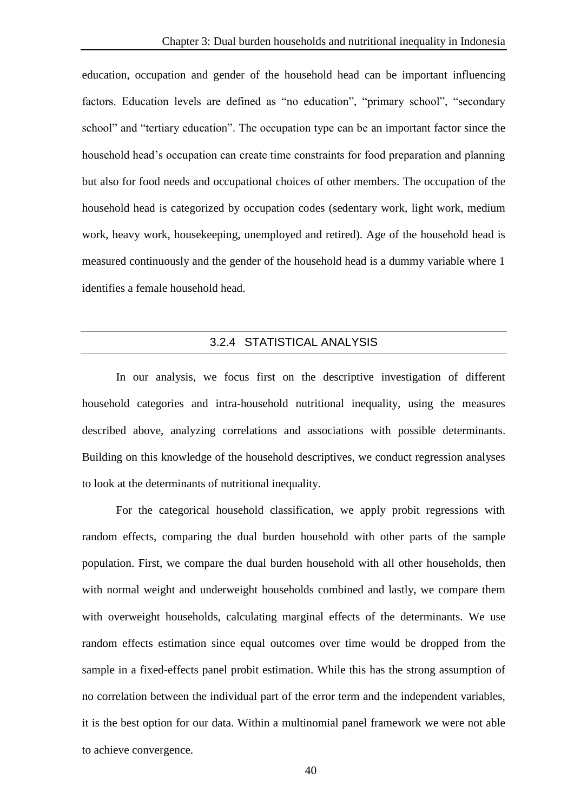education, occupation and gender of the household head can be important influencing factors. Education levels are defined as "no education", "primary school", "secondary school" and "tertiary education". The occupation type can be an important factor since the household head's occupation can create time constraints for food preparation and planning but also for food needs and occupational choices of other members. The occupation of the household head is categorized by occupation codes (sedentary work, light work, medium work, heavy work, housekeeping, unemployed and retired). Age of the household head is measured continuously and the gender of the household head is a dummy variable where 1 identifies a female household head.

## 3.2.4 STATISTICAL ANALYSIS

In our analysis, we focus first on the descriptive investigation of different household categories and intra-household nutritional inequality, using the measures described above, analyzing correlations and associations with possible determinants. Building on this knowledge of the household descriptives, we conduct regression analyses to look at the determinants of nutritional inequality.

For the categorical household classification, we apply probit regressions with random effects, comparing the dual burden household with other parts of the sample population. First, we compare the dual burden household with all other households, then with normal weight and underweight households combined and lastly, we compare them with overweight households, calculating marginal effects of the determinants. We use random effects estimation since equal outcomes over time would be dropped from the sample in a fixed-effects panel probit estimation. While this has the strong assumption of no correlation between the individual part of the error term and the independent variables, it is the best option for our data. Within a multinomial panel framework we were not able to achieve convergence.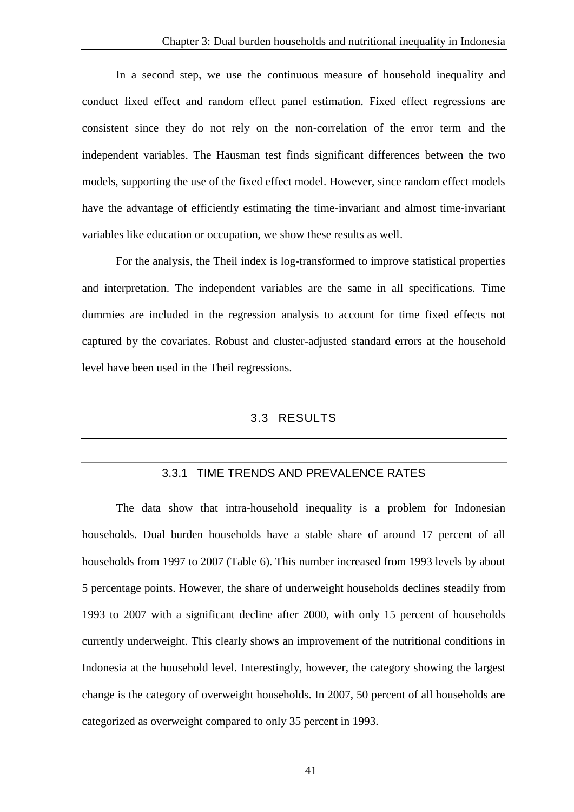In a second step, we use the continuous measure of household inequality and conduct fixed effect and random effect panel estimation. Fixed effect regressions are consistent since they do not rely on the non-correlation of the error term and the independent variables. The Hausman test finds significant differences between the two models, supporting the use of the fixed effect model. However, since random effect models have the advantage of efficiently estimating the time-invariant and almost time-invariant variables like education or occupation, we show these results as well.

For the analysis, the Theil index is log-transformed to improve statistical properties and interpretation. The independent variables are the same in all specifications. Time dummies are included in the regression analysis to account for time fixed effects not captured by the covariates. Robust and cluster-adjusted standard errors at the household level have been used in the Theil regressions.

## 3.3 RESULTS

## 3.3.1 TIME TRENDS AND PREVALENCE RATES

The data show that intra-household inequality is a problem for Indonesian households. Dual burden households have a stable share of around 17 percent of all households from 1997 to 2007 (Table 6). This number increased from 1993 levels by about 5 percentage points. However, the share of underweight households declines steadily from 1993 to 2007 with a significant decline after 2000, with only 15 percent of households currently underweight. This clearly shows an improvement of the nutritional conditions in Indonesia at the household level. Interestingly, however, the category showing the largest change is the category of overweight households. In 2007, 50 percent of all households are categorized as overweight compared to only 35 percent in 1993.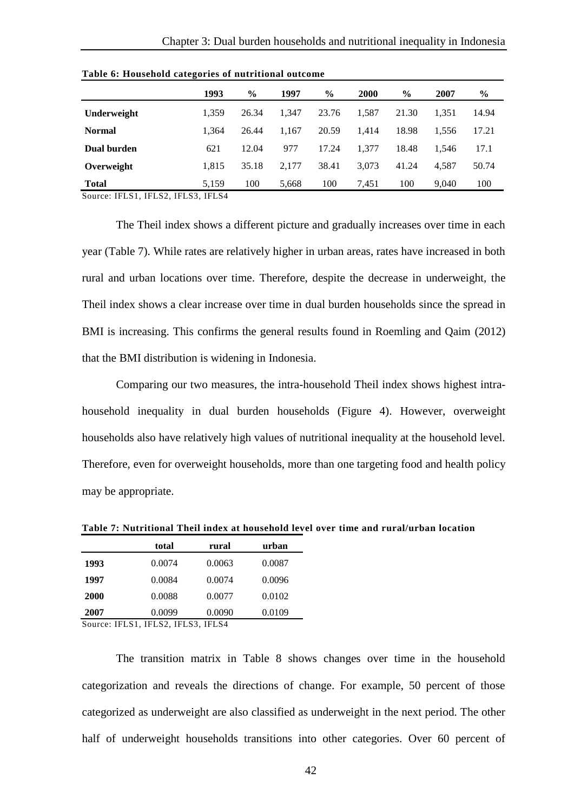|               | 1993  | $\frac{6}{9}$ | 1997  | $\frac{6}{9}$ | <b>2000</b> | $\frac{6}{9}$ | 2007  | $\frac{6}{9}$ |
|---------------|-------|---------------|-------|---------------|-------------|---------------|-------|---------------|
| Underweight   | 1.359 | 26.34         | 1.347 | 23.76         | 1.587       | 21.30         | 1.351 | 14.94         |
| <b>Normal</b> | 1.364 | 26.44         | 1.167 | 20.59         | 1.414       | 18.98         | 1.556 | 17.21         |
| Dual burden   | 621   | 12.04         | 977   | 17.24         | 1.377       | 18.48         | 1.546 | 17.1          |
| Overweight    | 1.815 | 35.18         | 2.177 | 38.41         | 3.073       | 41.24         | 4.587 | 50.74         |
| <b>Total</b>  | 5.159 | 100           | 5,668 | 100           | 7.451       | 100           | 9.040 | 100           |

**Table 6: Household categories of nutritional outcome** 

Source: IFLS1, IFLS2, IFLS3, IFLS4

The Theil index shows a different picture and gradually increases over time in each year (Table 7). While rates are relatively higher in urban areas, rates have increased in both rural and urban locations over time. Therefore, despite the decrease in underweight, the Theil index shows a clear increase over time in dual burden households since the spread in BMI is increasing. This confirms the general results found in Roemling and Qaim (2012) that the BMI distribution is widening in Indonesia.

Comparing our two measures, the intra-household Theil index shows highest intrahousehold inequality in dual burden households (Figure 4). However, overweight households also have relatively high values of nutritional inequality at the household level. Therefore, even for overweight households, more than one targeting food and health policy may be appropriate.

|             | total  | rural  | urban  |
|-------------|--------|--------|--------|
| 1993        | 0.0074 | 0.0063 | 0.0087 |
| 1997        | 0.0084 | 0.0074 | 0.0096 |
| <b>2000</b> | 0.0088 | 0.0077 | 0.0102 |
| 2007        | 0.0099 | 0.0090 | 0.0109 |

**Table 7: Nutritional Theil index at household level over time and rural/urban location**

Source: IFLS1, IFLS2, IFLS3, IFLS4

The transition matrix in Table 8 shows changes over time in the household categorization and reveals the directions of change. For example, 50 percent of those categorized as underweight are also classified as underweight in the next period. The other half of underweight households transitions into other categories. Over 60 percent of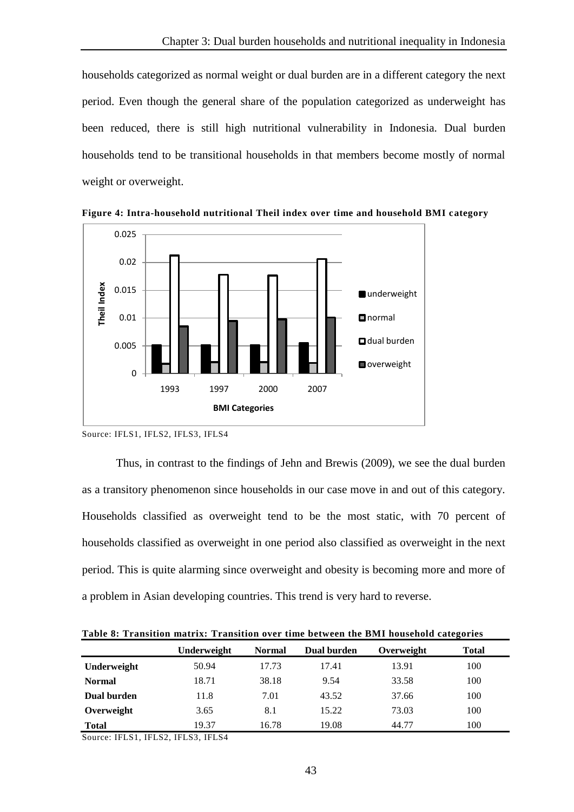households categorized as normal weight or dual burden are in a different category the next period. Even though the general share of the population categorized as underweight has been reduced, there is still high nutritional vulnerability in Indonesia. Dual burden households tend to be transitional households in that members become mostly of normal weight or overweight.



**Figure 4: Intra-household nutritional Theil index over time and household BMI category**

Thus, in contrast to the findings of Jehn and Brewis (2009), we see the dual burden as a transitory phenomenon since households in our case move in and out of this category. Households classified as overweight tend to be the most static, with 70 percent of households classified as overweight in one period also classified as overweight in the next period. This is quite alarming since overweight and obesity is becoming more and more of a problem in Asian developing countries. This trend is very hard to reverse.

**Table 8: Transition matrix: Transition over time between the BMI household categories**

|               | Underweight | <b>Normal</b> | Dual burden | Overweight | <b>Total</b> |
|---------------|-------------|---------------|-------------|------------|--------------|
| Underweight   | 50.94       | 17.73         | 17.41       | 13.91      | 100          |
| <b>Normal</b> | 18.71       | 38.18         | 9.54        | 33.58      | 100          |
| Dual burden   | 11.8        | 7.01          | 43.52       | 37.66      | 100          |
| Overweight    | 3.65        | 8.1           | 15.22       | 73.03      | 100          |
| <b>Total</b>  | 19.37       | 16.78         | 19.08       | 44.77      | 100          |

Source: IFLS1, IFLS2, IFLS3, IFLS4

Source: IFLS1, IFLS2, IFLS3, IFLS4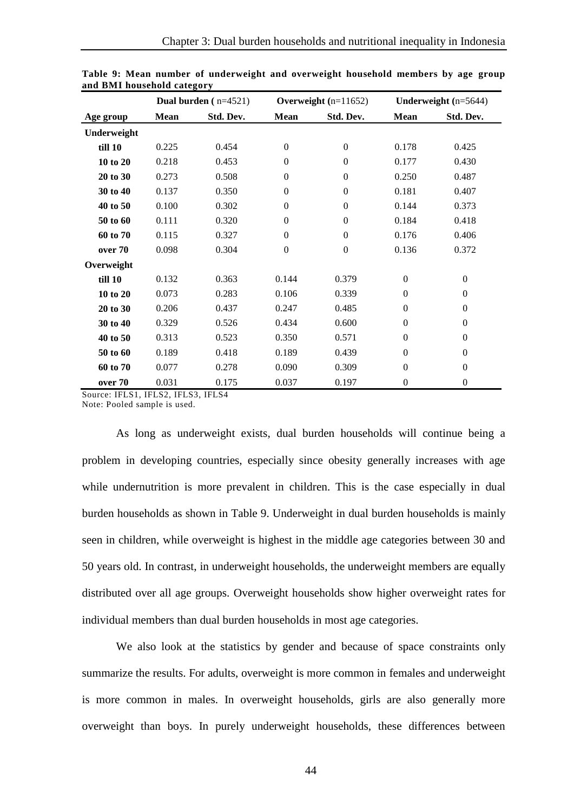|             |       | Dual burden $(n=4521)$ |                  | Overweight $(n=11652)$ |                  | Underweight $(n=5644)$ |
|-------------|-------|------------------------|------------------|------------------------|------------------|------------------------|
| Age group   | Mean  | Std. Dev.              | Mean             | Std. Dev.              | Mean             | Std. Dev.              |
| Underweight |       |                        |                  |                        |                  |                        |
| till 10     | 0.225 | 0.454                  | $\boldsymbol{0}$ | $\mathbf{0}$           | 0.178            | 0.425                  |
| 10 to 20    | 0.218 | 0.453                  | $\theta$         | $\Omega$               | 0.177            | 0.430                  |
| 20 to 30    | 0.273 | 0.508                  | $\mathbf{0}$     | $\Omega$               | 0.250            | 0.487                  |
| 30 to 40    | 0.137 | 0.350                  | $\boldsymbol{0}$ | $\Omega$               | 0.181            | 0.407                  |
| 40 to 50    | 0.100 | 0.302                  | $\boldsymbol{0}$ | $\mathbf{0}$           | 0.144            | 0.373                  |
| 50 to 60    | 0.111 | 0.320                  | $\boldsymbol{0}$ | $\Omega$               | 0.184            | 0.418                  |
| 60 to 70    | 0.115 | 0.327                  | $\boldsymbol{0}$ | $\boldsymbol{0}$       | 0.176            | 0.406                  |
| over 70     | 0.098 | 0.304                  | $\boldsymbol{0}$ | $\boldsymbol{0}$       | 0.136            | 0.372                  |
| Overweight  |       |                        |                  |                        |                  |                        |
| till 10     | 0.132 | 0.363                  | 0.144            | 0.379                  | $\Omega$         | $\boldsymbol{0}$       |
| 10 to 20    | 0.073 | 0.283                  | 0.106            | 0.339                  | $\boldsymbol{0}$ | $\boldsymbol{0}$       |
| 20 to 30    | 0.206 | 0.437                  | 0.247            | 0.485                  | $\boldsymbol{0}$ | $\boldsymbol{0}$       |
| 30 to 40    | 0.329 | 0.526                  | 0.434            | 0.600                  | $\boldsymbol{0}$ | $\boldsymbol{0}$       |
| 40 to 50    | 0.313 | 0.523                  | 0.350            | 0.571                  | $\boldsymbol{0}$ | $\boldsymbol{0}$       |
| 50 to 60    | 0.189 | 0.418                  | 0.189            | 0.439                  | $\theta$         | $\mathbf{0}$           |
| 60 to 70    | 0.077 | 0.278                  | 0.090            | 0.309                  | $\boldsymbol{0}$ | $\boldsymbol{0}$       |
| over 70     | 0.031 | 0.175                  | 0.037            | 0.197                  | $\boldsymbol{0}$ | $\boldsymbol{0}$       |

**Table 9: Mean number of underweight and overweight household members by age group and BMI household category**

Source: IFLS1, IFLS2, IFLS3, IFLS4

Note: Pooled sample is used.

As long as underweight exists, dual burden households will continue being a problem in developing countries, especially since obesity generally increases with age while undernutrition is more prevalent in children. This is the case especially in dual burden households as shown in Table 9. Underweight in dual burden households is mainly seen in children, while overweight is highest in the middle age categories between 30 and 50 years old. In contrast, in underweight households, the underweight members are equally distributed over all age groups. Overweight households show higher overweight rates for individual members than dual burden households in most age categories.

We also look at the statistics by gender and because of space constraints only summarize the results. For adults, overweight is more common in females and underweight is more common in males. In overweight households, girls are also generally more overweight than boys. In purely underweight households, these differences between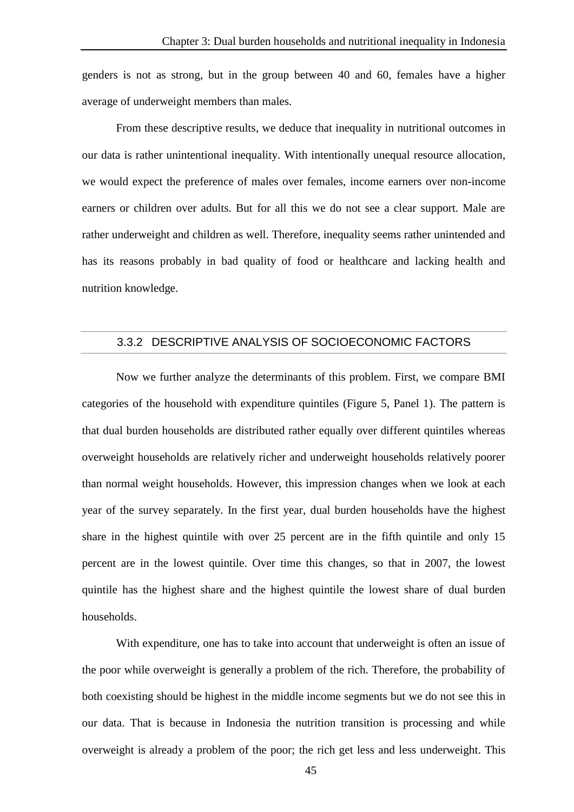genders is not as strong, but in the group between 40 and 60, females have a higher average of underweight members than males.

From these descriptive results, we deduce that inequality in nutritional outcomes in our data is rather unintentional inequality. With intentionally unequal resource allocation, we would expect the preference of males over females, income earners over non-income earners or children over adults. But for all this we do not see a clear support. Male are rather underweight and children as well. Therefore, inequality seems rather unintended and has its reasons probably in bad quality of food or healthcare and lacking health and nutrition knowledge.

## 3.3.2 DESCRIPTIVE ANALYSIS OF SOCIOECONOMIC FACTORS

Now we further analyze the determinants of this problem. First, we compare BMI categories of the household with expenditure quintiles (Figure 5, Panel 1). The pattern is that dual burden households are distributed rather equally over different quintiles whereas overweight households are relatively richer and underweight households relatively poorer than normal weight households. However, this impression changes when we look at each year of the survey separately. In the first year, dual burden households have the highest share in the highest quintile with over 25 percent are in the fifth quintile and only 15 percent are in the lowest quintile. Over time this changes, so that in 2007, the lowest quintile has the highest share and the highest quintile the lowest share of dual burden households.

With expenditure, one has to take into account that underweight is often an issue of the poor while overweight is generally a problem of the rich. Therefore, the probability of both coexisting should be highest in the middle income segments but we do not see this in our data. That is because in Indonesia the nutrition transition is processing and while overweight is already a problem of the poor; the rich get less and less underweight. This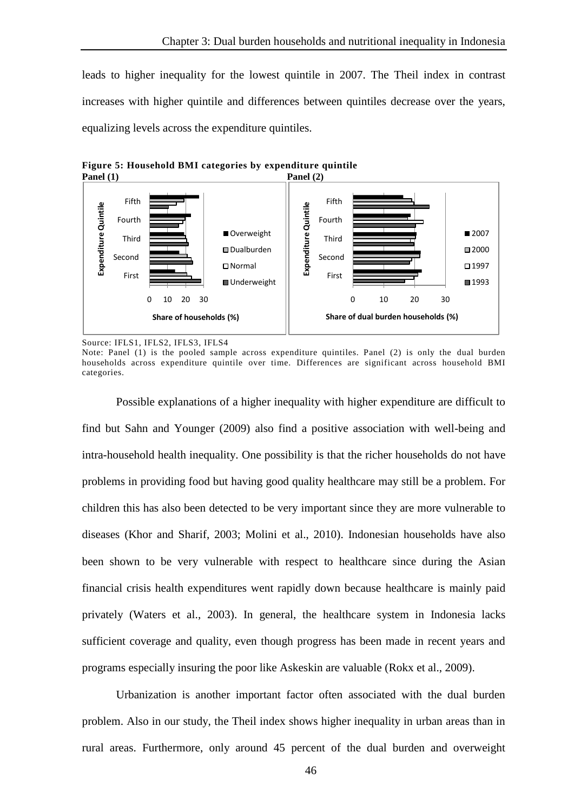leads to higher inequality for the lowest quintile in 2007. The Theil index in contrast increases with higher quintile and differences between quintiles decrease over the years, equalizing levels across the expenditure quintiles.



**Figure 5: Household BMI categories by expenditure quintile**

Source: IFLS1, IFLS2, IFLS3, IFLS4

Note: Panel (1) is the pooled sample across expenditure quintiles. Panel (2) is only the dual burden households across expenditure quintile over time. Differences are significant across household BMI categories.

Possible explanations of a higher inequality with higher expenditure are difficult to find but Sahn and Younger (2009) also find a positive association with well-being and intra-household health inequality. One possibility is that the richer households do not have problems in providing food but having good quality healthcare may still be a problem. For children this has also been detected to be very important since they are more vulnerable to diseases (Khor and Sharif, 2003; Molini et al., 2010). Indonesian households have also been shown to be very vulnerable with respect to healthcare since during the Asian financial crisis health expenditures went rapidly down because healthcare is mainly paid privately (Waters et al., 2003). In general, the healthcare system in Indonesia lacks sufficient coverage and quality, even though progress has been made in recent years and programs especially insuring the poor like Askeskin are valuable (Rokx et al., 2009).

Urbanization is another important factor often associated with the dual burden problem. Also in our study, the Theil index shows higher inequality in urban areas than in rural areas. Furthermore, only around 45 percent of the dual burden and overweight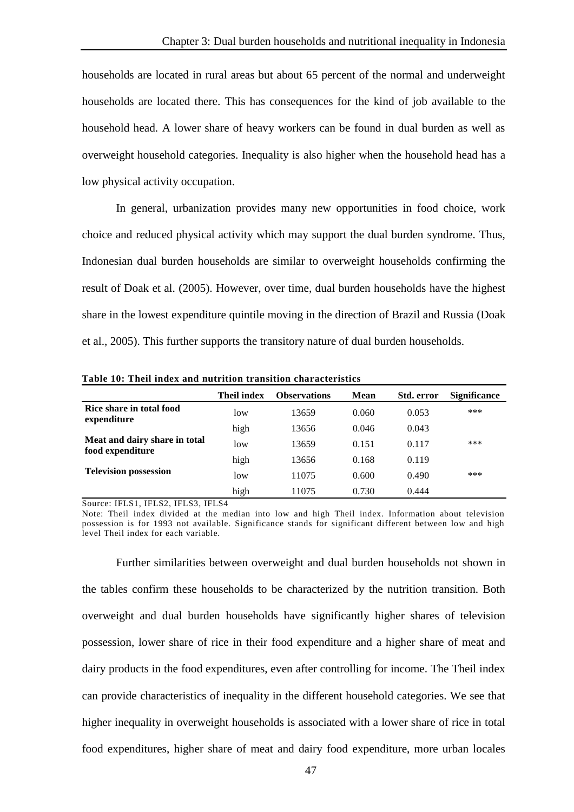households are located in rural areas but about 65 percent of the normal and underweight households are located there. This has consequences for the kind of job available to the household head. A lower share of heavy workers can be found in dual burden as well as overweight household categories. Inequality is also higher when the household head has a low physical activity occupation.

In general, urbanization provides many new opportunities in food choice, work choice and reduced physical activity which may support the dual burden syndrome. Thus, Indonesian dual burden households are similar to overweight households confirming the result of Doak et al. (2005). However, over time, dual burden households have the highest share in the lowest expenditure quintile moving in the direction of Brazil and Russia (Doak et al., 2005). This further supports the transitory nature of dual burden households.

|                                                   | <b>Theil index</b> | <b>Observations</b> | Mean  | Std. error | <b>Significance</b> |
|---------------------------------------------------|--------------------|---------------------|-------|------------|---------------------|
| Rice share in total food<br>expenditure           | low                | 13659               | 0.060 | 0.053      | ***                 |
|                                                   | high               | 13656               | 0.046 | 0.043      |                     |
| Meat and dairy share in total<br>food expenditure | low                | 13659               | 0.151 | 0.117      | ***                 |
|                                                   | high               | 13656               | 0.168 | 0.119      |                     |
| <b>Television possession</b>                      | low                | 11075               | 0.600 | 0.490      | ***                 |
|                                                   | high               | 11075               | 0.730 | 0.444      |                     |

**Table 10: Theil index and nutrition transition characteristics**

Source: IFLS1, IFLS2, IFLS3, IFLS4

Note: Theil index divided at the median into low and high Theil index. Information about television possession is for 1993 not available. Significance stands for significant different between low and high level Theil index for each variable.

Further similarities between overweight and dual burden households not shown in the tables confirm these households to be characterized by the nutrition transition. Both overweight and dual burden households have significantly higher shares of television possession, lower share of rice in their food expenditure and a higher share of meat and dairy products in the food expenditures, even after controlling for income. The Theil index can provide characteristics of inequality in the different household categories. We see that higher inequality in overweight households is associated with a lower share of rice in total food expenditures, higher share of meat and dairy food expenditure, more urban locales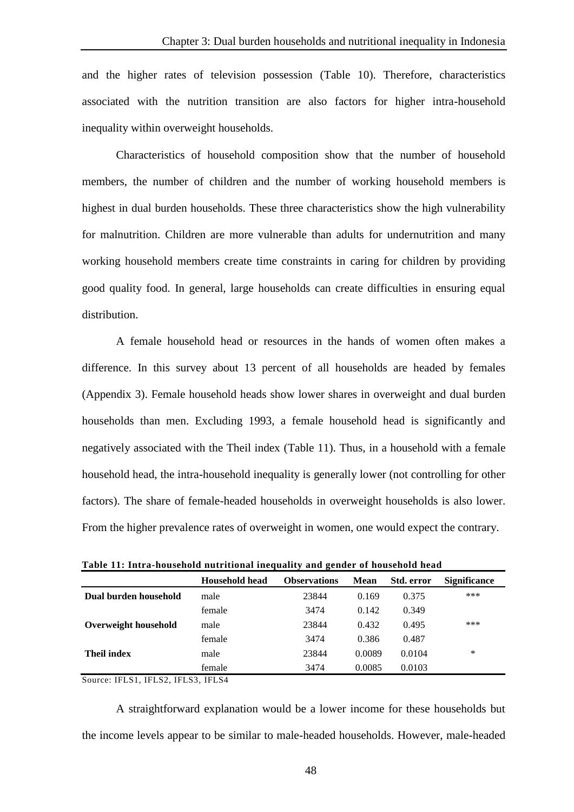and the higher rates of television possession (Table 10). Therefore, characteristics associated with the nutrition transition are also factors for higher intra-household inequality within overweight households.

Characteristics of household composition show that the number of household members, the number of children and the number of working household members is highest in dual burden households. These three characteristics show the high vulnerability for malnutrition. Children are more vulnerable than adults for undernutrition and many working household members create time constraints in caring for children by providing good quality food. In general, large households can create difficulties in ensuring equal distribution.

A female household head or resources in the hands of women often makes a difference. In this survey about 13 percent of all households are headed by females (Appendix 3). Female household heads show lower shares in overweight and dual burden households than men. Excluding 1993, a female household head is significantly and negatively associated with the Theil index (Table 11). Thus, in a household with a female household head, the intra-household inequality is generally lower (not controlling for other factors). The share of female-headed households in overweight households is also lower. From the higher prevalence rates of overweight in women, one would expect the contrary.

|                       | <b>Household head</b> | $-$<br><b>Observations</b> | <b>Mean</b> | Std. error | <b>Significance</b> |  |
|-----------------------|-----------------------|----------------------------|-------------|------------|---------------------|--|
| Dual burden household | male                  | 23844                      | 0.169       | 0.375      | ***                 |  |
|                       | female                | 3474                       | 0.142       | 0.349      |                     |  |
| Overweight household  | male                  | 23844                      | 0.432       | 0.495      | ***                 |  |
|                       | female                | 3474                       | 0.386       | 0.487      |                     |  |
| <b>Theil index</b>    | male                  | 23844                      | 0.0089      | 0.0104     | *                   |  |
|                       | female                | 3474                       | 0.0085      | 0.0103     |                     |  |

**Table 11: Intra-household nutritional inequality and gender of household head**

Source: IFLS1, IFLS2, IFLS3, IFLS4

A straightforward explanation would be a lower income for these households but the income levels appear to be similar to male-headed households. However, male-headed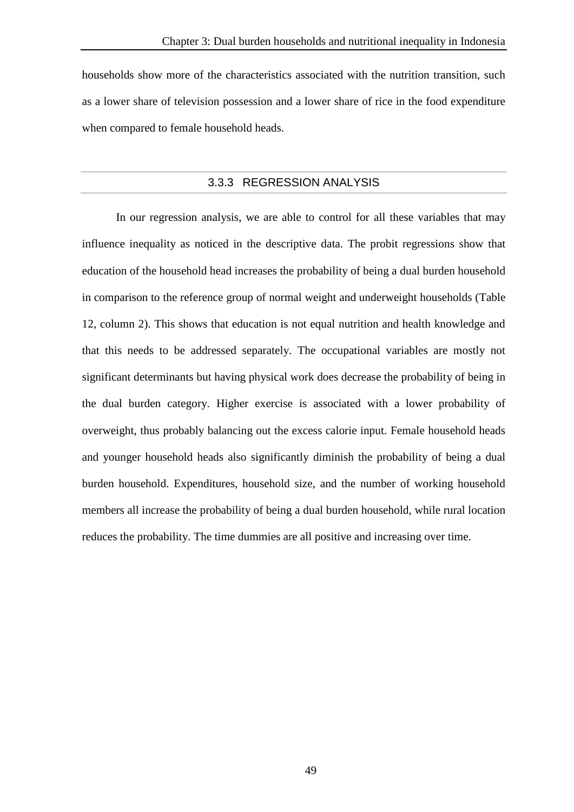households show more of the characteristics associated with the nutrition transition, such as a lower share of television possession and a lower share of rice in the food expenditure when compared to female household heads.

## 3.3.3 REGRESSION ANALYSIS

In our regression analysis, we are able to control for all these variables that may influence inequality as noticed in the descriptive data. The probit regressions show that education of the household head increases the probability of being a dual burden household in comparison to the reference group of normal weight and underweight households (Table 12, column 2). This shows that education is not equal nutrition and health knowledge and that this needs to be addressed separately. The occupational variables are mostly not significant determinants but having physical work does decrease the probability of being in the dual burden category. Higher exercise is associated with a lower probability of overweight, thus probably balancing out the excess calorie input. Female household heads and younger household heads also significantly diminish the probability of being a dual burden household. Expenditures, household size, and the number of working household members all increase the probability of being a dual burden household, while rural location reduces the probability. The time dummies are all positive and increasing over time.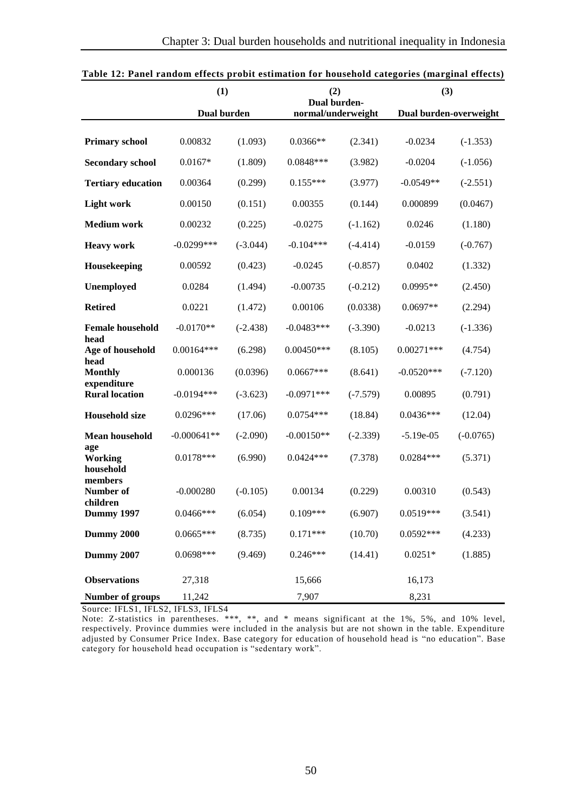|                                      | (1)           |            | (2)<br>Dual burden- |            | (3)                    |             |
|--------------------------------------|---------------|------------|---------------------|------------|------------------------|-------------|
|                                      | Dual burden   |            | normal/underweight  |            | Dual burden-overweight |             |
| <b>Primary school</b>                | 0.00832       | (1.093)    | $0.0366**$          | (2.341)    | $-0.0234$              | $(-1.353)$  |
| <b>Secondary school</b>              | $0.0167*$     | (1.809)    | 0.0848***           | (3.982)    | $-0.0204$              | $(-1.056)$  |
| <b>Tertiary education</b>            | 0.00364       | (0.299)    | $0.155***$          | (3.977)    | $-0.0549**$            | $(-2.551)$  |
| <b>Light work</b>                    | 0.00150       | (0.151)    | 0.00355             | (0.144)    | 0.000899               | (0.0467)    |
| <b>Medium work</b>                   | 0.00232       | (0.225)    | $-0.0275$           | $(-1.162)$ | 0.0246                 | (1.180)     |
| <b>Heavy work</b>                    | $-0.0299$ *** | $(-3.044)$ | $-0.104***$         | $(-4.414)$ | $-0.0159$              | $(-0.767)$  |
| Housekeeping                         | 0.00592       | (0.423)    | $-0.0245$           | $(-0.857)$ | 0.0402                 | (1.332)     |
| Unemployed                           | 0.0284        | (1.494)    | $-0.00735$          | $(-0.212)$ | $0.0995**$             | (2.450)     |
| <b>Retired</b>                       | 0.0221        | (1.472)    | 0.00106             | (0.0338)   | $0.0697**$             | (2.294)     |
| <b>Female household</b>              | $-0.0170**$   | $(-2.438)$ | $-0.0483***$        | $(-3.390)$ | $-0.0213$              | $(-1.336)$  |
| head<br>Age of household             | $0.00164***$  | (6.298)    | $0.00450***$        | (8.105)    | $0.00271***$           | (4.754)     |
| head<br><b>Monthly</b>               | 0.000136      | (0.0396)   | $0.0667***$         | (8.641)    | $-0.0520***$           | $(-7.120)$  |
| expenditure<br><b>Rural location</b> | $-0.0194***$  | $(-3.623)$ | $-0.0971***$        | $(-7.579)$ | 0.00895                | (0.791)     |
| <b>Household size</b>                | $0.0296***$   | (17.06)    | $0.0754***$         | (18.84)    | $0.0436***$            | (12.04)     |
| Mean household                       | $-0.000641**$ | $(-2.090)$ | $-0.00150**$        | $(-2.339)$ | $-5.19e-05$            | $(-0.0765)$ |
| age<br><b>Working</b><br>household   | $0.0178***$   | (6.990)    | $0.0424***$         | (7.378)    | $0.0284***$            | (5.371)     |
| members<br>Number of                 | $-0.000280$   | $(-0.105)$ | 0.00134             | (0.229)    | 0.00310                | (0.543)     |
| children<br><b>Dummy 1997</b>        | $0.0466$ ***  | (6.054)    | $0.109***$          | (6.907)    | $0.0519***$            | (3.541)     |
| Dummy 2000                           | $0.0665***$   | (8.735)    | $0.171***$          | (10.70)    | $0.0592***$            | (4.233)     |
| <b>Dummy 2007</b>                    | 0.0698***     | (9.469)    | $0.246***$          | (14.41)    | $0.0251*$              | (1.885)     |
| <b>Observations</b>                  | 27,318        |            | 15,666              |            | 16,173                 |             |
| Number of groups                     | 11,242        |            | 7,907               |            | 8,231                  |             |

| Table 12: Panel random effects probit estimation for household categories (marginal effects) |
|----------------------------------------------------------------------------------------------|
|----------------------------------------------------------------------------------------------|

Source: IFLS1, IFLS2, IFLS3, IFLS4

Note: Z-statistics in parentheses. \*\*\*, \*\*, and \* means significant at the 1%, 5%, and 10% level, respectively. Province dummies were included in the analysis but are not shown in the table. Expenditure adjusted by Consumer Price Index. Base category for education of household head is "no education". Base category for household head occupation is "sedentary work".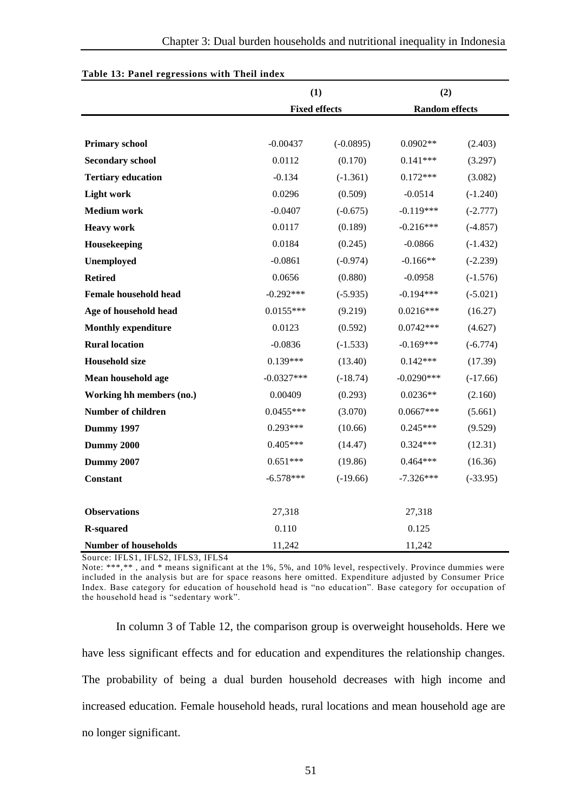|                              | (1)                  |             | (2)                   |            |
|------------------------------|----------------------|-------------|-----------------------|------------|
|                              | <b>Fixed effects</b> |             | <b>Random</b> effects |            |
|                              |                      |             |                       |            |
| <b>Primary school</b>        | $-0.00437$           | $(-0.0895)$ | $0.0902**$            | (2.403)    |
| <b>Secondary school</b>      | 0.0112               | (0.170)     | $0.141***$            | (3.297)    |
| <b>Tertiary education</b>    | $-0.134$             | $(-1.361)$  | $0.172***$            | (3.082)    |
| <b>Light work</b>            | 0.0296               | (0.509)     | $-0.0514$             | $(-1.240)$ |
| <b>Medium</b> work           | $-0.0407$            | $(-0.675)$  | $-0.119***$           | $(-2.777)$ |
| <b>Heavy work</b>            | 0.0117               | (0.189)     | $-0.216***$           | $(-4.857)$ |
| Housekeeping                 | 0.0184               | (0.245)     | $-0.0866$             | $(-1.432)$ |
| Unemployed                   | $-0.0861$            | $(-0.974)$  | $-0.166**$            | $(-2.239)$ |
| <b>Retired</b>               | 0.0656               | (0.880)     | $-0.0958$             | $(-1.576)$ |
| <b>Female household head</b> | $-0.292***$          | $(-5.935)$  | $-0.194***$           | $(-5.021)$ |
| Age of household head        | $0.0155***$          | (9.219)     | $0.0216***$           | (16.27)    |
| <b>Monthly expenditure</b>   | 0.0123               | (0.592)     | $0.0742***$           | (4.627)    |
| <b>Rural location</b>        | $-0.0836$            | $(-1.533)$  | $-0.169***$           | $(-6.774)$ |
| <b>Household size</b>        | $0.139***$           | (13.40)     | $0.142***$            | (17.39)    |
| Mean household age           | $-0.0327***$         | $(-18.74)$  | $-0.0290***$          | $(-17.66)$ |
| Working hh members (no.)     | 0.00409              | (0.293)     | $0.0236**$            | (2.160)    |
| Number of children           | $0.0455***$          | (3.070)     | $0.0667***$           | (5.661)    |
| <b>Dummy 1997</b>            | $0.293***$           | (10.66)     | $0.245***$            | (9.529)    |
| <b>Dummy 2000</b>            | $0.405***$           | (14.47)     | $0.324***$            | (12.31)    |
| <b>Dummy 2007</b>            | $0.651***$           | (19.86)     | $0.464***$            | (16.36)    |
| <b>Constant</b>              | $-6.578***$          | $(-19.66)$  | $-7.326***$           | $(-33.95)$ |
|                              |                      |             |                       |            |
| <b>Observations</b>          | 27,318               |             | 27,318                |            |
| <b>R-squared</b>             | 0.110                |             | 0.125                 |            |
| <b>Number of households</b>  | 11,242               |             | 11,242                |            |

#### **Table 13: Panel regressions with Theil index**

Source: IFLS1, IFLS2, IFLS3, IFLS4

Note: \*\*\*,\*\* , and \* means significant at the 1%, 5%, and 10% level, respectively. Province dummies were included in the analysis but are for space reasons here omitted. Expenditure adjusted by Consumer Price Index. Base category for education of household head is "no education". Base category for occupation of the household head is "sedentary work".

In column 3 of Table 12, the comparison group is overweight households. Here we have less significant effects and for education and expenditures the relationship changes. The probability of being a dual burden household decreases with high income and increased education. Female household heads, rural locations and mean household age are no longer significant.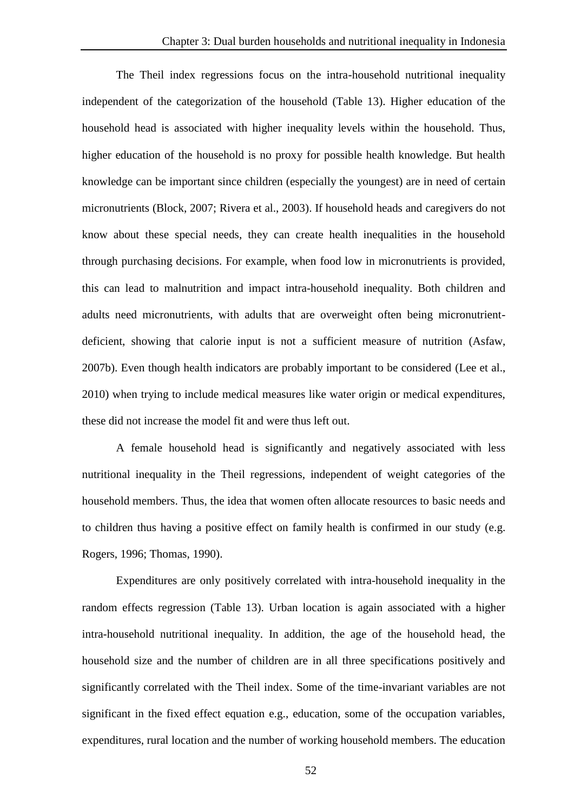The Theil index regressions focus on the intra-household nutritional inequality independent of the categorization of the household (Table 13). Higher education of the household head is associated with higher inequality levels within the household. Thus, higher education of the household is no proxy for possible health knowledge. But health knowledge can be important since children (especially the youngest) are in need of certain micronutrients (Block, 2007; Rivera et al., 2003). If household heads and caregivers do not know about these special needs, they can create health inequalities in the household through purchasing decisions. For example, when food low in micronutrients is provided, this can lead to malnutrition and impact intra-household inequality. Both children and adults need micronutrients, with adults that are overweight often being micronutrientdeficient, showing that calorie input is not a sufficient measure of nutrition (Asfaw, 2007b). Even though health indicators are probably important to be considered (Lee et al., 2010) when trying to include medical measures like water origin or medical expenditures, these did not increase the model fit and were thus left out.

A female household head is significantly and negatively associated with less nutritional inequality in the Theil regressions, independent of weight categories of the household members. Thus, the idea that women often allocate resources to basic needs and to children thus having a positive effect on family health is confirmed in our study (e.g. Rogers, 1996; Thomas, 1990).

Expenditures are only positively correlated with intra-household inequality in the random effects regression (Table 13). Urban location is again associated with a higher intra-household nutritional inequality. In addition, the age of the household head, the household size and the number of children are in all three specifications positively and significantly correlated with the Theil index. Some of the time-invariant variables are not significant in the fixed effect equation e.g., education, some of the occupation variables, expenditures, rural location and the number of working household members. The education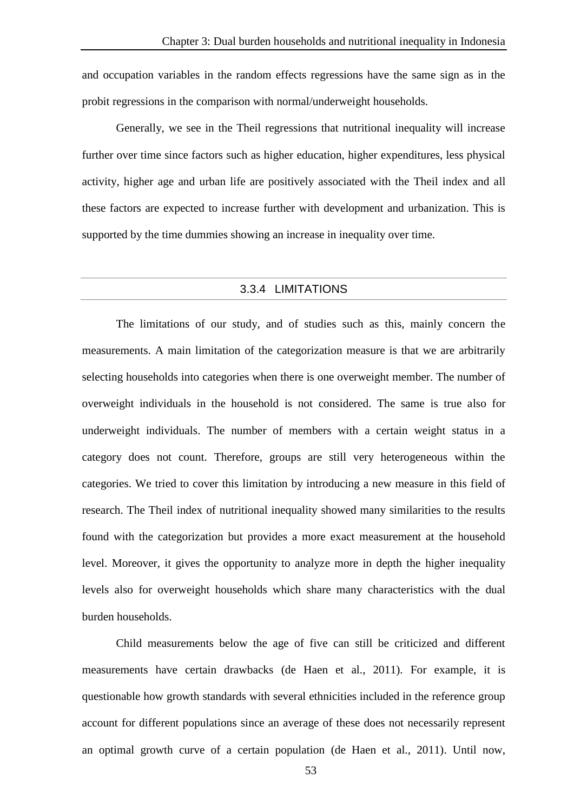and occupation variables in the random effects regressions have the same sign as in the probit regressions in the comparison with normal/underweight households.

Generally, we see in the Theil regressions that nutritional inequality will increase further over time since factors such as higher education, higher expenditures, less physical activity, higher age and urban life are positively associated with the Theil index and all these factors are expected to increase further with development and urbanization. This is supported by the time dummies showing an increase in inequality over time.

## 3.3.4 LIMITATIONS

The limitations of our study, and of studies such as this, mainly concern the measurements. A main limitation of the categorization measure is that we are arbitrarily selecting households into categories when there is one overweight member. The number of overweight individuals in the household is not considered. The same is true also for underweight individuals. The number of members with a certain weight status in a category does not count. Therefore, groups are still very heterogeneous within the categories. We tried to cover this limitation by introducing a new measure in this field of research. The Theil index of nutritional inequality showed many similarities to the results found with the categorization but provides a more exact measurement at the household level. Moreover, it gives the opportunity to analyze more in depth the higher inequality levels also for overweight households which share many characteristics with the dual burden households.

Child measurements below the age of five can still be criticized and different measurements have certain drawbacks (de Haen et al., 2011). For example, it is questionable how growth standards with several ethnicities included in the reference group account for different populations since an average of these does not necessarily represent an optimal growth curve of a certain population (de Haen et al., 2011). Until now,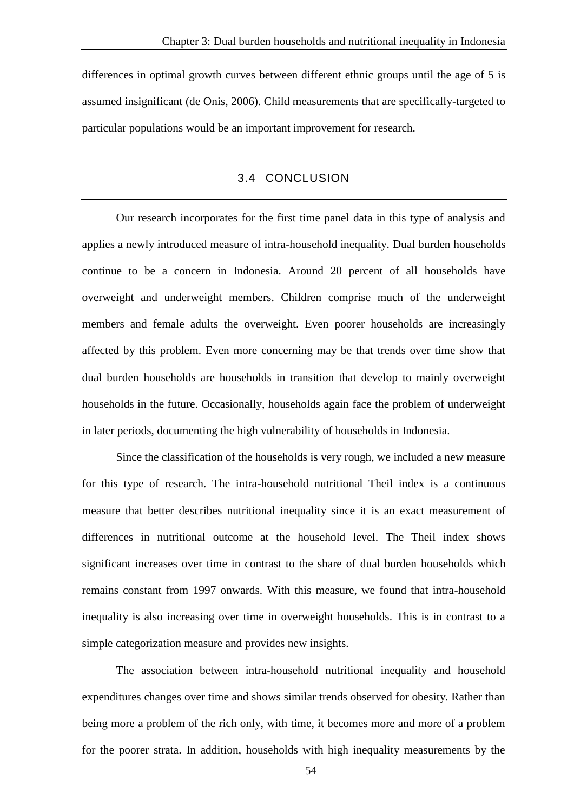differences in optimal growth curves between different ethnic groups until the age of 5 is assumed insignificant (de Onis, 2006). Child measurements that are specifically-targeted to particular populations would be an important improvement for research.

## 3.4 CONCLUSION

Our research incorporates for the first time panel data in this type of analysis and applies a newly introduced measure of intra-household inequality. Dual burden households continue to be a concern in Indonesia. Around 20 percent of all households have overweight and underweight members. Children comprise much of the underweight members and female adults the overweight. Even poorer households are increasingly affected by this problem. Even more concerning may be that trends over time show that dual burden households are households in transition that develop to mainly overweight households in the future. Occasionally, households again face the problem of underweight in later periods, documenting the high vulnerability of households in Indonesia.

Since the classification of the households is very rough, we included a new measure for this type of research. The intra-household nutritional Theil index is a continuous measure that better describes nutritional inequality since it is an exact measurement of differences in nutritional outcome at the household level. The Theil index shows significant increases over time in contrast to the share of dual burden households which remains constant from 1997 onwards. With this measure, we found that intra-household inequality is also increasing over time in overweight households. This is in contrast to a simple categorization measure and provides new insights.

The association between intra-household nutritional inequality and household expenditures changes over time and shows similar trends observed for obesity. Rather than being more a problem of the rich only, with time, it becomes more and more of a problem for the poorer strata. In addition, households with high inequality measurements by the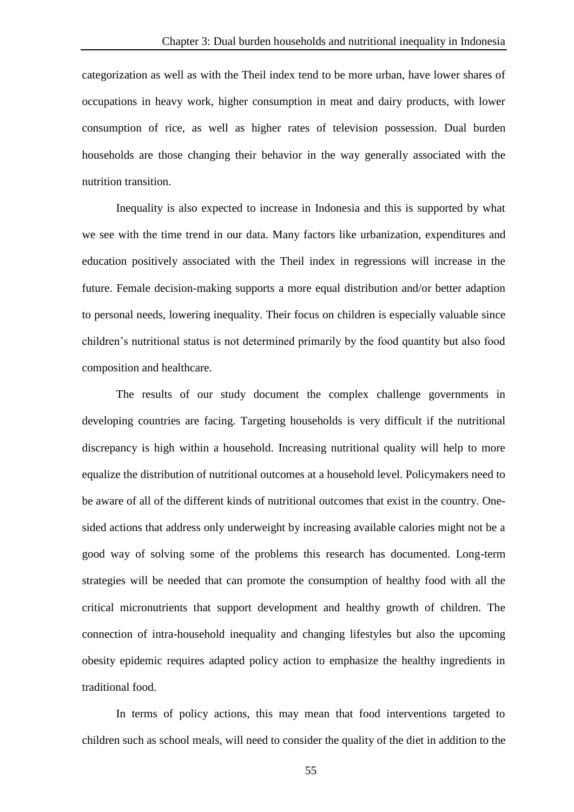categorization as well as with the Theil index tend to be more urban, have lower shares of occupations in heavy work, higher consumption in meat and dairy products, with lower consumption of rice, as well as higher rates of television possession. Dual burden households are those changing their behavior in the way generally associated with the nutrition transition.

Inequality is also expected to increase in Indonesia and this is supported by what we see with the time trend in our data. Many factors like urbanization, expenditures and education positively associated with the Theil index in regressions will increase in the future. Female decision-making supports a more equal distribution and/or better adaption to personal needs, lowering inequality. Their focus on children is especially valuable since children's nutritional status is not determined primarily by the food quantity but also food composition and healthcare.

The results of our study document the complex challenge governments in developing countries are facing. Targeting households is very difficult if the nutritional discrepancy is high within a household. Increasing nutritional quality will help to more equalize the distribution of nutritional outcomes at a household level. Policymakers need to be aware of all of the different kinds of nutritional outcomes that exist in the country. Onesided actions that address only underweight by increasing available calories might not be a good way of solving some of the problems this research has documented. Long-term strategies will be needed that can promote the consumption of healthy food with all the critical micronutrients that support development and healthy growth of children. The connection of intra-household inequality and changing lifestyles but also the upcoming obesity epidemic requires adapted policy action to emphasize the healthy ingredients in traditional food.

In terms of policy actions, this may mean that food interventions targeted to children such as school meals, will need to consider the quality of the diet in addition to the

55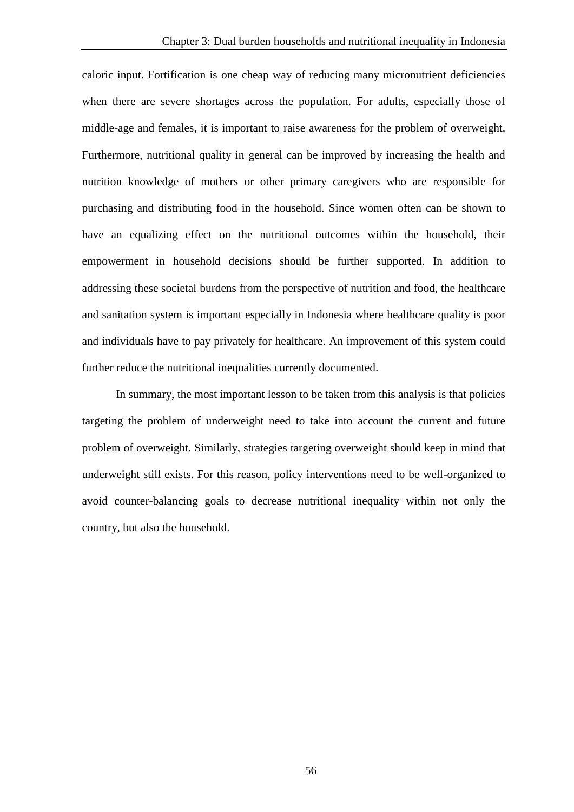caloric input. Fortification is one cheap way of reducing many micronutrient deficiencies when there are severe shortages across the population. For adults, especially those of middle-age and females, it is important to raise awareness for the problem of overweight. Furthermore, nutritional quality in general can be improved by increasing the health and nutrition knowledge of mothers or other primary caregivers who are responsible for purchasing and distributing food in the household. Since women often can be shown to have an equalizing effect on the nutritional outcomes within the household, their empowerment in household decisions should be further supported. In addition to addressing these societal burdens from the perspective of nutrition and food, the healthcare and sanitation system is important especially in Indonesia where healthcare quality is poor and individuals have to pay privately for healthcare. An improvement of this system could further reduce the nutritional inequalities currently documented.

In summary, the most important lesson to be taken from this analysis is that policies targeting the problem of underweight need to take into account the current and future problem of overweight. Similarly, strategies targeting overweight should keep in mind that underweight still exists. For this reason, policy interventions need to be well-organized to avoid counter-balancing goals to decrease nutritional inequality within not only the country, but also the household.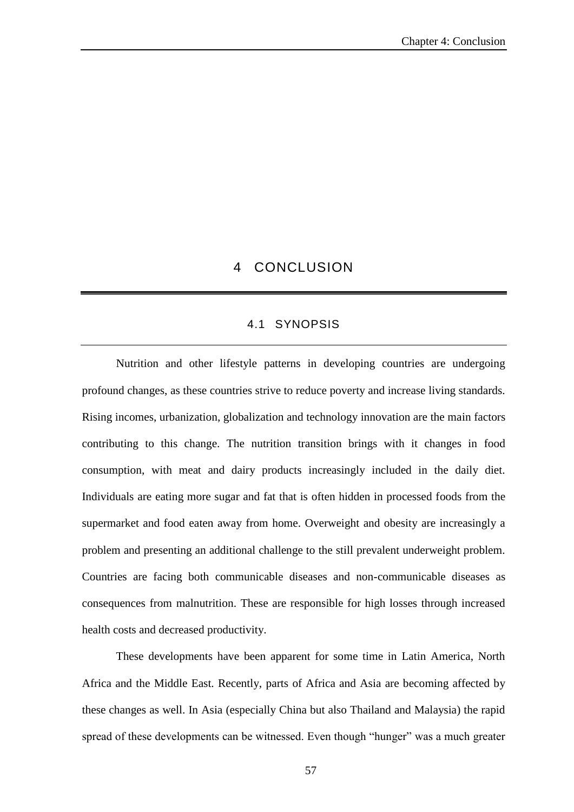# 4 CONCLUSION

## 4.1 SYNOPSIS

Nutrition and other lifestyle patterns in developing countries are undergoing profound changes, as these countries strive to reduce poverty and increase living standards. Rising incomes, urbanization, globalization and technology innovation are the main factors contributing to this change. The nutrition transition brings with it changes in food consumption, with meat and dairy products increasingly included in the daily diet. Individuals are eating more sugar and fat that is often hidden in processed foods from the supermarket and food eaten away from home. Overweight and obesity are increasingly a problem and presenting an additional challenge to the still prevalent underweight problem. Countries are facing both communicable diseases and non-communicable diseases as consequences from malnutrition. These are responsible for high losses through increased health costs and decreased productivity.

These developments have been apparent for some time in Latin America, North Africa and the Middle East. Recently, parts of Africa and Asia are becoming affected by these changes as well. In Asia (especially China but also Thailand and Malaysia) the rapid spread of these developments can be witnessed. Even though "hunger" was a much greater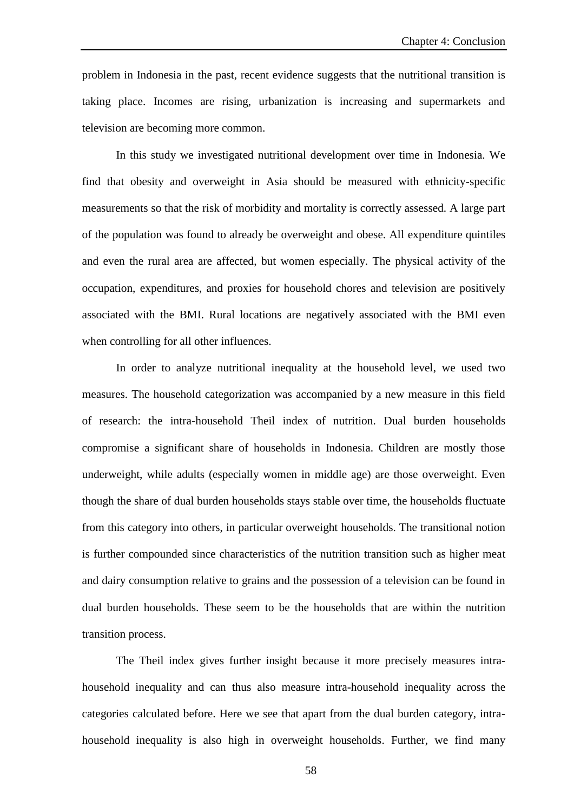problem in Indonesia in the past, recent evidence suggests that the nutritional transition is taking place. Incomes are rising, urbanization is increasing and supermarkets and television are becoming more common.

In this study we investigated nutritional development over time in Indonesia. We find that obesity and overweight in Asia should be measured with ethnicity-specific measurements so that the risk of morbidity and mortality is correctly assessed. A large part of the population was found to already be overweight and obese. All expenditure quintiles and even the rural area are affected, but women especially. The physical activity of the occupation, expenditures, and proxies for household chores and television are positively associated with the BMI. Rural locations are negatively associated with the BMI even when controlling for all other influences.

In order to analyze nutritional inequality at the household level, we used two measures. The household categorization was accompanied by a new measure in this field of research: the intra-household Theil index of nutrition. Dual burden households compromise a significant share of households in Indonesia. Children are mostly those underweight, while adults (especially women in middle age) are those overweight. Even though the share of dual burden households stays stable over time, the households fluctuate from this category into others, in particular overweight households. The transitional notion is further compounded since characteristics of the nutrition transition such as higher meat and dairy consumption relative to grains and the possession of a television can be found in dual burden households. These seem to be the households that are within the nutrition transition process.

The Theil index gives further insight because it more precisely measures intrahousehold inequality and can thus also measure intra-household inequality across the categories calculated before. Here we see that apart from the dual burden category, intrahousehold inequality is also high in overweight households. Further, we find many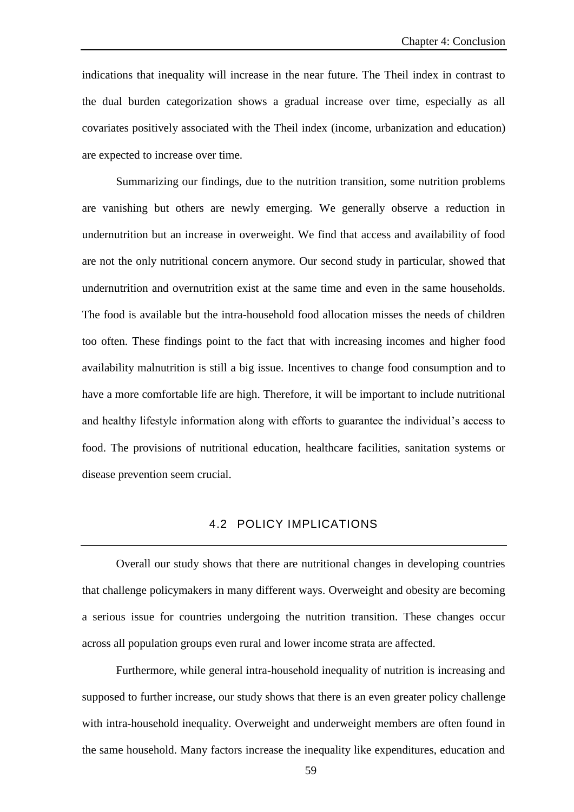indications that inequality will increase in the near future. The Theil index in contrast to the dual burden categorization shows a gradual increase over time, especially as all covariates positively associated with the Theil index (income, urbanization and education) are expected to increase over time.

Summarizing our findings, due to the nutrition transition, some nutrition problems are vanishing but others are newly emerging. We generally observe a reduction in undernutrition but an increase in overweight. We find that access and availability of food are not the only nutritional concern anymore. Our second study in particular, showed that undernutrition and overnutrition exist at the same time and even in the same households. The food is available but the intra-household food allocation misses the needs of children too often. These findings point to the fact that with increasing incomes and higher food availability malnutrition is still a big issue. Incentives to change food consumption and to have a more comfortable life are high. Therefore, it will be important to include nutritional and healthy lifestyle information along with efforts to guarantee the individual's access to food. The provisions of nutritional education, healthcare facilities, sanitation systems or disease prevention seem crucial.

### 4.2 POLICY IMPLICATIONS

Overall our study shows that there are nutritional changes in developing countries that challenge policymakers in many different ways. Overweight and obesity are becoming a serious issue for countries undergoing the nutrition transition. These changes occur across all population groups even rural and lower income strata are affected.

Furthermore, while general intra-household inequality of nutrition is increasing and supposed to further increase, our study shows that there is an even greater policy challenge with intra-household inequality. Overweight and underweight members are often found in the same household. Many factors increase the inequality like expenditures, education and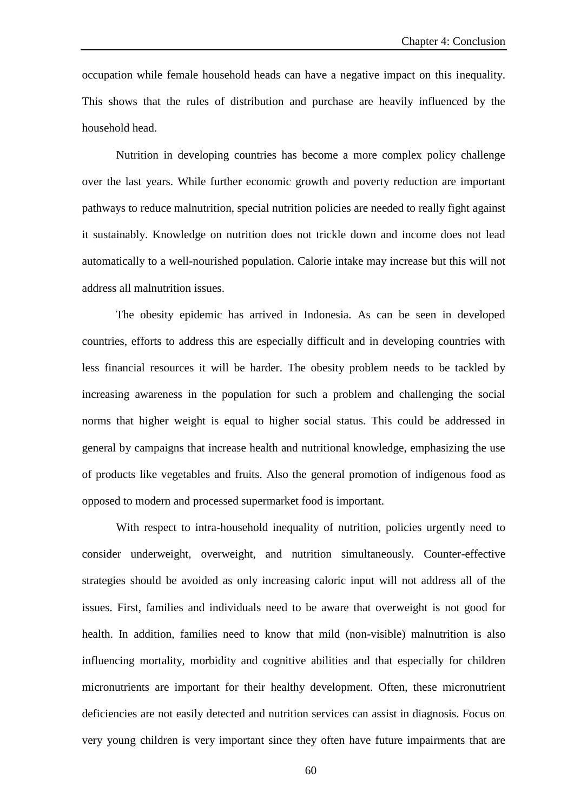occupation while female household heads can have a negative impact on this inequality. This shows that the rules of distribution and purchase are heavily influenced by the household head.

Nutrition in developing countries has become a more complex policy challenge over the last years. While further economic growth and poverty reduction are important pathways to reduce malnutrition, special nutrition policies are needed to really fight against it sustainably. Knowledge on nutrition does not trickle down and income does not lead automatically to a well-nourished population. Calorie intake may increase but this will not address all malnutrition issues.

The obesity epidemic has arrived in Indonesia. As can be seen in developed countries, efforts to address this are especially difficult and in developing countries with less financial resources it will be harder. The obesity problem needs to be tackled by increasing awareness in the population for such a problem and challenging the social norms that higher weight is equal to higher social status. This could be addressed in general by campaigns that increase health and nutritional knowledge, emphasizing the use of products like vegetables and fruits. Also the general promotion of indigenous food as opposed to modern and processed supermarket food is important.

With respect to intra-household inequality of nutrition, policies urgently need to consider underweight, overweight, and nutrition simultaneously. Counter-effective strategies should be avoided as only increasing caloric input will not address all of the issues. First, families and individuals need to be aware that overweight is not good for health. In addition, families need to know that mild (non-visible) malnutrition is also influencing mortality, morbidity and cognitive abilities and that especially for children micronutrients are important for their healthy development. Often, these micronutrient deficiencies are not easily detected and nutrition services can assist in diagnosis. Focus on very young children is very important since they often have future impairments that are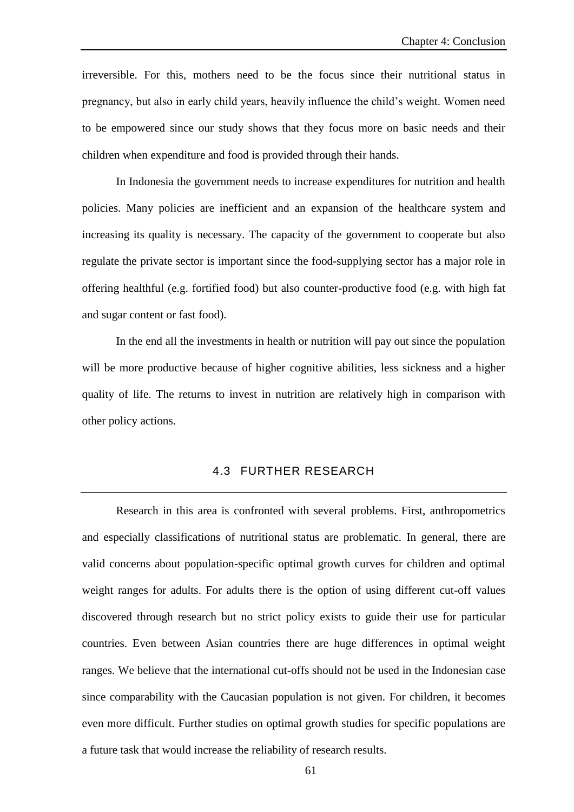irreversible. For this, mothers need to be the focus since their nutritional status in pregnancy, but also in early child years, heavily influence the child's weight. Women need to be empowered since our study shows that they focus more on basic needs and their children when expenditure and food is provided through their hands.

In Indonesia the government needs to increase expenditures for nutrition and health policies. Many policies are inefficient and an expansion of the healthcare system and increasing its quality is necessary. The capacity of the government to cooperate but also regulate the private sector is important since the food-supplying sector has a major role in offering healthful (e.g. fortified food) but also counter-productive food (e.g. with high fat and sugar content or fast food).

In the end all the investments in health or nutrition will pay out since the population will be more productive because of higher cognitive abilities, less sickness and a higher quality of life. The returns to invest in nutrition are relatively high in comparison with other policy actions.

#### 4.3 FURTHER RESEARCH

Research in this area is confronted with several problems. First, anthropometrics and especially classifications of nutritional status are problematic. In general, there are valid concerns about population-specific optimal growth curves for children and optimal weight ranges for adults. For adults there is the option of using different cut-off values discovered through research but no strict policy exists to guide their use for particular countries. Even between Asian countries there are huge differences in optimal weight ranges. We believe that the international cut-offs should not be used in the Indonesian case since comparability with the Caucasian population is not given. For children, it becomes even more difficult. Further studies on optimal growth studies for specific populations are a future task that would increase the reliability of research results.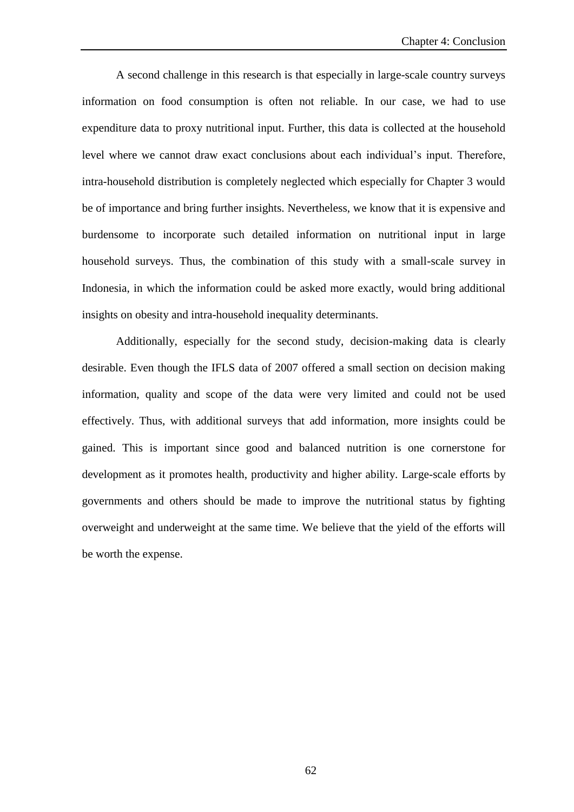A second challenge in this research is that especially in large-scale country surveys information on food consumption is often not reliable. In our case, we had to use expenditure data to proxy nutritional input. Further, this data is collected at the household level where we cannot draw exact conclusions about each individual's input. Therefore, intra-household distribution is completely neglected which especially for Chapter 3 would be of importance and bring further insights. Nevertheless, we know that it is expensive and burdensome to incorporate such detailed information on nutritional input in large household surveys. Thus, the combination of this study with a small-scale survey in Indonesia, in which the information could be asked more exactly, would bring additional insights on obesity and intra-household inequality determinants.

Additionally, especially for the second study, decision-making data is clearly desirable. Even though the IFLS data of 2007 offered a small section on decision making information, quality and scope of the data were very limited and could not be used effectively. Thus, with additional surveys that add information, more insights could be gained. This is important since good and balanced nutrition is one cornerstone for development as it promotes health, productivity and higher ability. Large-scale efforts by governments and others should be made to improve the nutritional status by fighting overweight and underweight at the same time. We believe that the yield of the efforts will be worth the expense.

62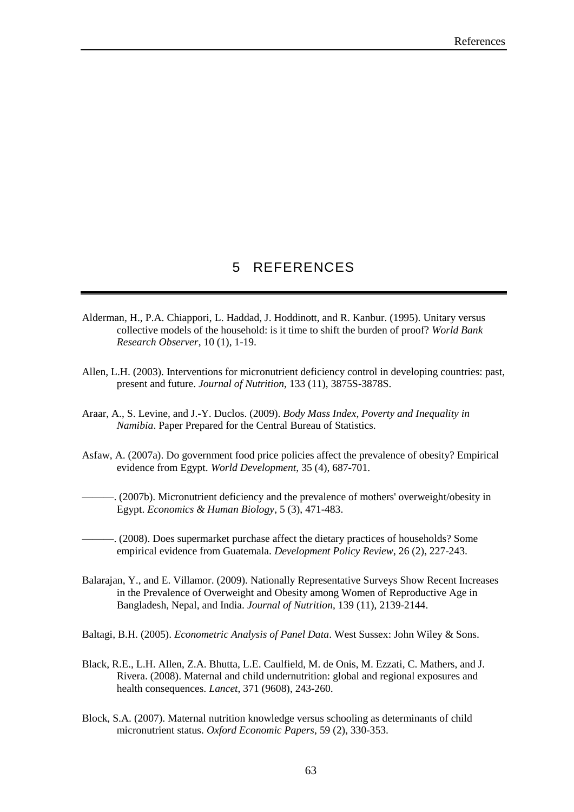# 5 REFERENCES

- Alderman, H., P.A. Chiappori, L. Haddad, J. Hoddinott, and R. Kanbur. (1995). Unitary versus collective models of the household: is it time to shift the burden of proof? *World Bank Research Observer*, 10 (1), 1-19.
- Allen, L.H. (2003). Interventions for micronutrient deficiency control in developing countries: past, present and future. *Journal of Nutrition*, 133 (11), 3875S-3878S.
- Araar, A., S. Levine, and J.-Y. Duclos. (2009). *Body Mass Index, Poverty and Inequality in Namibia*. Paper Prepared for the Central Bureau of Statistics.
- Asfaw, A. (2007a). Do government food price policies affect the prevalence of obesity? Empirical evidence from Egypt. *World Development*, 35 (4), 687-701.

———. (2007b). Micronutrient deficiency and the prevalence of mothers' overweight/obesity in Egypt. *Economics & Human Biology*, 5 (3), 471-483.

- ———. (2008). Does supermarket purchase affect the dietary practices of households? Some empirical evidence from Guatemala. *Development Policy Review*, 26 (2), 227-243.
- Balarajan, Y., and E. Villamor. (2009). Nationally Representative Surveys Show Recent Increases in the Prevalence of Overweight and Obesity among Women of Reproductive Age in Bangladesh, Nepal, and India. *Journal of Nutrition*, 139 (11), 2139-2144.
- Baltagi, B.H. (2005). *Econometric Analysis of Panel Data*. West Sussex: John Wiley & Sons.
- Black, R.E., L.H. Allen, Z.A. Bhutta, L.E. Caulfield, M. de Onis, M. Ezzati, C. Mathers, and J. Rivera. (2008). Maternal and child undernutrition: global and regional exposures and health consequences. *Lancet*, 371 (9608), 243-260.
- Block, S.A. (2007). Maternal nutrition knowledge versus schooling as determinants of child micronutrient status. *Oxford Economic Papers*, 59 (2), 330-353.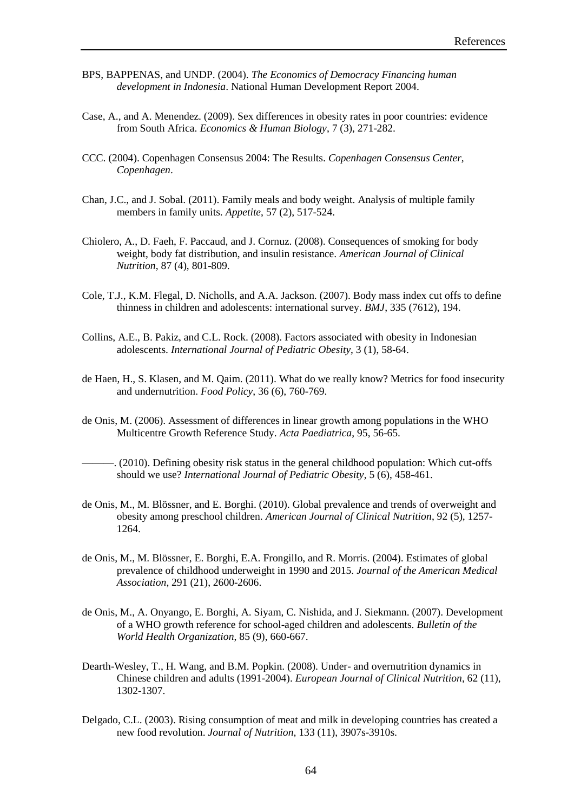- BPS, BAPPENAS, and UNDP. (2004). *The Economics of Democracy Financing human development in Indonesia*. National Human Development Report 2004.
- Case, A., and A. Menendez. (2009). Sex differences in obesity rates in poor countries: evidence from South Africa. *Economics & Human Biology*, 7 (3), 271-282.
- CCC. (2004). Copenhagen Consensus 2004: The Results. *Copenhagen Consensus Center, Copenhagen*.
- Chan, J.C., and J. Sobal. (2011). Family meals and body weight. Analysis of multiple family members in family units. *Appetite*, 57 (2), 517-524.
- Chiolero, A., D. Faeh, F. Paccaud, and J. Cornuz. (2008). Consequences of smoking for body weight, body fat distribution, and insulin resistance. *American Journal of Clinical Nutrition*, 87 (4), 801-809.
- Cole, T.J., K.M. Flegal, D. Nicholls, and A.A. Jackson. (2007). Body mass index cut offs to define thinness in children and adolescents: international survey. *BMJ*, 335 (7612), 194.
- Collins, A.E., B. Pakiz, and C.L. Rock. (2008). Factors associated with obesity in Indonesian adolescents. *International Journal of Pediatric Obesity*, 3 (1), 58-64.
- de Haen, H., S. Klasen, and M. Qaim. (2011). What do we really know? Metrics for food insecurity and undernutrition. *Food Policy*, 36 (6), 760-769.
- de Onis, M. (2006). Assessment of differences in linear growth among populations in the WHO Multicentre Growth Reference Study. *Acta Paediatrica*, 95, 56-65.
- $\sim$  (2010). Defining obesity risk status in the general childhood population: Which cut-offs should we use? *International Journal of Pediatric Obesity*, 5 (6), 458-461.
- de Onis, M., M. Blössner, and E. Borghi. (2010). Global prevalence and trends of overweight and obesity among preschool children. *American Journal of Clinical Nutrition*, 92 (5), 1257- 1264.
- de Onis, M., M. Blössner, E. Borghi, E.A. Frongillo, and R. Morris. (2004). Estimates of global prevalence of childhood underweight in 1990 and 2015. *Journal of the American Medical Association*, 291 (21), 2600-2606.
- de Onis, M., A. Onyango, E. Borghi, A. Siyam, C. Nishida, and J. Siekmann. (2007). Development of a WHO growth reference for school-aged children and adolescents. *Bulletin of the World Health Organization*, 85 (9), 660-667.
- Dearth-Wesley, T., H. Wang, and B.M. Popkin. (2008). Under- and overnutrition dynamics in Chinese children and adults (1991-2004). *European Journal of Clinical Nutrition*, 62 (11), 1302-1307.
- Delgado, C.L. (2003). Rising consumption of meat and milk in developing countries has created a new food revolution. *Journal of Nutrition*, 133 (11), 3907s-3910s.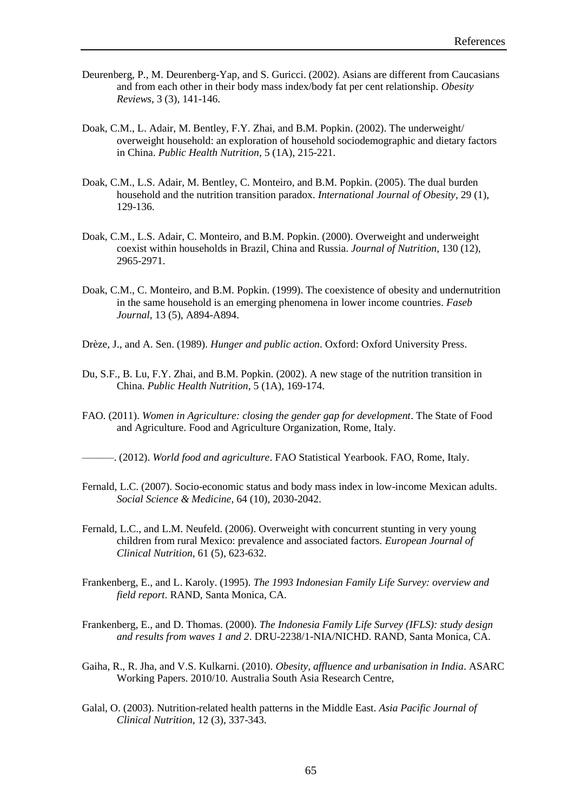- Deurenberg, P., M. Deurenberg-Yap, and S. Guricci. (2002). Asians are different from Caucasians and from each other in their body mass index/body fat per cent relationship. *Obesity Reviews*, 3 (3), 141-146.
- Doak, C.M., L. Adair, M. Bentley, F.Y. Zhai, and B.M. Popkin. (2002). The underweight/ overweight household: an exploration of household sociodemographic and dietary factors in China. *Public Health Nutrition*, 5 (1A), 215-221.
- Doak, C.M., L.S. Adair, M. Bentley, C. Monteiro, and B.M. Popkin. (2005). The dual burden household and the nutrition transition paradox. *International Journal of Obesity*, 29 (1), 129-136.
- Doak, C.M., L.S. Adair, C. Monteiro, and B.M. Popkin. (2000). Overweight and underweight coexist within households in Brazil, China and Russia. *Journal of Nutrition*, 130 (12), 2965-2971.
- Doak, C.M., C. Monteiro, and B.M. Popkin. (1999). The coexistence of obesity and undernutrition in the same household is an emerging phenomena in lower income countries. *Faseb Journal*, 13 (5), A894-A894.
- Drèze, J., and A. Sen. (1989). *Hunger and public action*. Oxford: Oxford University Press.
- Du, S.F., B. Lu, F.Y. Zhai, and B.M. Popkin. (2002). A new stage of the nutrition transition in China. *Public Health Nutrition*, 5 (1A), 169-174.
- FAO. (2011). *Women in Agriculture: closing the gender gap for development*. The State of Food and Agriculture. Food and Agriculture Organization, Rome, Italy.
- ———. (2012). *World food and agriculture*. FAO Statistical Yearbook. FAO, Rome, Italy.
- Fernald, L.C. (2007). Socio-economic status and body mass index in low-income Mexican adults. *Social Science & Medicine*, 64 (10), 2030-2042.
- Fernald, L.C., and L.M. Neufeld. (2006). Overweight with concurrent stunting in very young children from rural Mexico: prevalence and associated factors. *European Journal of Clinical Nutrition*, 61 (5), 623-632.
- Frankenberg, E., and L. Karoly. (1995). *The 1993 Indonesian Family Life Survey: overview and field report*. RAND, Santa Monica, CA.
- Frankenberg, E., and D. Thomas. (2000). *The Indonesia Family Life Survey (IFLS): study design and results from waves 1 and 2*. DRU-2238/1-NIA/NICHD. RAND, Santa Monica, CA.
- Gaiha, R., R. Jha, and V.S. Kulkarni. (2010). *Obesity, affluence and urbanisation in India*. ASARC Working Papers. 2010/10. Australia South Asia Research Centre,
- Galal, O. (2003). Nutrition-related health patterns in the Middle East. *Asia Pacific Journal of Clinical Nutrition*, 12 (3), 337-343.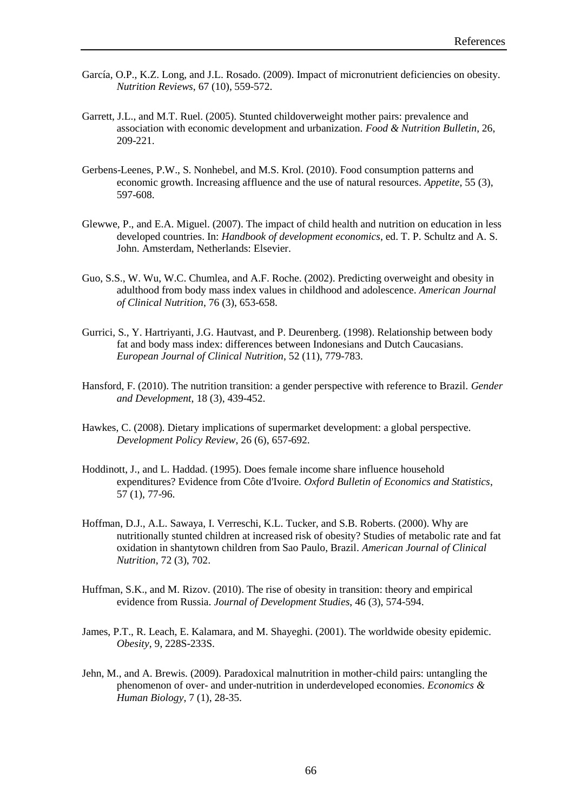- García, O.P., K.Z. Long, and J.L. Rosado. (2009). Impact of micronutrient deficiencies on obesity. *Nutrition Reviews*, 67 (10), 559-572.
- Garrett, J.L., and M.T. Ruel. (2005). Stunted childoverweight mother pairs: prevalence and association with economic development and urbanization. *Food & Nutrition Bulletin*, 26, 209-221.
- Gerbens-Leenes, P.W., S. Nonhebel, and M.S. Krol. (2010). Food consumption patterns and economic growth. Increasing affluence and the use of natural resources. *Appetite*, 55 (3), 597-608.
- Glewwe, P., and E.A. Miguel. (2007). The impact of child health and nutrition on education in less developed countries. In: *Handbook of development economics*, ed. T. P. Schultz and A. S. John. Amsterdam, Netherlands: Elsevier.
- Guo, S.S., W. Wu, W.C. Chumlea, and A.F. Roche. (2002). Predicting overweight and obesity in adulthood from body mass index values in childhood and adolescence. *American Journal of Clinical Nutrition*, 76 (3), 653-658.
- Gurrici, S., Y. Hartriyanti, J.G. Hautvast, and P. Deurenberg. (1998). Relationship between body fat and body mass index: differences between Indonesians and Dutch Caucasians. *European Journal of Clinical Nutrition*, 52 (11), 779-783.
- Hansford, F. (2010). The nutrition transition: a gender perspective with reference to Brazil. *Gender and Development*, 18 (3), 439-452.
- Hawkes, C. (2008). Dietary implications of supermarket development: a global perspective. *Development Policy Review*, 26 (6), 657-692.
- Hoddinott, J., and L. Haddad. (1995). Does female income share influence household expenditures? Evidence from Côte d'Ivoire. *Oxford Bulletin of Economics and Statistics*, 57 (1), 77-96.
- Hoffman, D.J., A.L. Sawaya, I. Verreschi, K.L. Tucker, and S.B. Roberts. (2000). Why are nutritionally stunted children at increased risk of obesity? Studies of metabolic rate and fat oxidation in shantytown children from Sao Paulo, Brazil. *American Journal of Clinical Nutrition*, 72 (3), 702.
- Huffman, S.K., and M. Rizov. (2010). The rise of obesity in transition: theory and empirical evidence from Russia. *Journal of Development Studies*, 46 (3), 574-594.
- James, P.T., R. Leach, E. Kalamara, and M. Shayeghi. (2001). The worldwide obesity epidemic. *Obesity*, 9, 228S-233S.
- Jehn, M., and A. Brewis. (2009). Paradoxical malnutrition in mother-child pairs: untangling the phenomenon of over- and under-nutrition in underdeveloped economies. *Economics & Human Biology*, 7 (1), 28-35.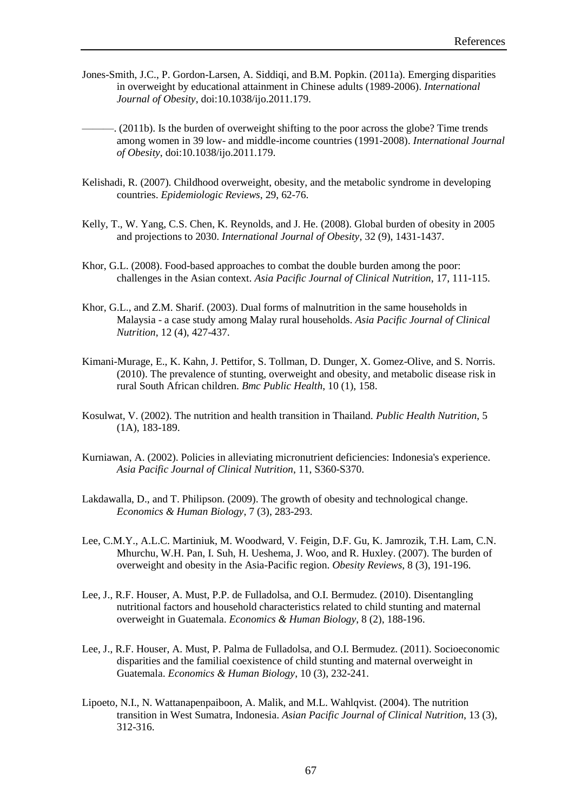- Jones-Smith, J.C., P. Gordon-Larsen, A. Siddiqi, and B.M. Popkin. (2011a). Emerging disparities in overweight by educational attainment in Chinese adults (1989-2006). *International Journal of Obesity*, doi:10.1038/ijo.2011.179.
	- $\sim$  (2011b). Is the burden of overweight shifting to the poor across the globe? Time trends among women in 39 low- and middle-income countries (1991-2008). *International Journal of Obesity*, doi:10.1038/ijo.2011.179.
- Kelishadi, R. (2007). Childhood overweight, obesity, and the metabolic syndrome in developing countries. *Epidemiologic Reviews*, 29, 62-76.
- Kelly, T., W. Yang, C.S. Chen, K. Reynolds, and J. He. (2008). Global burden of obesity in 2005 and projections to 2030. *International Journal of Obesity*, 32 (9), 1431-1437.
- Khor, G.L. (2008). Food-based approaches to combat the double burden among the poor: challenges in the Asian context. *Asia Pacific Journal of Clinical Nutrition*, 17, 111-115.
- Khor, G.L., and Z.M. Sharif. (2003). Dual forms of malnutrition in the same households in Malaysia - a case study among Malay rural households. *Asia Pacific Journal of Clinical Nutrition*, 12 (4), 427-437.
- Kimani-Murage, E., K. Kahn, J. Pettifor, S. Tollman, D. Dunger, X. Gomez-Olive, and S. Norris. (2010). The prevalence of stunting, overweight and obesity, and metabolic disease risk in rural South African children. *Bmc Public Health*, 10 (1), 158.
- Kosulwat, V. (2002). The nutrition and health transition in Thailand. *Public Health Nutrition*, 5 (1A), 183-189.
- Kurniawan, A. (2002). Policies in alleviating micronutrient deficiencies: Indonesia's experience. *Asia Pacific Journal of Clinical Nutrition*, 11, S360-S370.
- Lakdawalla, D., and T. Philipson. (2009). The growth of obesity and technological change. *Economics & Human Biology*, 7 (3), 283-293.
- Lee, C.M.Y., A.L.C. Martiniuk, M. Woodward, V. Feigin, D.F. Gu, K. Jamrozik, T.H. Lam, C.N. Mhurchu, W.H. Pan, I. Suh, H. Ueshema, J. Woo, and R. Huxley. (2007). The burden of overweight and obesity in the Asia-Pacific region. *Obesity Reviews*, 8 (3), 191-196.
- Lee, J., R.F. Houser, A. Must, P.P. de Fulladolsa, and O.I. Bermudez. (2010). Disentangling nutritional factors and household characteristics related to child stunting and maternal overweight in Guatemala. *Economics & Human Biology*, 8 (2), 188-196.
- Lee, J., R.F. Houser, A. Must, P. Palma de Fulladolsa, and O.I. Bermudez. (2011). Socioeconomic disparities and the familial coexistence of child stunting and maternal overweight in Guatemala. *Economics & Human Biology*, 10 (3), 232-241.
- Lipoeto, N.I., N. Wattanapenpaiboon, A. Malik, and M.L. Wahlqvist. (2004). The nutrition transition in West Sumatra, Indonesia. *Asian Pacific Journal of Clinical Nutrition*, 13 (3), 312-316.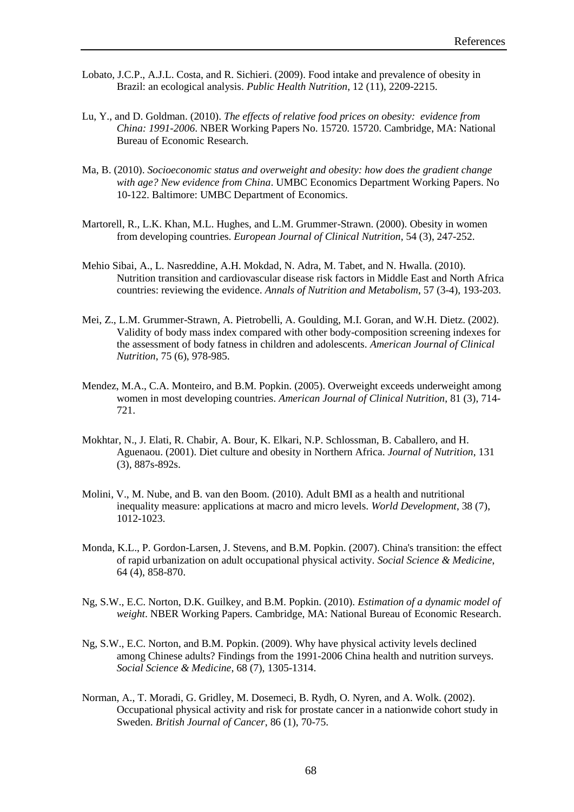- Lobato, J.C.P., A.J.L. Costa, and R. Sichieri. (2009). Food intake and prevalence of obesity in Brazil: an ecological analysis. *Public Health Nutrition*, 12 (11), 2209-2215.
- Lu, Y., and D. Goldman. (2010). *The effects of relative food prices on obesity: evidence from China: 1991-2006*. NBER Working Papers No. 15720. 15720. Cambridge, MA: National Bureau of Economic Research.
- Ma, B. (2010). *Socioeconomic status and overweight and obesity: how does the gradient change with age? New evidence from China*. UMBC Economics Department Working Papers. No 10-122. Baltimore: UMBC Department of Economics.
- Martorell, R., L.K. Khan, M.L. Hughes, and L.M. Grummer-Strawn. (2000). Obesity in women from developing countries. *European Journal of Clinical Nutrition*, 54 (3), 247-252.
- Mehio Sibai, A., L. Nasreddine, A.H. Mokdad, N. Adra, M. Tabet, and N. Hwalla. (2010). Nutrition transition and cardiovascular disease risk factors in Middle East and North Africa countries: reviewing the evidence. *Annals of Nutrition and Metabolism*, 57 (3-4), 193-203.
- Mei, Z., L.M. Grummer-Strawn, A. Pietrobelli, A. Goulding, M.I. Goran, and W.H. Dietz. (2002). Validity of body mass index compared with other body-composition screening indexes for the assessment of body fatness in children and adolescents. *American Journal of Clinical Nutrition*, 75 (6), 978-985.
- Mendez, M.A., C.A. Monteiro, and B.M. Popkin. (2005). Overweight exceeds underweight among women in most developing countries. *American Journal of Clinical Nutrition*, 81 (3), 714- 721.
- Mokhtar, N., J. Elati, R. Chabir, A. Bour, K. Elkari, N.P. Schlossman, B. Caballero, and H. Aguenaou. (2001). Diet culture and obesity in Northern Africa. *Journal of Nutrition*, 131 (3), 887s-892s.
- Molini, V., M. Nube, and B. van den Boom. (2010). Adult BMI as a health and nutritional inequality measure: applications at macro and micro levels. *World Development*, 38 (7), 1012-1023.
- Monda, K.L., P. Gordon-Larsen, J. Stevens, and B.M. Popkin. (2007). China's transition: the effect of rapid urbanization on adult occupational physical activity. *Social Science & Medicine*, 64 (4), 858-870.
- Ng, S.W., E.C. Norton, D.K. Guilkey, and B.M. Popkin. (2010). *Estimation of a dynamic model of weight*. NBER Working Papers. Cambridge, MA: National Bureau of Economic Research.
- Ng, S.W., E.C. Norton, and B.M. Popkin. (2009). Why have physical activity levels declined among Chinese adults? Findings from the 1991-2006 China health and nutrition surveys. *Social Science & Medicine*, 68 (7), 1305-1314.
- Norman, A., T. Moradi, G. Gridley, M. Dosemeci, B. Rydh, O. Nyren, and A. Wolk. (2002). Occupational physical activity and risk for prostate cancer in a nationwide cohort study in Sweden. *British Journal of Cancer*, 86 (1), 70-75.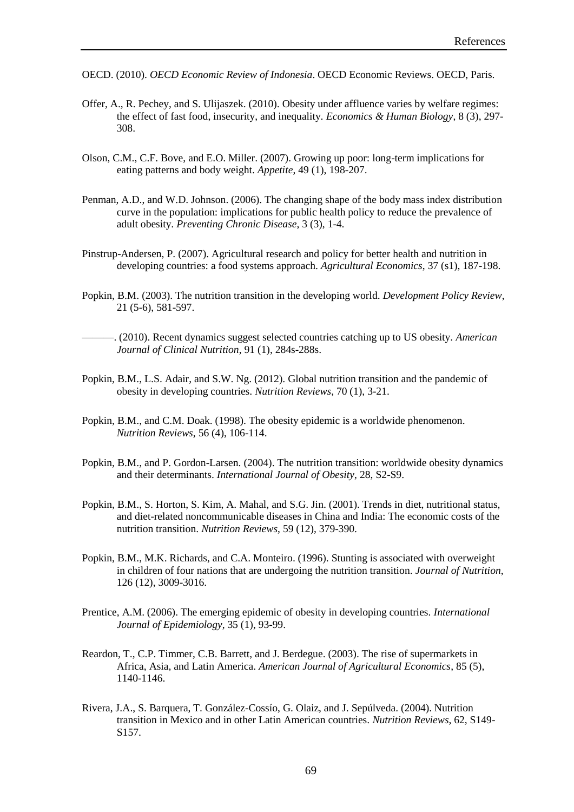- OECD. (2010). *OECD Economic Review of Indonesia*. OECD Economic Reviews. OECD, Paris.
- Offer, A., R. Pechey, and S. Ulijaszek. (2010). Obesity under affluence varies by welfare regimes: the effect of fast food, insecurity, and inequality. *Economics & Human Biology*, 8 (3), 297- 308.
- Olson, C.M., C.F. Bove, and E.O. Miller. (2007). Growing up poor: long-term implications for eating patterns and body weight. *Appetite*, 49 (1), 198-207.
- Penman, A.D., and W.D. Johnson. (2006). The changing shape of the body mass index distribution curve in the population: implications for public health policy to reduce the prevalence of adult obesity. *Preventing Chronic Disease*, 3 (3), 1-4.
- Pinstrup-Andersen, P. (2007). Agricultural research and policy for better health and nutrition in developing countries: a food systems approach. *Agricultural Economics*, 37 (s1), 187-198.
- Popkin, B.M. (2003). The nutrition transition in the developing world. *Development Policy Review*, 21 (5-6), 581-597.
	- ———. (2010). Recent dynamics suggest selected countries catching up to US obesity. *American Journal of Clinical Nutrition*, 91 (1), 284s-288s.
- Popkin, B.M., L.S. Adair, and S.W. Ng. (2012). Global nutrition transition and the pandemic of obesity in developing countries. *Nutrition Reviews*, 70 (1), 3-21.
- Popkin, B.M., and C.M. Doak. (1998). The obesity epidemic is a worldwide phenomenon. *Nutrition Reviews*, 56 (4), 106-114.
- Popkin, B.M., and P. Gordon-Larsen. (2004). The nutrition transition: worldwide obesity dynamics and their determinants. *International Journal of Obesity*, 28, S2-S9.
- Popkin, B.M., S. Horton, S. Kim, A. Mahal, and S.G. Jin. (2001). Trends in diet, nutritional status, and diet-related noncommunicable diseases in China and India: The economic costs of the nutrition transition. *Nutrition Reviews*, 59 (12), 379-390.
- Popkin, B.M., M.K. Richards, and C.A. Monteiro. (1996). Stunting is associated with overweight in children of four nations that are undergoing the nutrition transition. *Journal of Nutrition*, 126 (12), 3009-3016.
- Prentice, A.M. (2006). The emerging epidemic of obesity in developing countries. *International Journal of Epidemiology*, 35 (1), 93-99.
- Reardon, T., C.P. Timmer, C.B. Barrett, and J. Berdegue. (2003). The rise of supermarkets in Africa, Asia, and Latin America. *American Journal of Agricultural Economics*, 85 (5), 1140-1146.
- Rivera, J.A., S. Barquera, T. González-Cossío, G. Olaiz, and J. Sepúlveda. (2004). Nutrition transition in Mexico and in other Latin American countries. *Nutrition Reviews*, 62, S149- S<sub>157</sub>.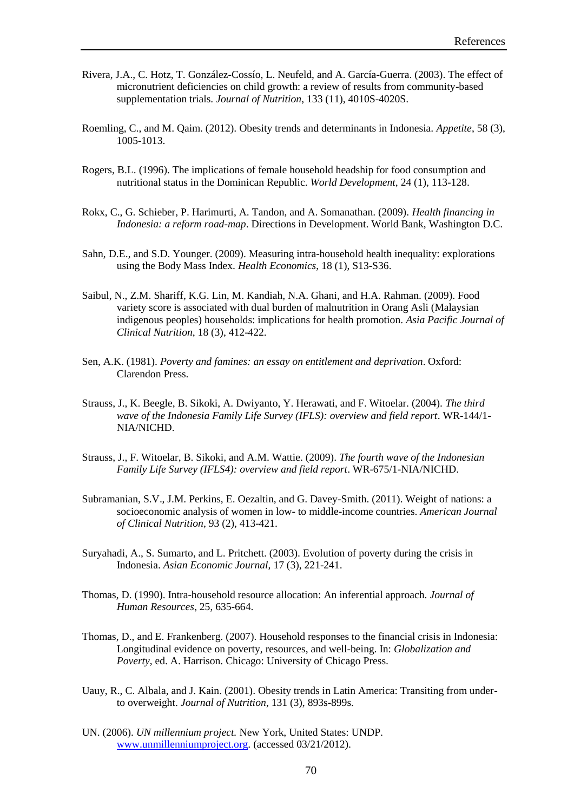- Rivera, J.A., C. Hotz, T. González-Cossío, L. Neufeld, and A. García-Guerra. (2003). The effect of micronutrient deficiencies on child growth: a review of results from community-based supplementation trials. *Journal of Nutrition*, 133 (11), 4010S-4020S.
- Roemling, C., and M. Qaim. (2012). Obesity trends and determinants in Indonesia. *Appetite*, 58 (3), 1005-1013.
- Rogers, B.L. (1996). The implications of female household headship for food consumption and nutritional status in the Dominican Republic. *World Development*, 24 (1), 113-128.
- Rokx, C., G. Schieber, P. Harimurti, A. Tandon, and A. Somanathan. (2009). *Health financing in Indonesia: a reform road-map*. Directions in Development. World Bank, Washington D.C.
- Sahn, D.E., and S.D. Younger. (2009). Measuring intra-household health inequality: explorations using the Body Mass Index. *Health Economics*, 18 (1), S13-S36.
- Saibul, N., Z.M. Shariff, K.G. Lin, M. Kandiah, N.A. Ghani, and H.A. Rahman. (2009). Food variety score is associated with dual burden of malnutrition in Orang Asli (Malaysian indigenous peoples) households: implications for health promotion. *Asia Pacific Journal of Clinical Nutrition*, 18 (3), 412-422.
- Sen, A.K. (1981). *Poverty and famines: an essay on entitlement and deprivation*. Oxford: Clarendon Press.
- Strauss, J., K. Beegle, B. Sikoki, A. Dwiyanto, Y. Herawati, and F. Witoelar. (2004). *The third wave of the Indonesia Family Life Survey (IFLS): overview and field report*. WR-144/1- NIA/NICHD.
- Strauss, J., F. Witoelar, B. Sikoki, and A.M. Wattie. (2009). *The fourth wave of the Indonesian Family Life Survey (IFLS4): overview and field report*. WR-675/1-NIA/NICHD.
- Subramanian, S.V., J.M. Perkins, E. Oezaltin, and G. Davey-Smith. (2011). Weight of nations: a socioeconomic analysis of women in low- to middle-income countries. *American Journal of Clinical Nutrition*, 93 (2), 413-421.
- Suryahadi, A., S. Sumarto, and L. Pritchett. (2003). Evolution of poverty during the crisis in Indonesia. *Asian Economic Journal*, 17 (3), 221-241.
- Thomas, D. (1990). Intra-household resource allocation: An inferential approach. *Journal of Human Resources*, 25, 635-664.
- Thomas, D., and E. Frankenberg. (2007). Household responses to the financial crisis in Indonesia: Longitudinal evidence on poverty, resources, and well-being. In: *Globalization and Poverty*, ed. A. Harrison. Chicago: University of Chicago Press.
- Uauy, R., C. Albala, and J. Kain. (2001). Obesity trends in Latin America: Transiting from underto overweight. *Journal of Nutrition*, 131 (3), 893s-899s.
- UN. (2006). *UN millennium project.* New York, United States: UNDP. [www.unmillenniumproject.org.](http://www.unmillenniumproject.org/) (accessed 03/21/2012).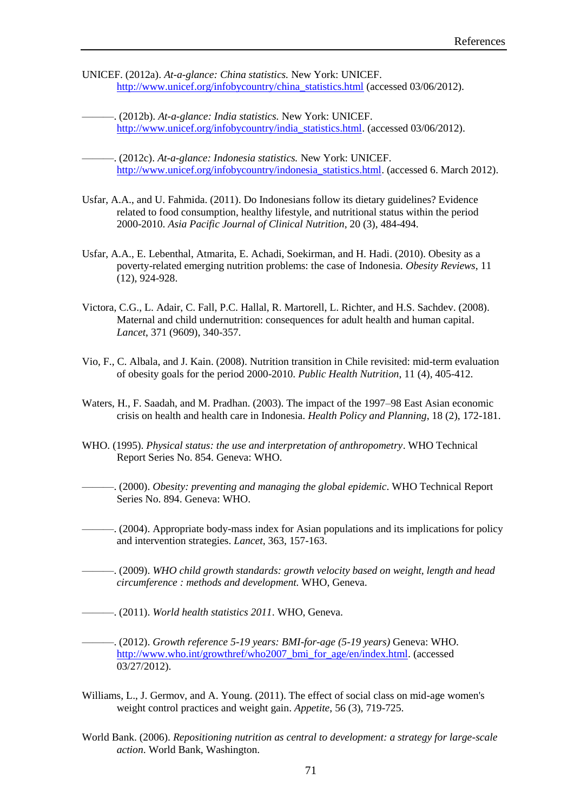- UNICEF. (2012a). *At-a-glance: China statistics.* New York: UNICEF. [http://www.unicef.org/infobycountry/china\\_statistics.html](http://www.unicef.org/infobycountry/china_statistics.html) (accessed 03/06/2012).
	- ———. (2012b). *At-a-glance: India statistics.* New York: UNICEF. [http://www.unicef.org/infobycountry/india\\_statistics.html.](http://www.unicef.org/infobycountry/india_statistics.html) (accessed 03/06/2012).
	- ———. (2012c). *At-a-glance: Indonesia statistics.* New York: UNICEF. [http://www.unicef.org/infobycountry/indonesia\\_statistics.html.](http://www.unicef.org/infobycountry/indonesia_statistics.html) (accessed 6. March 2012).
- Usfar, A.A., and U. Fahmida. (2011). Do Indonesians follow its dietary guidelines? Evidence related to food consumption, healthy lifestyle, and nutritional status within the period 2000-2010. *Asia Pacific Journal of Clinical Nutrition*, 20 (3), 484-494.
- Usfar, A.A., E. Lebenthal, Atmarita, E. Achadi, Soekirman, and H. Hadi. (2010). Obesity as a poverty-related emerging nutrition problems: the case of Indonesia. *Obesity Reviews*, 11 (12), 924-928.
- Victora, C.G., L. Adair, C. Fall, P.C. Hallal, R. Martorell, L. Richter, and H.S. Sachdev. (2008). Maternal and child undernutrition: consequences for adult health and human capital. *Lancet*, 371 (9609), 340-357.
- Vio, F., C. Albala, and J. Kain. (2008). Nutrition transition in Chile revisited: mid-term evaluation of obesity goals for the period 2000-2010. *Public Health Nutrition*, 11 (4), 405-412.
- Waters, H., F. Saadah, and M. Pradhan. (2003). The impact of the 1997–98 East Asian economic crisis on health and health care in Indonesia. *Health Policy and Planning*, 18 (2), 172-181.
- WHO. (1995). *Physical status: the use and interpretation of anthropometry*. WHO Technical Report Series No. 854. Geneva: WHO.
- ———. (2000). *Obesity: preventing and managing the global epidemic*. WHO Technical Report Series No. 894. Geneva: WHO.
- ———. (2004). Appropriate body-mass index for Asian populations and its implications for policy and intervention strategies. *Lancet*, 363, 157-163.
- ———. (2009). *WHO child growth standards: growth velocity based on weight, length and head circumference : methods and development.* WHO, Geneva.
- ———. (2011). *World health statistics 2011*. WHO, Geneva.
- ———. (2012). *Growth reference 5-19 years: BMI-for-age (5-19 years)* Geneva: WHO. [http://www.who.int/growthref/who2007\\_bmi\\_for\\_age/en/index.html.](http://www.who.int/growthref/who2007_bmi_for_age/en/index.html) (accessed 03/27/2012).
- Williams, L., J. Germov, and A. Young. (2011). The effect of social class on mid-age women's weight control practices and weight gain. *Appetite*, 56 (3), 719-725.
- World Bank. (2006). *Repositioning nutrition as central to development: a strategy for large-scale action*. World Bank, Washington.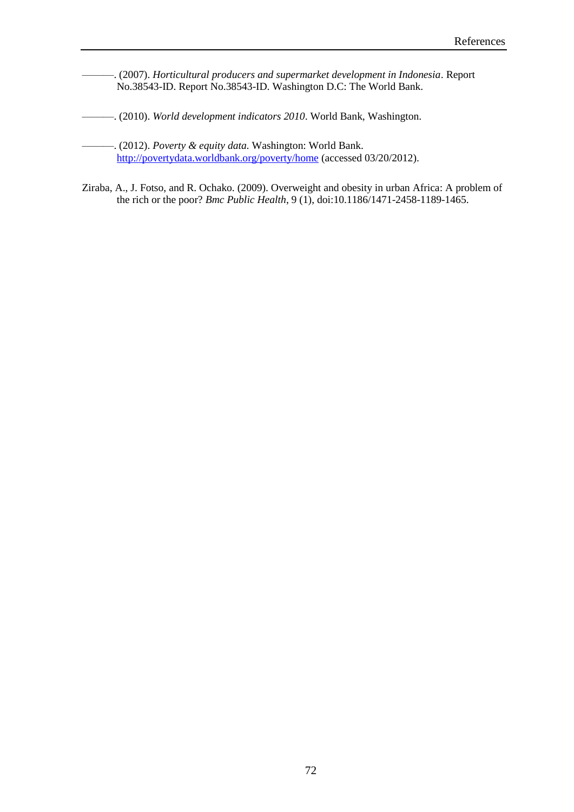- ———. (2007). *Horticultural producers and supermarket development in Indonesia*. Report No.38543-ID. Report No.38543-ID. Washington D.C: The World Bank.
- ———. (2010). *World development indicators 2010*. World Bank, Washington.
	- ———. (2012). *Poverty & equity data.* Washington: World Bank. <http://povertydata.worldbank.org/poverty/home> (accessed 03/20/2012).
- Ziraba, A., J. Fotso, and R. Ochako. (2009). Overweight and obesity in urban Africa: A problem of the rich or the poor? *Bmc Public Health*, 9 (1), doi:10.1186/1471-2458-1189-1465.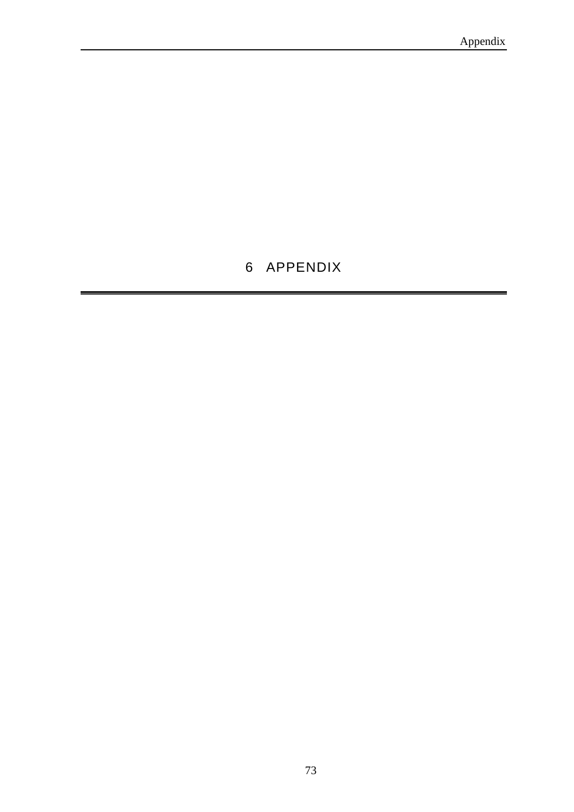# APPENDIX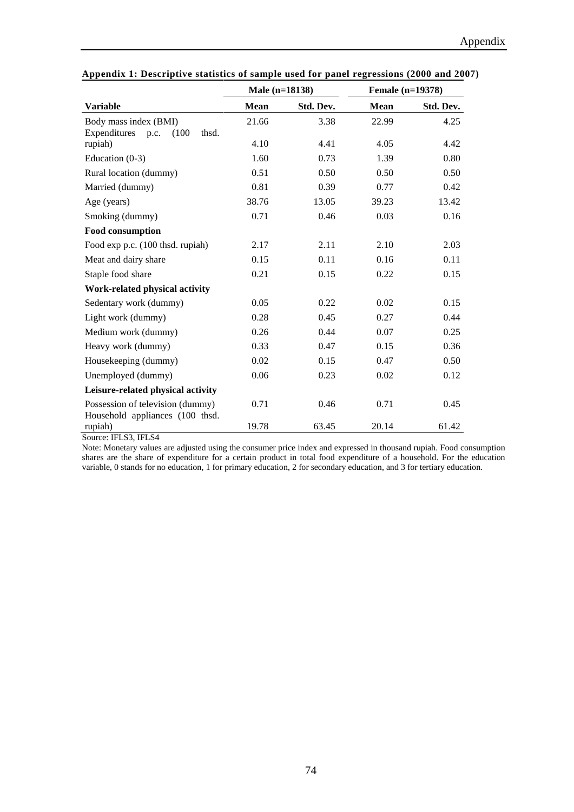|                                        | Male (n=18138) |           | Female (n=19378) |           |
|----------------------------------------|----------------|-----------|------------------|-----------|
| <b>Variable</b>                        | Mean           | Std. Dev. | Mean             | Std. Dev. |
| Body mass index (BMI)                  | 21.66          | 3.38      | 22.99            | 4.25      |
| Expenditures<br>thsd.<br>(100)<br>p.c. |                |           |                  |           |
| rupiah)                                | 4.10           | 4.41      | 4.05             | 4.42      |
| Education $(0-3)$                      | 1.60           | 0.73      | 1.39             | 0.80      |
| Rural location (dummy)                 | 0.51           | 0.50      | 0.50             | 0.50      |
| Married (dummy)                        | 0.81           | 0.39      | 0.77             | 0.42      |
| Age (years)                            | 38.76          | 13.05     | 39.23            | 13.42     |
| Smoking (dummy)                        | 0.71           | 0.46      | 0.03             | 0.16      |
| <b>Food consumption</b>                |                |           |                  |           |
| Food exp p.c. (100 thsd. rupiah)       | 2.17           | 2.11      | 2.10             | 2.03      |
| Meat and dairy share                   | 0.15           | 0.11      | 0.16             | 0.11      |
| Staple food share                      | 0.21           | 0.15      | 0.22             | 0.15      |
| Work-related physical activity         |                |           |                  |           |
| Sedentary work (dummy)                 | 0.05           | 0.22      | 0.02             | 0.15      |
| Light work (dummy)                     | 0.28           | 0.45      | 0.27             | 0.44      |
| Medium work (dummy)                    | 0.26           | 0.44      | 0.07             | 0.25      |
| Heavy work (dummy)                     | 0.33           | 0.47      | 0.15             | 0.36      |
| Housekeeping (dummy)                   | 0.02           | 0.15      | 0.47             | 0.50      |
| Unemployed (dummy)                     | 0.06           | 0.23      | 0.02             | 0.12      |
| Leisure-related physical activity      |                |           |                  |           |
| Possession of television (dummy)       | 0.71           | 0.46      | 0.71             | 0.45      |
| Household appliances (100 thsd.        |                |           |                  |           |
| rupiah)<br>TTA2HTA4                    | 19.78          | 63.45     | 20.14            | 61.42     |

**Appendix 1: Descriptive statistics of sample used for panel regressions (2000 and 2007)**

Source: IFLS3, IFLS4

Note: Monetary values are adjusted using the consumer price index and expressed in thousand rupiah. Food consumption shares are the share of expenditure for a certain product in total food expenditure of a household. For the education variable, 0 stands for no education, 1 for primary education, 2 for secondary education, and 3 for tertiary education.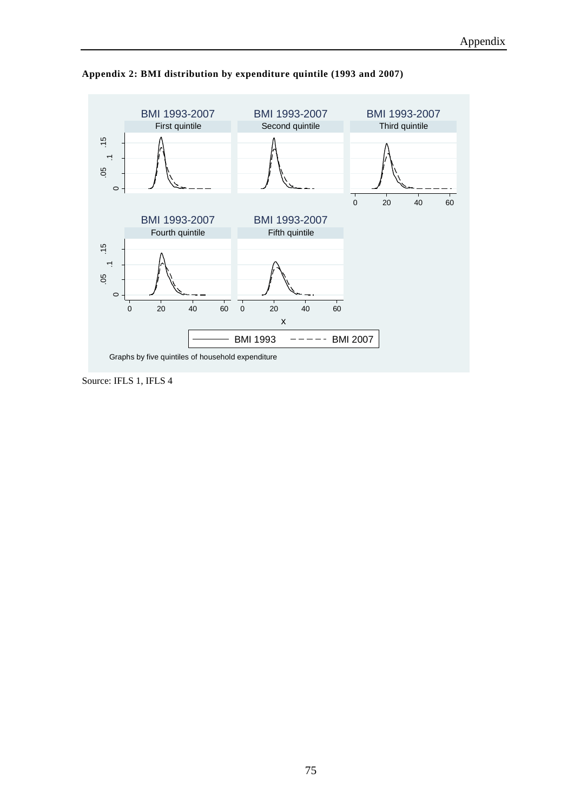

**Appendix 2: BMI distribution by expenditure quintile (1993 and 2007)**

Source: IFLS 1, IFLS 4